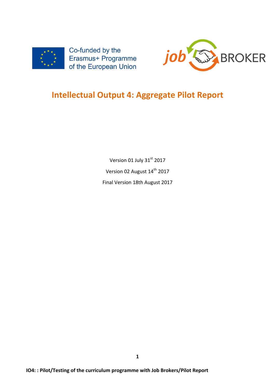



# **Intellectual Output 4: Aggregate Pilot Report**

Version 01 July 31st 2017 Version 02 August 14<sup>th</sup> 2017 Final Version 18th August 2017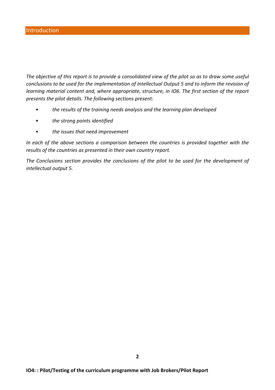The objective of this report is to provide a consolidated view of the pilot so as to draw some useful *conclusions to be used for the implementation of Intellectual Output 5 and to inform the revision of learning material content and, where appropriate, structure, in IO6. The first section of the report* presents the pilot details. The following sections present:

- the results of the training needs analysis and the learning plan developed
- *the strong points identified*
- the *issues* that need improvement

In each of the above sections a comparison between the countries is provided together with the results of the countries as presented in their own country report.

The Conclusions section provides the conclusions of the pilot to be used for the development of *intellectual output 5.*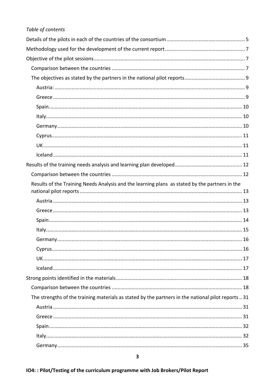| Table of contents                                                                                   |
|-----------------------------------------------------------------------------------------------------|
|                                                                                                     |
|                                                                                                     |
|                                                                                                     |
|                                                                                                     |
|                                                                                                     |
|                                                                                                     |
|                                                                                                     |
|                                                                                                     |
|                                                                                                     |
|                                                                                                     |
|                                                                                                     |
|                                                                                                     |
|                                                                                                     |
|                                                                                                     |
|                                                                                                     |
| Results of the Training Needs Analysis and the learning plans as stated by the partners in the      |
|                                                                                                     |
|                                                                                                     |
|                                                                                                     |
|                                                                                                     |
|                                                                                                     |
|                                                                                                     |
|                                                                                                     |
|                                                                                                     |
|                                                                                                     |
|                                                                                                     |
|                                                                                                     |
| The strengths of the training materials as stated by the partners in the national pilot reports  31 |
|                                                                                                     |
|                                                                                                     |
|                                                                                                     |
|                                                                                                     |
|                                                                                                     |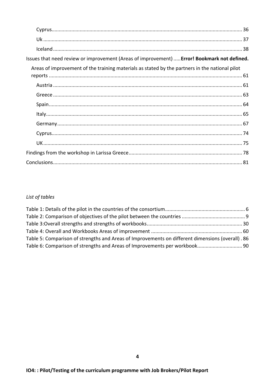| Issues that need review or improvement (Areas of improvement)  Error! Bookmark not defined.    |
|------------------------------------------------------------------------------------------------|
| Areas of improvement of the training materials as stated by the partners in the national pilot |
|                                                                                                |
|                                                                                                |
|                                                                                                |
|                                                                                                |
|                                                                                                |
|                                                                                                |
|                                                                                                |
|                                                                                                |
|                                                                                                |
|                                                                                                |

# List of tables

| Table 5: Comparison of strengths and Areas of Improvements on different dimensions (overall). 86 |  |
|--------------------------------------------------------------------------------------------------|--|
|                                                                                                  |  |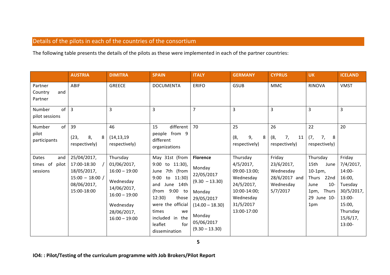# Details of the pilots in each of the countries of the consortium

The following table presents the details of the pilots as these were implemented in each of the partner countries:

|                                               | <b>AUSTRIA</b>                                                                               | <b>DIMITRA</b>                                                                                                                           | <b>SPAIN</b>                                                                                                                                                                                                                              | <b>ITALY</b>                                                                                                                                         | <b>GERMANY</b>                                                                                                               | <b>CYPRUS</b>                                                                 | <b>UK</b>                                                                                                     | <b>ICELAND</b>                                                                                                                  |
|-----------------------------------------------|----------------------------------------------------------------------------------------------|------------------------------------------------------------------------------------------------------------------------------------------|-------------------------------------------------------------------------------------------------------------------------------------------------------------------------------------------------------------------------------------------|------------------------------------------------------------------------------------------------------------------------------------------------------|------------------------------------------------------------------------------------------------------------------------------|-------------------------------------------------------------------------------|---------------------------------------------------------------------------------------------------------------|---------------------------------------------------------------------------------------------------------------------------------|
| Partner<br>Country<br>and<br>Partner          | ABIF                                                                                         | <b>GREECE</b>                                                                                                                            | <b>DOCUMENTA</b>                                                                                                                                                                                                                          | <b>ERIFO</b>                                                                                                                                         | <b>GSUB</b>                                                                                                                  | <b>MMC</b>                                                                    | <b>RINOVA</b>                                                                                                 | <b>VMST</b>                                                                                                                     |
| of<br>Number<br>pilot sessions                | $\overline{3}$                                                                               | 3                                                                                                                                        | 3                                                                                                                                                                                                                                         | $\overline{7}$                                                                                                                                       | 3                                                                                                                            | 3                                                                             | 3                                                                                                             | 3                                                                                                                               |
| of<br>Number<br>pilot<br>participants         | 39<br>8,<br>(23,<br>8<br>respectively)                                                       | 46<br>(14, 13, 19)<br>respectively)                                                                                                      | different   $70$<br>15<br>people from 9<br>different<br>organizations                                                                                                                                                                     |                                                                                                                                                      | 25<br>9,<br>(8,<br>8<br>respectively)                                                                                        | 26<br>(8,<br>7,<br>11<br>respectively)                                        | 22<br>(7, 7)<br>7,<br>8<br>respectively)                                                                      | 20                                                                                                                              |
| Dates<br>and<br>times of<br>pilot<br>sessions | 25/04/2017,<br>17:00-18:30<br>18/05/2017,<br>$15:00 - 18:00$ /<br>08/06/2017,<br>15:00-18:00 | Thursday<br>01/06/2017,<br>$16:00 - 19:00$<br>Wednesday<br>14/06/2017,<br>$16:00 - 19:00$<br>Wednesday<br>28/06/2017,<br>$16:00 - 19:00$ | May 31st (from<br>to 11:30),<br>9:00<br>7th (from<br>June<br>9:00<br>11:30)<br>to<br>June 14th<br>and<br>9:00 to<br>(from<br>12:30)<br>those<br>were the official<br>times<br>we<br>included in<br>the<br>for<br>leaflet<br>dissemination | <b>Florence</b><br>Monday<br>22/05/2017<br>$(9.30 - 13.30)$<br>Monday<br>29/05/2017<br>$(14.00 - 18.30)$<br>Monday<br>05/06/2017<br>$(9.30 - 13.30)$ | Thursday<br>$4/5/2017$ ,<br>09:00-13:00;<br>Wednesday<br>24/5/2017,<br>10:00-14:00;<br>Wednesday<br>31/5/2017<br>13:00-17:00 | Friday<br>23/6/2017,<br>Wednesday<br>$28/6/2017$ and<br>Wednesday<br>5/7/2017 | Thursday<br>15th<br>June<br>$10-1$ pm,<br>22nd<br>Thurs<br>$10 -$<br>June<br>1pm, Thurs<br>29 June 10-<br>1pm | Friday<br>$7/4/2017$ ,<br>14:00-<br>16:00,<br>Tuesday<br>$30/5/2017$ ,<br>13:00-<br>15:00,<br>Thursday<br>$15/6/17$ ,<br>13:00- |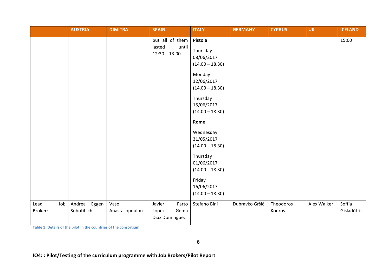|                        | <b>AUSTRIA</b>              | <b>DIMITRA</b>         | <b>SPAIN</b>                                          | <b>ITALY</b>                                                                                                                                                                                                                                                                                           | <b>GERMANY</b> | <b>CYPRUS</b>       | <b>UK</b>   | <b>ICELAND</b>        |
|------------------------|-----------------------------|------------------------|-------------------------------------------------------|--------------------------------------------------------------------------------------------------------------------------------------------------------------------------------------------------------------------------------------------------------------------------------------------------------|----------------|---------------------|-------------|-----------------------|
|                        |                             |                        | but all of them<br>lasted<br>until<br>$12:30 - 13:00$ | Pistoia<br>Thursday<br>08/06/2017<br>$(14.00 - 18.30)$<br>Monday<br>12/06/2017<br>$(14.00 - 18.30)$<br>Thursday<br>15/06/2017<br>$(14.00 - 18.30)$<br>Rome<br>Wednesday<br>31/05/2017<br>$(14.00 - 18.30)$<br>Thursday<br>01/06/2017<br>$(14.00 - 18.30)$<br>Friday<br>16/06/2017<br>$(14.00 - 18.30)$ |                |                     |             | 15:00                 |
| Lead<br>Job<br>Broker: | Andrea Egger-<br>Subotitsch | Vaso<br>Anastasopoulou | Javier<br>Farto<br>Lopez - Gema<br>Diaz Dominguez     | Stefano Bini                                                                                                                                                                                                                                                                                           | Dubravko Gršić | Theodoros<br>Kouros | Alex Walker | Soffía<br>Gísladóttir |

Table 1: Details of the pilot in the countries of the consortium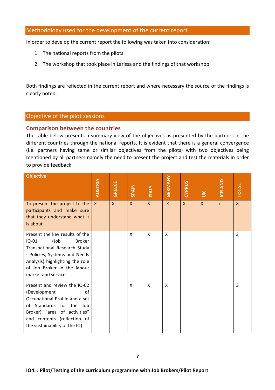### Methodology used for the development of the current report

In order to develop the current report the following was taken into consideration:

- 1. The national reports from the pilots
- 2. The workshop that took place in Larissa and the findings of that workshop

Both findings are reflected in the current report and where necessary the source of the findings is clearly noted.

#### Objective of the pilot sessions

### **Comparison between the countries**

The table below presents a summary view of the objectives as presented by the partners in the different countries through the national reports. It is evident that there is a general convergence (i.e. partners having same or similar objectives from the pilots) with two objectives being mentioned by all partners namely the need to present the project and test the materials in order to provide feedback.

| <b>Objective</b>                                                                                                                                                                                                             | <b>AUSTRIA</b> | <b>GREECE</b> | SPAIN        | <b>ITALY</b> | GERMANY      | CYPRUS       | $\leq$       | <b>ICELAND</b> | <b>TOTAL</b> |
|------------------------------------------------------------------------------------------------------------------------------------------------------------------------------------------------------------------------------|----------------|---------------|--------------|--------------|--------------|--------------|--------------|----------------|--------------|
| To present the project to the<br>participants and make sure<br>that they understand what it<br>is about                                                                                                                      | $\mathsf{X}$   | $\mathsf{X}$  | $\mathsf{X}$ | $\mathsf{X}$ | $\mathsf{x}$ | $\mathsf{X}$ | $\mathsf{x}$ | $\mathsf{x}$   | 8            |
| Present the key results of the<br><b>Broker</b><br>$IO-01$<br>(Job<br>Transnational Research Study<br>- Policies, Systems and Needs<br>Analysis) highlighting the role<br>of Job Broker in the labour<br>market and services |                |               | X            | X            | X            |              |              |                | 3            |
| Present and review the IO-02<br>(Development<br>0f<br>Occupational Profile and a set<br>of Standards for the Job<br>Broker) "area of activities"<br>and contents (reflection of<br>the sustainability of the IO)             |                |               | X            | X            | X            |              |              |                | 3            |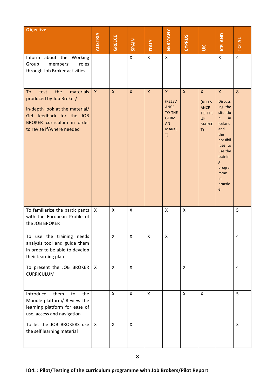| <b>Objective</b>                                                                                                                                                                   | AUSTRIA      | <b>GREECE</b>      | <b>SPAIN</b> | <b>ITALY</b>              | GERMANY                                                                                           | CYPRUS                    | $\leq$                                                                                    | ICELAND                                                                                                                                                                              | <b>TOTAL</b>   |
|------------------------------------------------------------------------------------------------------------------------------------------------------------------------------------|--------------|--------------------|--------------|---------------------------|---------------------------------------------------------------------------------------------------|---------------------------|-------------------------------------------------------------------------------------------|--------------------------------------------------------------------------------------------------------------------------------------------------------------------------------------|----------------|
| Inform<br>about the Working<br>members'<br>Group<br>roles<br>through Job Broker activities                                                                                         |              |                    | $\mathsf{x}$ | $\mathsf{X}$              | $\mathsf{x}$                                                                                      |                           |                                                                                           | $\mathsf X$                                                                                                                                                                          | $\overline{4}$ |
| the<br>materials<br>test<br>To<br>produced by Job Broker/<br>in-depth look at the material/<br>Get feedback for the JOB<br>BROKER curriculum in order<br>to revise if/where needed | $\mathsf{X}$ | $\mathsf{X}$       | $\mathsf{X}$ | $\boldsymbol{\mathsf{X}}$ | $\mathsf{X}$<br>(RELEV<br><b>ANCE</b><br>TO THE<br><b>GERM</b><br><b>AN</b><br><b>MARKE</b><br>T) | $\mathsf{X}$              | $\mathsf{X}$<br>(RELEV<br><b>ANCE</b><br><b>TO THE</b><br><b>UK</b><br><b>MARKE</b><br>T) | $\mathsf{x}$<br><b>Discuss</b><br>ing the<br>situatio<br>in<br>n.<br>Iceland<br>and<br>the<br>possibil<br>ities to<br>use the<br>trainin<br>g<br>progra<br>mme<br>in<br>practic<br>e | 8              |
| To familiarize the participants<br>with the European Profile of<br>the JOB BROKER                                                                                                  | X            | X                  | X            |                           | X                                                                                                 | X                         |                                                                                           |                                                                                                                                                                                      | 5              |
| To use the training needs<br>analysis tool and guide them<br>in order to be able to develop<br>their learning plan                                                                 |              | $\pmb{\mathsf{X}}$ | X            | X                         | $\pmb{\mathsf{X}}$                                                                                |                           |                                                                                           |                                                                                                                                                                                      | 4              |
| To present the JOB BROKER<br><b>CURRICULUM</b>                                                                                                                                     | $\mathsf{X}$ | X                  | X            |                           |                                                                                                   | $\boldsymbol{\mathsf{X}}$ |                                                                                           |                                                                                                                                                                                      | $\overline{4}$ |
| Introduce<br>them<br>to<br>the<br>Moodle platform/ Review the<br>learning platform for ease of<br>use, access and navigation                                                       |              | X                  | X            | X                         |                                                                                                   | X                         | X                                                                                         |                                                                                                                                                                                      | 5              |
| To let the JOB BROKERS use<br>the self learning material                                                                                                                           | X            | X                  | $\mathsf{x}$ |                           |                                                                                                   |                           |                                                                                           |                                                                                                                                                                                      | 3              |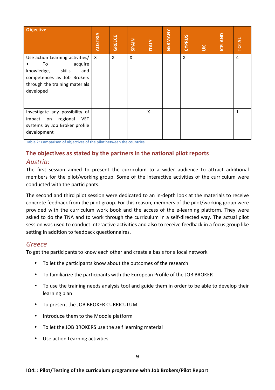| <b>Objective</b>                                                                                                                                             | <b>AUSTRIA</b> | <b>GREECE</b> | <b>SPAIN</b> | <b>ITALY</b> | <b>GERMANY</b> | CYPRUS | $\leq$ | <b>ICELAND</b> | <b>TOTAL</b> |
|--------------------------------------------------------------------------------------------------------------------------------------------------------------|----------------|---------------|--------------|--------------|----------------|--------|--------|----------------|--------------|
| Use action Learning activities/<br>acquire<br>To<br>skills<br>knowledge,<br>and<br>competences as Job Brokers<br>through the training materials<br>developed | X              | X             | X            |              |                | X      |        |                | 4            |
| Investigate any possibility of<br><b>VET</b><br>regional<br>impact on<br>systems by Job Broker profile<br>development                                        |                |               |              | X            |                |        |        |                | $\mathbf{1}$ |

**Table 2: Comparison of objectives of the pilot between the countries** 

## The objectives as stated by the partners in the national pilot reports

### *Austria:*

The first session aimed to present the curriculum to a wider audience to attract additional members for the pilot/working group. Some of the interactive activities of the curriculum were conducted with the participants.

The second and third pilot session were dedicated to an in-depth look at the materials to receive concrete feedback from the pilot group. For this reason, members of the pilot/working group were provided with the curriculum work book and the access of the e-learning platform. They were asked to do the TNA and to work through the curriculum in a self-directed way. The actual pilot session was used to conduct interactive activities and also to receive feedback in a focus group like setting in addition to feedback questionnaires.

### *Greece*

To get the participants to know each other and create a basis for a local network

- To let the participants know about the outcomes of the research
- To familiarize the participants with the European Profile of the JOB BROKER
- To use the training needs analysis tool and guide them in order to be able to develop their learning plan
- To present the JOB BROKER CURRICULUM
- Introduce them to the Moodle platform
- To let the JOB BROKERS use the self learning material
- Use action Learning activities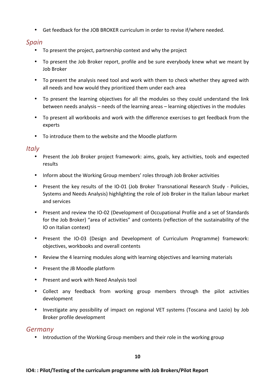• Get feedback for the JOB BROKER curriculum in order to revise if/where needed.

## *Spain*

- To present the project, partnership context and why the project
- To present the Job Broker report, profile and be sure everybody knew what we meant by Job Broker
- To present the analysis need tool and work with them to check whether they agreed with all needs and how would they prioritized them under each area
- To present the learning objectives for all the modules so they could understand the link between needs analysis – needs of the learning areas – learning objectives in the modules
- To present all workbooks and work with the difference exercises to get feedback from the experts
- To introduce them to the website and the Moodle platform

## *Italy*

- Present the Job Broker project framework: aims, goals, key activities, tools and expected results
- Inform about the Working Group members' roles through Job Broker activities
- Present the key results of the IO-01 (Job Broker Transnational Research Study Policies, Systems and Needs Analysis) highlighting the role of Job Broker in the Italian labour market and services
- Present and review the IO-02 (Development of Occupational Profile and a set of Standards for the Job Broker) "area of activities" and contents (reflection of the sustainability of the IO on Italian context)
- Present the IO-03 (Design and Development of Curriculum Programme) framework: objectives, workbooks and overall contents
- Review the 4 learning modules along with learning objectives and learning materials
- Present the JB Moodle platform
- Present and work with Need Analysis tool
- Collect any feedback from working group members through the pilot activities development
- Investigate any possibility of impact on regional VET systems (Toscana and Lazio) by Job Broker profile development

## *Germany*

• Introduction of the Working Group members and their role in the working group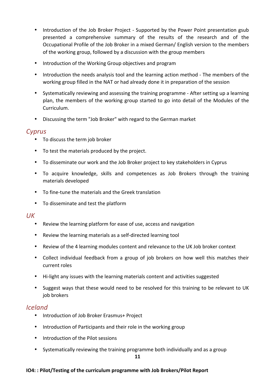- Introduction of the Job Broker Project Supported by the Power Point presentation gsub presented a comprehensive summary of the results of the research and of the Occupational Profile of the Job Broker in a mixed German/ English version to the members of the working group, followed by a discussion with the group members
- Introduction of the Working Group objectives and program
- Introduction the needs analysis tool and the learning action method The members of the working group filled in the NAT or had already done it in preparation of the session
- Systematically reviewing and assessing the training programme After setting up a learning plan, the members of the working group started to go into detail of the Modules of the Curriculum.
- Discussing the term "Job Broker" with regard to the German market

## *Cyprus*

- To discuss the term job broker
- To test the materials produced by the project.
- To disseminate our work and the Job Broker project to key stakeholders in Cyprus
- To acquire knowledge, skills and competences as Job Brokers through the training materials developed
- To fine-tune the materials and the Greek translation
- To disseminate and test the platform

## *UK*

- Review the learning platform for ease of use, access and navigation
- Review the learning materials as a self-directed learning tool
- Review of the 4 learning modules content and relevance to the UK Job broker context
- Collect individual feedback from a group of job brokers on how well this matches their current roles
- Hi-light any issues with the learning materials content and activities suggested
- Suggest ways that these would need to be resolved for this training to be relevant to UK job brokers

## *Iceland*

- Introduction of Job Broker Erasmus+ Project
- Introduction of Participants and their role in the working group
- Introduction of the Pilot sessions
- Systematically reviewing the training programme both individually and as a group

#### **IO4:: Pilot/Testing of the curriculum programme with Job Brokers/Pilot Report**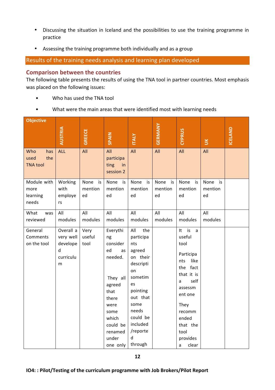- Discussing the situation in Iceland and the possibilities to use the training programme in practice
- Assessing the training programme both individually and as a group

Results of the training needs analysis and learning plan developed

#### **Comparison between the countries**

The following table presents the results of using the TNA tool in partner countries. Most emphasis was placed on the following issues:

- Who has used the TNA tool
- What were the main areas that were identified most with learning needs

| <b>Objective</b>                             |                                                           |                             |                                                                                                                                                               |                                                                                                                                                                                       |                             |                                                                                                                                                                                                      |                             |         |
|----------------------------------------------|-----------------------------------------------------------|-----------------------------|---------------------------------------------------------------------------------------------------------------------------------------------------------------|---------------------------------------------------------------------------------------------------------------------------------------------------------------------------------------|-----------------------------|------------------------------------------------------------------------------------------------------------------------------------------------------------------------------------------------------|-----------------------------|---------|
|                                              | <b>AUSTRIA</b>                                            | <b>GREECE</b>               | <b>SPAIN</b>                                                                                                                                                  | <b>ITALY</b>                                                                                                                                                                          | <b>GERMANY</b>              | <b>CYPRUS</b>                                                                                                                                                                                        | $\leq$                      | ICELAND |
| has<br>Who<br>the<br>used<br><b>TNA tool</b> | <b>ALL</b>                                                | All                         | All<br>participa<br>ting<br>in<br>session 2                                                                                                                   | All                                                                                                                                                                                   | All                         | All                                                                                                                                                                                                  | All                         |         |
| Module with<br>more<br>learning<br>needs     | Working<br>with<br>employe<br>rs                          | None<br>is<br>mention<br>ed | None<br>is<br>mention<br>ed                                                                                                                                   | None<br>is<br>mention<br>ed                                                                                                                                                           | None<br>is<br>mention<br>ed | None<br>is<br>mention<br>ed                                                                                                                                                                          | None<br>is<br>mention<br>ed |         |
| What<br>was<br>reviewed                      | All<br>modules                                            | All<br>modules              | All<br>modules                                                                                                                                                | All<br>modules                                                                                                                                                                        | All<br>modules              | All<br>modules                                                                                                                                                                                       | All<br>modules              |         |
| General<br>Comments<br>on the tool           | Overall a<br>very well<br>develope<br>d<br>curriculu<br>m | Very<br>useful<br>tool      | Everythi<br>ng<br>consider<br>ed<br>as<br>needed.<br>They all<br>agreed<br>that<br>there<br>were<br>some<br>which<br>could be<br>renamed<br>under<br>one only | All<br>the<br>participa<br>nts<br>agreed<br>on their<br>descripti<br>on<br>sometim<br>es<br>pointing<br>out that<br>some<br>needs<br>could be<br>included<br>/reporte<br>d<br>through |                             | is<br>It<br>a<br>useful<br>tool<br>Participa<br>like<br>nts<br>fact<br>the<br>that it is<br>self<br>a<br>assessm<br>ent one<br>They<br>recomm<br>ended<br>that the<br>tool<br>provides<br>clear<br>а |                             |         |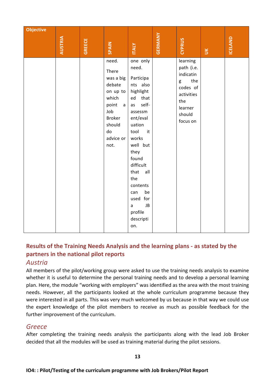| <b>Objective</b> |                |               |                                                                                                                                                  |                                                                                                                                                                                                                                                                                             | <b>GERMANY</b> |                                                                                                                   |        |                |
|------------------|----------------|---------------|--------------------------------------------------------------------------------------------------------------------------------------------------|---------------------------------------------------------------------------------------------------------------------------------------------------------------------------------------------------------------------------------------------------------------------------------------------|----------------|-------------------------------------------------------------------------------------------------------------------|--------|----------------|
|                  | <b>AUSTRIA</b> | <b>GREECE</b> | <b>SPAIN</b>                                                                                                                                     | <b>ITALY</b>                                                                                                                                                                                                                                                                                |                | <b>CYPRUS</b>                                                                                                     | $\leq$ | <b>ICELAND</b> |
|                  |                |               | need.<br>There<br>was a big<br>debate<br>on up to<br>which<br>point<br>$\mathsf{a}$<br>Job<br><b>Broker</b><br>should<br>do<br>advice or<br>not. | one only<br>need.<br>Participa<br>nts also<br>highlight<br>that<br>ed<br>self-<br>as<br>assessm<br>ent/eval<br>uation<br>tool<br>it<br>works<br>well but<br>they<br>found<br>difficult<br>that<br>all<br>the<br>contents<br>be<br>can<br>used for<br>JB<br>a<br>profile<br>descripti<br>on. |                | learning<br>path (i.e.<br>indicatin<br>the<br>g<br>codes of<br>activities<br>the<br>learner<br>should<br>focus on |        |                |

## Results of the Training Needs Analysis and the learning plans - as stated by the **partners in the national pilot reports**

## *Austria*

All members of the pilot/working group were asked to use the training needs analysis to examine whether it is useful to determine the personal training needs and to develop a personal learning plan. Here, the module "working with employers" was identified as the area with the most training needs. However, all the participants looked at the whole curriculum programme because they were interested in all parts. This was very much welcomed by us because in that way we could use the expert knowledge of the pilot members to receive as much as possible feedback for the further improvement of the curriculum.

## *Greece*

After completing the training needs analysis the participants along with the lead Job Broker decided that all the modules will be used as training material during the pilot sessions.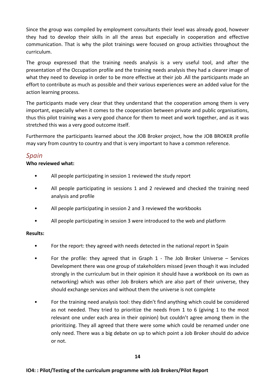Since the group was compiled by employment consultants their level was already good, however they had to develop their skills in all the areas but especially in cooperation and effective communication. That is why the pilot trainings were focused on group activities throughout the curriculum.

The group expressed that the training needs analysis is a very useful tool, and after the presentation of the Occupation profile and the training needs analysis they had a clearer image of what they need to develop in order to be more effective at their job .All the participants made an effort to contribute as much as possible and their various experiences were an added value for the action learning process.

The participants made very clear that they understand that the cooperation among them is very important, especially when it comes to the cooperation between private and public organisations, thus this pilot training was a very good chance for them to meet and work together, and as it was stretched this was a very good outcome itself.

Furthermore the participants learned about the JOB Broker project, how the JOB BROKER profile may vary from country to country and that is very important to have a common reference.

## *Spain*

### **Who reviewed what:**

- All people participating in session 1 reviewed the study report
- All people participating in sessions 1 and 2 reviewed and checked the training need analysis and profile
- All people participating in session 2 and 3 reviewed the workbooks
- All people participating in session 3 were introduced to the web and platform

### **Results:**

- For the report: they agreed with needs detected in the national report in Spain
- For the profile: they agreed that in Graph 1 The Job Broker Universe Services Development there was one group of stakeholders missed (even though it was included strongly in the curriculum but in their opinion it should have a workbook on its own as networking) which was other Job Brokers which are also part of their universe, they should exchange services and without them the universe is not complete
- For the training need analysis tool: they didn't find anything which could be considered as not needed. They tried to prioritize the needs from 1 to 6 (giving 1 to the most relevant one under each area in their opinion) but couldn't agree among them in the prioritizing. They all agreed that there were some which could be renamed under one only need. There was a big debate on up to which point a Job Broker should do advice or not.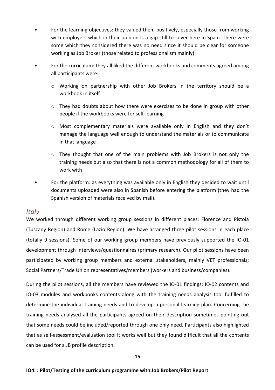- For the learning objectives: they valued them positively, especially those from working with employers which in their opinion is a gap still to cover here in Spain. There were some which they considered there was no need since it should be clear for someone working as Job Broker (those related to professionalism mainly)
- For the curriculum: they all liked the different workbooks and comments agreed among all participants were:
	- $\circ$  Working on partnership with other Job Brokers in the territory should be a workbook in itself
	- $\circ$  They had doubts about how there were exercises to be done in group with other people if the workbooks were for self-learning
	- o Most complementary materials were available only in English and they don't manage the language well enough to understand the materials or to communicate in that language
	- $\circ$  They thought that one of the main problems with Job Brokers is not only the training needs but also that there is not a common methodology for all of them to work with
- For the platform: as everything was available only in English they decided to wait until documents uploaded were also in Spanish before entering the platform (they had the Spanish version of materials received by mail).

## *Italy*

We worked through different working group sessions in different places: Florence and Pistoia (Tuscany Region) and Rome (Lazio Region). We have arranged three pilot sessions in each place (totally 9 sessions). Some of our working group members have previously supported the IO-01 development through interviews/questionnaires (primary research). Our pilot sessions have been participated by working group members and external stakeholders, mainly VET professionals; Social Partners/Trade Union representatives/members (workers and business/companies).

During the pilot sessions, all the members have reviewed the IO-01 findings; IO-02 contents and IO-03 modules and workbooks contents along with the training needs analysis tool fulfilled to determine the individual training needs and to develop a personal learning plan. Concerning the training needs analysed all the participants agreed on their description sometimes pointing out that some needs could be included/reported through one only need. Participants also highlighted that as self-assessment/evaluation tool it works well but they found difficult that all the contents can be used for a JB profile description.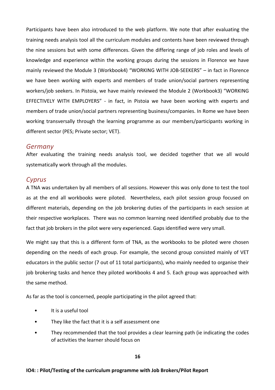Participants have been also introduced to the web platform. We note that after evaluating the training needs analysis tool all the curriculum modules and contents have been reviewed through the nine sessions but with some differences. Given the differing range of job roles and levels of knowledge and experience within the working groups during the sessions in Florence we have mainly reviewed the Module 3 (Workbook4) "WORKING WITH JOB-SEEKERS" – in fact in Florence we have been working with experts and members of trade union/social partners representing workers/job seekers. In Pistoia, we have mainly reviewed the Module 2 (Workbook3) "WORKING EFFECTIVELY WITH EMPLOYERS" - in fact, in Pistoia we have been working with experts and members of trade union/social partners representing business/companies. In Rome we have been working transversally through the learning programme as our members/participants working in different sector (PES; Private sector; VET).

#### *Germany*

After evaluating the training needs analysis tool, we decided together that we all would systematically work through all the modules.

#### *Cyprus*

A TNA was undertaken by all members of all sessions. However this was only done to test the tool as at the end all workbooks were piloted. Nevertheless, each pilot session group focused on different materials, depending on the job brokering duties of the participants in each session at their respective workplaces. There was no common learning need identified probably due to the fact that job brokers in the pilot were very experienced. Gaps identified were very small.

We might say that this is a different form of TNA, as the workbooks to be piloted were chosen depending on the needs of each group. For example, the second group consisted mainly of VET educators in the public sector (7 out of 11 total participants), who mainly needed to organise their job brokering tasks and hence they piloted workbooks 4 and 5. Each group was approached with the same method.

As far as the tool is concerned, people participating in the pilot agreed that:

- It is a useful tool
- They like the fact that it is a self assessment one
- They recommended that the tool provides a clear learning path (ie indicating the codes of activities the learner should focus on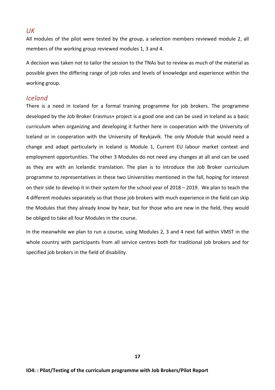*UK*

All modules of the pilot were tested by the group, a selection members reviewed module 2, all members of the working group reviewed modules 1, 3 and 4.

A decision was taken not to tailor the session to the TNAs but to review as much of the material as possible given the differing range of job roles and levels of knowledge and experience within the working group.

### *Iceland*

There is a need in Iceland for a formal training programme for job brokers. The programme developed by the Job Broker Erasmus+ project is a good one and can be used in Iceland as a basic curriculum when organizing and developing it further here in cooperation with the University of Iceland or in cooperation with the University of Reykjavík. The only Module that would need a change and adapt particularly in Iceland is Module 1, Current EU labour market context and employment opportunities. The other 3 Modules do not need any changes at all and can be used as they are with an Icelandic translation. The plan is to introduce the Job Broker curriculum programme to representatives in these two Universities mentioned in the fall, hoping for interest on their side to develop it in their system for the school year of 2018 – 2019. We plan to teach the 4 different modules separately so that those job brokers with much experience in the field can skip the Modules that they already know by hear, but for those who are new in the field, they would be obliged to take all four Modules in the course.

In the meanwhile we plan to run a course, using Modules 2, 3 and 4 next fall within VMST in the whole country with participants from all service centres both for traditional job brokers and for specified job brokers in the field of disability.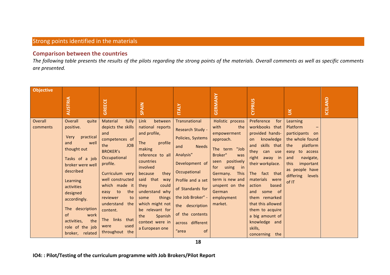## Strong points identified in the materials

### **Comparison between the countries**

The following table presents the results of the pilots regarding the strong points of the materials. Overall comments as well as specific comments *are presented.* 

| <b>Objective</b>    | <b>AUSTRIA</b>                                                                                                                                                                                                                                                                                                  | <b>GREECE</b>                                                                                                                                                                                                                                                                                                         | <b>SPAIN</b>                                                                                                                                                                                                                                                                                                              | <b>ITALY</b>                                                                                                                                                                                                                                                        | <b>GERMANY</b>                                                                                                                                                                                                                         | CYPRUS                                                                                                                                                                                                                                                                                                                                                       | $\leq$                                                                                                                                                                                           | <b>ICELAND</b> |
|---------------------|-----------------------------------------------------------------------------------------------------------------------------------------------------------------------------------------------------------------------------------------------------------------------------------------------------------------|-----------------------------------------------------------------------------------------------------------------------------------------------------------------------------------------------------------------------------------------------------------------------------------------------------------------------|---------------------------------------------------------------------------------------------------------------------------------------------------------------------------------------------------------------------------------------------------------------------------------------------------------------------------|---------------------------------------------------------------------------------------------------------------------------------------------------------------------------------------------------------------------------------------------------------------------|----------------------------------------------------------------------------------------------------------------------------------------------------------------------------------------------------------------------------------------|--------------------------------------------------------------------------------------------------------------------------------------------------------------------------------------------------------------------------------------------------------------------------------------------------------------------------------------------------------------|--------------------------------------------------------------------------------------------------------------------------------------------------------------------------------------------------|----------------|
| Overall<br>comments | <b>Overall</b><br>quite<br>positive.<br>practical<br>Very<br>and<br>well<br>thought out<br>Tasks of a job<br>broker were well<br>described<br><b>Learning</b><br>activities<br>designed<br>accordingly.<br>The description<br><sub>of</sub><br>work<br>the<br>activities,<br>role of the job<br>broker, related | Material<br>fully<br>depicts the skills<br>and<br>competences of<br><b>JOB</b><br>the<br><b>BROKER'S</b><br>Occupational<br>profile.<br>Curriculum very<br>well constructed<br>which made it<br>the<br>easy to<br>reviewer<br>to<br>understand<br>the<br>content.<br>The links that<br>used<br>were<br>throughout the | Link<br>between<br>national reports<br>and profile,<br>profile<br><b>The</b><br>making<br>reference to all<br>countries<br>involved<br>they<br>because<br>said that way<br>they<br>could<br>understand why<br>things<br>some<br>which might not<br>be relevant for<br>Spanish<br>the<br>context were in<br>a European one | Transnational<br>Research Study -<br>Policies, Systems<br><b>Needs</b><br>and<br>Analysis"<br>Development of<br>Occupational<br>Profile and a set<br>of Standards for<br>the Job Broker" -<br>the description<br>of the contents<br>across different<br>"area<br>of | Holistic process<br>with<br>the<br>empowerment<br>approach.<br>"Job<br>The term<br>Broker"<br>was<br>positively<br>seen<br>using in<br>for<br>This<br>Germany.<br>term is new and<br>unspent on the<br>German<br>employment<br>market. | Preference<br>for<br>workbooks that<br>provided hands-<br>knowledge<br>on<br>skills that<br>and<br>they<br>can use<br>right away in<br>their workplace.<br>The fact that<br>materials<br>were<br>based<br>action<br>and some of<br>them remarked<br>that this allowed<br>them to acquire<br>a big amount of<br>knowledge and<br>skills,<br>concerning<br>the | Learning<br>Platform<br>participants<br>on<br>the whole found<br>platform<br>the<br>to access<br>easy<br>and<br>navigate,<br>important<br>this<br>as people have<br>differing<br>levels<br>of IT |                |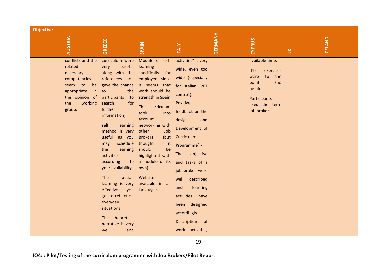| <b>Objective</b><br><b>AUSTRIA</b>                                                                                     | <b>GREECE</b>                                                                                                                                                                                                                                                                                                                                                                                                                                                                                                     | <b>SPAIN</b>                                                                                                                                                                                                                                                                                                                                                     | <b>TALY</b>                                                                                                                                                                                                                                                                                                                                                                          | GERMANY | <b>CYPRUS</b>                                                                                                                         | $\leq$ | <b>ICELAND</b> |
|------------------------------------------------------------------------------------------------------------------------|-------------------------------------------------------------------------------------------------------------------------------------------------------------------------------------------------------------------------------------------------------------------------------------------------------------------------------------------------------------------------------------------------------------------------------------------------------------------------------------------------------------------|------------------------------------------------------------------------------------------------------------------------------------------------------------------------------------------------------------------------------------------------------------------------------------------------------------------------------------------------------------------|--------------------------------------------------------------------------------------------------------------------------------------------------------------------------------------------------------------------------------------------------------------------------------------------------------------------------------------------------------------------------------------|---------|---------------------------------------------------------------------------------------------------------------------------------------|--------|----------------|
| conflicts and the<br>related<br>necessary<br>competencies<br>seem to<br>appropriate<br>the opinion of<br>the<br>group. | curriculum were<br>useful<br>very<br>along with the<br>references and<br>gave the chance<br>be<br>the<br>in<br>to<br>participants<br>to<br>working<br>search<br>for<br>further<br>information,<br>self<br>learning<br>method is very<br>useful as you<br>schedule<br>may<br>the<br>learning<br>activities<br>according<br>to<br>your availability.<br>The<br>action<br>learning is very<br>effective as you<br>get to reflect on<br>everyday<br>situations<br>The theoretical<br>narrative is very<br>well<br>and | Module of self-<br>learning<br>specifically for<br>employers since<br>it seems that<br>work should be<br>strength in Spain<br>The curriculum<br>took<br>into<br>account<br>networking with<br>other<br>Job<br><b>Brokers</b><br>(but<br>thought<br>it<br>should<br>be<br>highlighted with<br>a module of its<br>own)<br>Website<br>available in all<br>languages | activities" is very<br>wide, even too<br>wide (especially<br>for Italian VET<br>context).<br>Positive<br>feedback on the<br>design<br>and<br>Development of<br>Curriculum<br>Programme" -<br>objective<br>The<br>and tasks of a<br>job broker were<br>described<br>well<br>learning<br>and<br>activities have<br>been designed<br>accordingly.<br>Description of<br>work activities, |         | available time.<br>The<br>exercises<br>to<br>the<br>were<br>point<br>and<br>helpful.<br>Participants<br>liked the term<br>job broker. |        |                |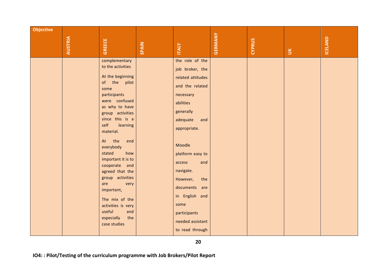| <b>Objective</b> | <b>AUSTRIA</b> | <b>GREECE</b>                                                                                                                                                                                                                                                                                                                                                                                                                                                     | SPAIN | <b>ITALY</b>                                                                                                                                                                                                                                                                                                                          | <b>GERMANY</b> | CYPRUS | $\leq$ | <b>ICELAND</b> |
|------------------|----------------|-------------------------------------------------------------------------------------------------------------------------------------------------------------------------------------------------------------------------------------------------------------------------------------------------------------------------------------------------------------------------------------------------------------------------------------------------------------------|-------|---------------------------------------------------------------------------------------------------------------------------------------------------------------------------------------------------------------------------------------------------------------------------------------------------------------------------------------|----------------|--------|--------|----------------|
|                  |                | complementary<br>to the activities<br>At the beginning<br>of the pilot<br>some<br>participants<br>were confused<br>as why to have<br>group activities<br>since this is a<br>self<br>learning<br>material.<br>At the<br>end<br>everybody<br>stated<br>how<br>important it is to<br>cooperate and<br>agreed that the<br>group activities<br>are<br>very<br>important,<br>The mix of the<br>activities is very<br>useful<br>and<br>especially<br>the<br>case studies |       | the role of the<br>job broker, the<br>related attitudes<br>and the related<br>necessary<br>abilities<br>generally<br>adequate<br>and<br>appropriate.<br>Moodle<br>platform easy to<br>access<br>and<br>navigate.<br>However,<br>the<br>documents are<br>in English and<br>some<br>participants<br>needed assistant<br>to read through |                |        |        |                |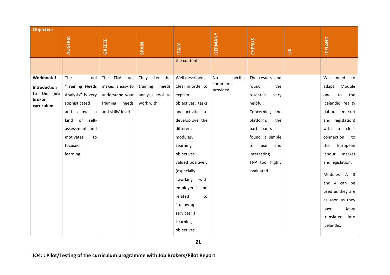| <b>Objective</b>        | <b>AUSTRIA</b>      | <b>GREECE</b>     | SPAIN            | <b>ITALY</b>      | GERMANY              | CYPRUS            |              | ICELAND                  |
|-------------------------|---------------------|-------------------|------------------|-------------------|----------------------|-------------------|--------------|--------------------------|
|                         |                     |                   |                  | the contents.     |                      |                   | $\mathbb{R}$ |                          |
|                         |                     |                   |                  |                   |                      |                   |              |                          |
| Workbook 1              | The<br>tool         | The TNA tool      | They liked the   | Well described.   | specific<br>No       | The results and   |              | need<br>We<br>to         |
| <b>Introduction</b>     | "Training Needs     | makes it easy to  | training needs   | Clear in order to | comments<br>provided | found<br>the      |              | Module<br>adapt          |
| to the<br>job<br>broker | Analysis" is very   | understand your   | analysis tool to | explain           |                      | research<br>very  |              | the<br>${\sf to}$<br>one |
| curriculum              | sophisticated       | training needs    | work with        | objectives, tasks |                      | helpful.          |              | Icelandic reality        |
|                         | allows a<br>and     | and skills' level |                  | and activities to |                      | Concerning<br>the |              | (labour market           |
|                         | of<br>self-<br>kind |                   |                  | develop over the  |                      | platform,<br>the  |              | legislation)<br>and      |
|                         | assessment and      |                   |                  | different         |                      | participants      |              | with<br>clear<br>a       |
|                         | motivates<br>to     |                   |                  | modules.          |                      | found it simple   |              | connection<br>to         |
|                         | focused             |                   |                  | Learning          |                      | to<br>use<br>and  |              | European<br>the          |
|                         | learning.           |                   |                  | objectives        |                      | interesting.      |              | market<br>labour         |
|                         |                     |                   |                  | valued positively |                      | TNA tool highly   |              | and legislation.         |
|                         |                     |                   |                  | (especially       |                      | evaluated         |              | Modules 2, 3             |
|                         |                     |                   |                  | "working<br>with  |                      |                   |              | and 4 can be             |
|                         |                     |                   |                  | employers" and    |                      |                   |              | used as they are         |
|                         |                     |                   |                  | related<br>to     |                      |                   |              | as soon as they          |
|                         |                     |                   |                  | "follow-up        |                      |                   |              | been<br>have             |
|                         |                     |                   |                  | services".)       |                      |                   |              | translated<br>into       |
|                         |                     |                   |                  | Learning          |                      |                   |              | Icelandic.               |
|                         |                     |                   |                  | objectives        |                      |                   |              |                          |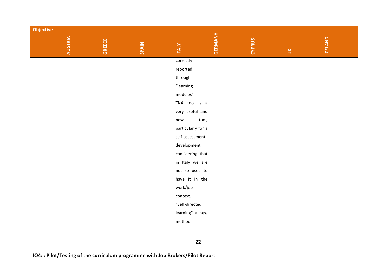| <b>Objective</b> |                |               |       |                    |                |               |              |                |
|------------------|----------------|---------------|-------|--------------------|----------------|---------------|--------------|----------------|
|                  |                |               |       |                    |                |               |              |                |
|                  | <b>AUSTRIA</b> | <b>GREECE</b> | SPAIN | <b>ITALY</b>       | <b>GERMANY</b> | <b>CYPRUS</b> |              | <b>ICELAND</b> |
|                  |                |               |       |                    |                |               | $\mathbb{R}$ |                |
|                  |                |               |       | correctly          |                |               |              |                |
|                  |                |               |       | reported           |                |               |              |                |
|                  |                |               |       | through            |                |               |              |                |
|                  |                |               |       | "learning          |                |               |              |                |
|                  |                |               |       | modules"           |                |               |              |                |
|                  |                |               |       | TNA tool is a      |                |               |              |                |
|                  |                |               |       | very useful and    |                |               |              |                |
|                  |                |               |       | tool,<br>new       |                |               |              |                |
|                  |                |               |       | particularly for a |                |               |              |                |
|                  |                |               |       | self-assessment    |                |               |              |                |
|                  |                |               |       | development,       |                |               |              |                |
|                  |                |               |       | considering that   |                |               |              |                |
|                  |                |               |       | in Italy we are    |                |               |              |                |
|                  |                |               |       | not so used to     |                |               |              |                |
|                  |                |               |       | have it in the     |                |               |              |                |
|                  |                |               |       | work/job           |                |               |              |                |
|                  |                |               |       | context.           |                |               |              |                |
|                  |                |               |       | "Self-directed     |                |               |              |                |
|                  |                |               |       | learning" a new    |                |               |              |                |
|                  |                |               |       | method             |                |               |              |                |
|                  |                |               |       |                    |                |               |              |                |
|                  |                |               |       |                    |                |               |              |                |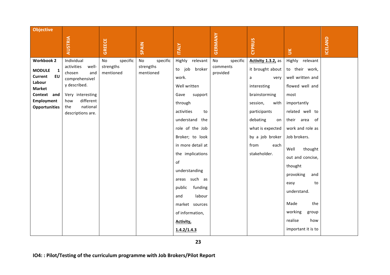| <b>Objective</b>                                                                                                                                                  | <b>AUSTRIA</b>                                                                                                                                                       | <b>GREECE</b>                            | SPAIN                                    | <b>ITALY</b>                                                                                                                                                                                                                                                                                                                                                   | <b>GERMANY</b>                         | <b>CYPRUS</b>                                                                                                                                                                                                    | $\leq$                                                                                                                                                                                                                                                                                                                                                | ICELAND |
|-------------------------------------------------------------------------------------------------------------------------------------------------------------------|----------------------------------------------------------------------------------------------------------------------------------------------------------------------|------------------------------------------|------------------------------------------|----------------------------------------------------------------------------------------------------------------------------------------------------------------------------------------------------------------------------------------------------------------------------------------------------------------------------------------------------------------|----------------------------------------|------------------------------------------------------------------------------------------------------------------------------------------------------------------------------------------------------------------|-------------------------------------------------------------------------------------------------------------------------------------------------------------------------------------------------------------------------------------------------------------------------------------------------------------------------------------------------------|---------|
| <b>Workbook 2</b><br><b>MODULE</b><br>$\mathbf{1}$<br><b>Current</b><br>EU<br>Labour<br><b>Market</b><br>Context and<br><b>Employment</b><br><b>Opportunities</b> | Individual<br>activities<br>well-<br>chosen<br>and<br>comprehensivel<br>y described.<br>Very interesting<br>different<br>how<br>national<br>the<br>descriptions are. | No<br>specific<br>strengths<br>mentioned | No<br>specific<br>strengths<br>mentioned | Highly relevant<br>to job<br>broker<br>work.<br>Well written<br>Gave<br>support<br>through<br>activities<br>to<br>understand the<br>role of the Job<br>Broker; to look<br>in more detail at<br>the implications<br>of<br>understanding<br>areas such as<br>public<br>funding<br>labour<br>and<br>market sources<br>of information,<br>Activity,<br>1.4.2/1.4.3 | No<br>specific<br>comments<br>provided | Activity 1.3.2, as<br>it brought about<br>a<br>very<br>interesting<br>brainstorming<br>session,<br>with<br>participants<br>debating<br>on<br>what is expected<br>by a job broker<br>from<br>each<br>stakeholder. | Highly relevant<br>to their work,<br>well written and<br>flowed well and<br>most<br>importantly<br>related well to<br>their area of<br>work and role as<br>Job brokers.<br>thought<br>Well<br>out and concise,<br>thought<br>provoking<br>and<br>easy<br>to<br>understand.<br>Made<br>the<br>working<br>group<br>realise<br>how<br>important it is to |         |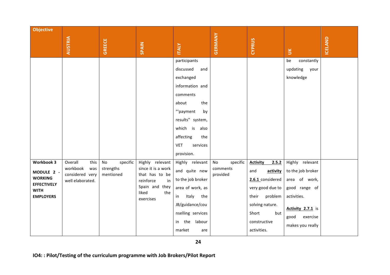| <b>Objective</b>                                                                                    | <b>AUSTRIA</b>                                                            | <b>GREECE</b>                            | SPAIN                                                                                                                     | <b>ITALY</b>                                                                                                                                                                                                                                                                                                                                                                    | GERMANY                                | <b>CYPRUS</b>                                                                                                                                              | $\breve{\phantom{a}}$                                                                                                                                                                                   | ICELAND |
|-----------------------------------------------------------------------------------------------------|---------------------------------------------------------------------------|------------------------------------------|---------------------------------------------------------------------------------------------------------------------------|---------------------------------------------------------------------------------------------------------------------------------------------------------------------------------------------------------------------------------------------------------------------------------------------------------------------------------------------------------------------------------|----------------------------------------|------------------------------------------------------------------------------------------------------------------------------------------------------------|---------------------------------------------------------------------------------------------------------------------------------------------------------------------------------------------------------|---------|
| Workbook 3<br>MODULE 2 -<br><b>WORKING</b><br><b>EFFECTIVELY</b><br><b>WITH</b><br><b>EMPLOYERS</b> | Overall<br>this<br>workbook<br>was<br>considered very<br>well elaborated. | No<br>specific<br>strengths<br>mentioned | Highly relevant<br>since it is a work<br>that has to be<br>reinforce<br>in<br>Spain and they<br>liked<br>the<br>exercises | participants<br>discussed<br>and<br>exchanged<br>information and<br>comments<br>about<br>the<br>"'payment<br>by<br>results" system,<br>which is<br>also<br>affecting<br>the<br><b>VET</b><br>services<br>provision.<br>Highly relevant<br>and quite new<br>to the job broker<br>area of work, as<br>Italy the<br>in<br>JB/guidance/cou<br>nselling services<br>in the<br>labour | specific<br>No<br>comments<br>provided | <b>Activity</b><br>2.5.2<br>and<br>activity<br>2.6.1 considered<br>very good due to<br>their<br>problem<br>solving nature.<br>Short<br>but<br>constructive | constantly<br>be<br>updating<br>your<br>knowledge<br>Highly relevant<br>to the job broker<br>area of work,<br>good range of<br>activities.<br>Activity 2.7.1 is<br>good<br>exercise<br>makes you really |         |
|                                                                                                     |                                                                           |                                          |                                                                                                                           | market<br>are                                                                                                                                                                                                                                                                                                                                                                   |                                        | activities.                                                                                                                                                |                                                                                                                                                                                                         |         |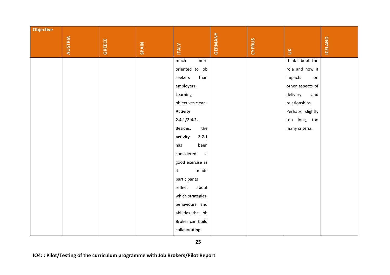| <b>Objective</b> |                |               |       |                            |                |               |                  |         |
|------------------|----------------|---------------|-------|----------------------------|----------------|---------------|------------------|---------|
|                  |                |               |       |                            |                |               |                  |         |
|                  | <b>AUSTRIA</b> | <b>GREECE</b> | SPAIN | <b>ITALY</b>               | <b>GERMANY</b> | <b>CYPRUS</b> | $\mathbb{R}$     | ICELAND |
|                  |                |               |       | much<br>more               |                |               | think about the  |         |
|                  |                |               |       | oriented to job            |                |               | role and how it  |         |
|                  |                |               |       | seekers<br>than            |                |               | impacts<br>on    |         |
|                  |                |               |       | employers.                 |                |               | other aspects of |         |
|                  |                |               |       | Learning                   |                |               | delivery<br>and  |         |
|                  |                |               |       | objectives clear -         |                |               | relationships.   |         |
|                  |                |               |       | <b>Activity</b>            |                |               | Perhaps slightly |         |
|                  |                |               |       | 2.4.1/2.4.2.               |                |               | too long, too    |         |
|                  |                |               |       | Besides,<br>the            |                |               | many criteria.   |         |
|                  |                |               |       | activity<br>2.7.1          |                |               |                  |         |
|                  |                |               |       | been<br>has                |                |               |                  |         |
|                  |                |               |       | considered<br>$\mathsf{a}$ |                |               |                  |         |
|                  |                |               |       | good exercise as           |                |               |                  |         |
|                  |                |               |       | made<br>it                 |                |               |                  |         |
|                  |                |               |       | participants               |                |               |                  |         |
|                  |                |               |       | reflect<br>about           |                |               |                  |         |
|                  |                |               |       | which strategies,          |                |               |                  |         |
|                  |                |               |       | behaviours and             |                |               |                  |         |
|                  |                |               |       | abilities the Job          |                |               |                  |         |
|                  |                |               |       | Broker can build           |                |               |                  |         |
|                  |                |               |       | collaborating              |                |               |                  |         |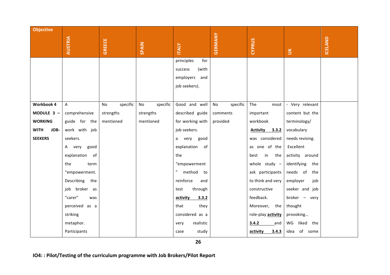| <b>Objective</b>    |                   |                |                           |                   |                |                    |                    |         |
|---------------------|-------------------|----------------|---------------------------|-------------------|----------------|--------------------|--------------------|---------|
|                     | <b>AUSTRIA</b>    | <b>GREECE</b>  |                           |                   | GERMANY        | <b>CYPRUS</b>      |                    | ICELAND |
|                     |                   |                | <b>SPAIN</b>              | <b>ITALY</b>      |                |                    | $\leq$             |         |
|                     |                   |                |                           | principles<br>for |                |                    |                    |         |
|                     |                   |                |                           | (with<br>success  |                |                    |                    |         |
|                     |                   |                |                           | employers<br>and  |                |                    |                    |         |
|                     |                   |                |                           | job seekers).     |                |                    |                    |         |
|                     |                   |                |                           |                   |                |                    |                    |         |
| <b>Workbook 4</b>   | A                 | specific<br>No | specific<br>$\mathsf{No}$ | Good and well     | specific<br>No | The<br>most        | - Very relevant    |         |
| MODULE 3 -          | comprehensive     | strengths      | strengths                 | described guide   | comments       | important          | content but the    |         |
| <b>WORKING</b>      | guide for the     | mentioned      | mentioned                 | for working with  | provided       | workbook           | terminology/       |         |
| JOB-<br><b>WITH</b> | work with job     |                |                           | job seekers.      |                | Activity 3.3.2     | vocabulary         |         |
| <b>SEEKERS</b>      | seekers.          |                |                           | very<br>good<br>a |                | was considered     | needs revising.    |         |
|                     | A very<br>good    |                |                           | explanation of    |                | as one of the      | Excellent          |         |
|                     | explanation<br>of |                |                           | the               |                | in<br>best<br>the  | activity around    |         |
|                     | the<br>term       |                |                           | "empowerment      |                | whole study $-$    | identifying<br>the |         |
|                     | "empowerment.     |                |                           | method to         |                | ask participants   | needs of<br>the    |         |
|                     | Describing the    |                |                           | reinforce<br>and  |                | to think and very  | employer<br>job    |         |
|                     | job broker as     |                |                           | through<br>test   |                | constructive       | seeker and job     |         |
|                     | "carer"<br>was    |                |                           | activity<br>3.3.2 |                | feedback.          | broker - very      |         |
|                     | perceived as a    |                |                           | that<br>they      |                | Moreover, the      | thought            |         |
|                     | striking          |                |                           | considered as a   |                | role-play activity | provoking          |         |
|                     | metaphor.         |                |                           | realistic<br>very |                | 3.4.2<br>and       | WG<br>liked the    |         |
|                     | Participants      |                |                           | study<br>case     |                | activity<br>3.4.3  | of some<br>idea    |         |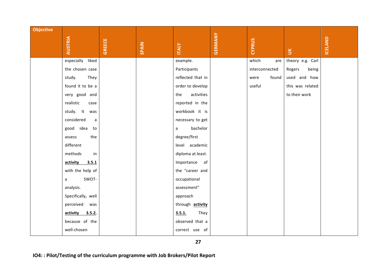| <b>Objective</b> |                       |               |       |                   |                |                |                  |                |
|------------------|-----------------------|---------------|-------|-------------------|----------------|----------------|------------------|----------------|
|                  |                       |               |       |                   | <b>GERMANY</b> |                |                  |                |
|                  | <b>AUSTRIA</b>        | <b>GREECE</b> | SPAIN | <b>ITALY</b>      |                | <b>CYPRUS</b>  | $\leq$           | <b>ICELAND</b> |
|                  | liked<br>especially   |               |       | example.          |                | which<br>are   | theory e.g. Carl |                |
|                  | the chosen case       |               |       | Participants      |                | interconnected | Rogers<br>being  |                |
|                  | study.<br>They        |               |       | reflected that in |                | found<br>were  | used and how     |                |
|                  | found it to be a      |               |       | order to develop  |                | useful         | this was related |                |
|                  | very good and         |               |       | activities<br>the |                |                | to their work    |                |
|                  | realistic<br>case     |               |       | reported in the   |                |                |                  |                |
|                  | study. It<br>was      |               |       | workbook it is    |                |                |                  |                |
|                  | considered<br>a       |               |       | necessary to get  |                |                |                  |                |
|                  | good idea<br>to       |               |       | bachelor<br>a     |                |                |                  |                |
|                  | the<br>assess         |               |       | degree/first      |                |                |                  |                |
|                  | different             |               |       | level academic    |                |                |                  |                |
|                  | methods<br>in         |               |       | diploma at least. |                |                |                  |                |
|                  | activity<br>3.5.1     |               |       | Importance of     |                |                |                  |                |
|                  | with the help of      |               |       | the "career and   |                |                |                  |                |
|                  | SWOT-<br>$\mathsf{a}$ |               |       | occupational      |                |                |                  |                |
|                  | analysis.             |               |       | assessment"       |                |                |                  |                |
|                  | Specifically, well    |               |       | approach          |                |                |                  |                |
|                  | perceived<br>was      |               |       | through activity  |                |                |                  |                |
|                  | activity<br>3.5.2,    |               |       | 3.5.1.<br>They    |                |                |                  |                |
|                  | because of the        |               |       | observed that a   |                |                |                  |                |
|                  | well-chosen           |               |       | correct use of    |                |                |                  |                |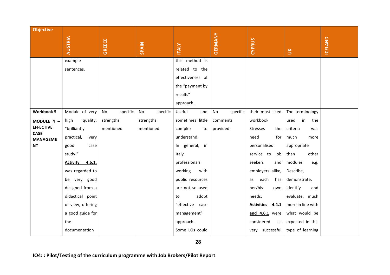| <b>Objective</b>               |                           |                |                |                  |                |                   |                   |                |
|--------------------------------|---------------------------|----------------|----------------|------------------|----------------|-------------------|-------------------|----------------|
|                                | <b>AUSTRIA</b>            | <b>GREECE</b>  | SPAIN          | <b>ITALY</b>     | GERMANY        | <b>CYPRUS</b>     |                   | <b>ICELAND</b> |
|                                |                           |                |                |                  |                |                   | <b>NU</b>         |                |
|                                | example                   |                |                | this method is   |                |                   |                   |                |
|                                | sentences.                |                |                | related to the   |                |                   |                   |                |
|                                |                           |                |                | effectiveness of |                |                   |                   |                |
|                                |                           |                |                | the "payment by  |                |                   |                   |                |
|                                |                           |                |                | results"         |                |                   |                   |                |
|                                |                           |                |                | approach.        |                |                   |                   |                |
| <b>Workbook 5</b>              | Module of very            | specific<br>No | No<br>specific | Useful<br>and    | specific<br>No | their most liked  | The terminology   |                |
| MODULE 4 -                     | quality:<br>high          | strengths      | strengths      | sometimes little | comments       | workbook          | used<br>in<br>the |                |
| <b>EFFECTIVE</b>               | "brilliantly              | mentioned      | mentioned      | complex<br>to    | provided       | Stresses<br>the   | criteria<br>was   |                |
| <b>CASE</b><br><b>MANAGEME</b> | practical,<br>very        |                |                | understand.      |                | need<br>for       | much<br>more      |                |
| <b>NT</b>                      | good<br>case              |                |                | In general, in   |                | personalised      | appropriate       |                |
|                                | study!"                   |                |                | Italy            |                | service to job    | than<br>other     |                |
|                                | 4.6.1.<br><b>Activity</b> |                |                | professionals    |                | seekers<br>and    | modules<br>e.g.   |                |
|                                | was regarded to           |                |                | working<br>with  |                | employers alike,  | Describe,         |                |
|                                | be very good              |                |                | public resources |                | each<br>has<br>as | demonstrate,      |                |
|                                | designed from a           |                |                | are not so used  |                | her/his<br>own    | identify<br>and   |                |
|                                | didactical point          |                |                | adopt<br>to      |                | needs.            | evaluate, much    |                |
|                                | of view, offering         |                |                | "effective case  |                | Activities 4.4.1  | more in line with |                |
|                                | a good guide for          |                |                | management"      |                | and 4.6.1 were    | what would be     |                |
|                                | the                       |                |                | approach.        |                | considered<br>as  | expected in this  |                |
|                                | documentation             |                |                | Some LOs could   |                | very successful   | type of learning  |                |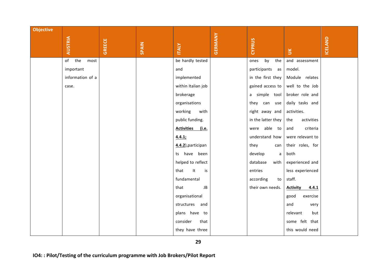| <b>Objective</b> |                   |               |       |                            |                |                    |                          |         |
|------------------|-------------------|---------------|-------|----------------------------|----------------|--------------------|--------------------------|---------|
|                  |                   |               |       |                            |                |                    |                          |         |
|                  | <b>AUSTRIA</b>    | <b>GREECE</b> | SPAIN | <b>ITALY</b>               | <b>GERMANY</b> | <b>CYPRUS</b>      |                          | ICELAND |
|                  |                   |               |       |                            |                |                    | $\leq$                   |         |
|                  | of<br>the<br>most |               |       | be hardly tested           |                | by<br>the<br>ones  | and assessment           |         |
|                  | important         |               |       | and                        |                | participants as    | model.                   |         |
|                  | information of a  |               |       | implemented                |                | in the first they  | Module relates           |         |
|                  | case.             |               |       | within Italian job         |                | gained access to   | well to the Job          |         |
|                  |                   |               |       | brokerage                  |                | a simple tool      | broker role and          |         |
|                  |                   |               |       | organisations              |                | they can use       | daily tasks and          |         |
|                  |                   |               |       | working<br>with            |                | right away and     | activities.              |         |
|                  |                   |               |       | public funding.            |                | in the latter they | activities<br>the        |         |
|                  |                   |               |       | <b>Activities</b><br>(i.e. |                | were able to       | criteria<br>and          |         |
|                  |                   |               |       | 4.4.1;                     |                | understand how     | were relevant to         |         |
|                  |                   |               |       | 4.4.2), participan         |                | they<br>can        | their roles, for         |         |
|                  |                   |               |       | ts have been               |                | develop<br>a       | both                     |         |
|                  |                   |               |       | helped to reflect          |                | database<br>with   | experienced and          |         |
|                  |                   |               |       | It<br>is<br>that           |                | entries            | less experienced         |         |
|                  |                   |               |       | fundamental                |                | according<br>to    | staff.                   |         |
|                  |                   |               |       | JB<br>that                 |                | their own needs.   | <b>Activity</b><br>4.4.1 |         |
|                  |                   |               |       | organisational             |                |                    | exercise<br>good         |         |
|                  |                   |               |       | and<br>structures          |                |                    | and<br>very              |         |
|                  |                   |               |       | plans have to              |                |                    | relevant<br>but          |         |
|                  |                   |               |       | consider<br>that           |                |                    | some felt that           |         |
|                  |                   |               |       | they have three            |                |                    | this would need          |         |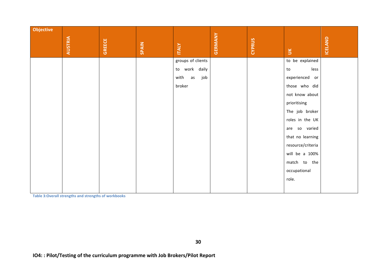| <b>Objective</b> |                |               |       |                   |                |               |                   |         |
|------------------|----------------|---------------|-------|-------------------|----------------|---------------|-------------------|---------|
|                  | <b>AUSTRIA</b> | <b>GREECE</b> | SPAIN |                   | <b>GERMANY</b> | <b>CYPRUS</b> |                   | ICELAND |
|                  |                |               |       | <b>ITALY</b>      |                |               | $\mathbb{E}$      |         |
|                  |                |               |       | groups of clients |                |               | to be explained   |         |
|                  |                |               |       | to work daily     |                |               | less<br>to        |         |
|                  |                |               |       | with<br>as<br>job |                |               | experienced or    |         |
|                  |                |               |       | broker            |                |               | those who did     |         |
|                  |                |               |       |                   |                |               | not know about    |         |
|                  |                |               |       |                   |                |               | prioritising      |         |
|                  |                |               |       |                   |                |               | The job broker    |         |
|                  |                |               |       |                   |                |               | roles in the UK   |         |
|                  |                |               |       |                   |                |               | are so varied     |         |
|                  |                |               |       |                   |                |               | that no learning  |         |
|                  |                |               |       |                   |                |               | resource/criteria |         |
|                  |                |               |       |                   |                |               | will be a 100%    |         |
|                  |                |               |       |                   |                |               | match to the      |         |
|                  |                |               |       |                   |                |               | occupational      |         |
|                  |                |               |       |                   |                |               | role.             |         |
|                  |                |               |       |                   |                |               |                   |         |

**Table 3: Overall strengths and strengths of workbooks**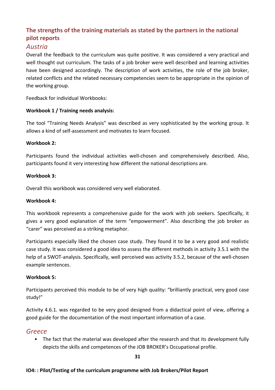# The strengths of the training materials as stated by the partners in the national **pilot reports**

## *Austria*

Overall the feedback to the curriculum was quite positive. It was considered a very practical and well thought out curriculum. The tasks of a job broker were well described and learning activities have been designed accordingly. The description of work activities, the role of the job broker, related conflicts and the related necessary competencies seem to be appropriate in the opinion of the working group.

Feedback for individual Workbooks:

## **Workbook 1 / Training needs analysis:**

The tool "Training Needs Analysis" was described as very sophisticated by the working group. It allows a kind of self-assessment and motivates to learn focused.

### **Workbook 2:**

Participants found the individual activities well-chosen and comprehensively described. Also, participants found it very interesting how different the national descriptions are.

### **Workbook 3:**

Overall this workbook was considered very well elaborated.

### **Workbook 4:**

This workbook represents a comprehensive guide for the work with job seekers. Specifically, it gives a very good explanation of the term "empowerment". Also describing the job broker as "carer" was perceived as a striking metaphor.

Participants especially liked the chosen case study. They found it to be a very good and realistic case study. It was considered a good idea to assess the different methods in activity 3.5.1 with the help of a SWOT-analysis. Specifically, well perceived was activity 3.5.2, because of the well-chosen example sentences.

### **Workbook 5:**

Participants perceived this module to be of very high quality: "brilliantly practical, very good case study!"

Activity 4.6.1. was regarded to be very good designed from a didactical point of view, offering a good guide for the documentation of the most important information of a case.

## *Greece*

• The fact that the material was developed after the research and that its development fully depicts the skills and competences of the JOB BROKER's Occupational profile.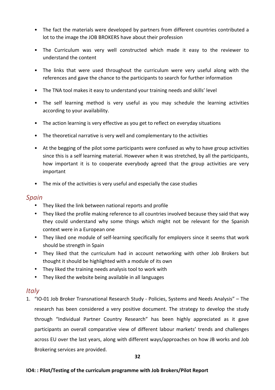- The fact the materials were developed by partners from different countries contributed a lot to the image the JOB BROKERS have about their profession
- The Curriculum was very well constructed which made it easy to the reviewer to understand the content
- The links that were used throughout the curriculum were very useful along with the references and gave the chance to the participants to search for further information
- The TNA tool makes it easy to understand your training needs and skills' level
- The self learning method is very useful as you may schedule the learning activities according to your availability.
- The action learning is very effective as you get to reflect on everyday situations
- The theoretical narrative is very well and complementary to the activities
- At the begging of the pilot some participants were confused as why to have group activities since this is a self learning material. However when it was stretched, by all the participants, how important it is to cooperate everybody agreed that the group activities are very important
- The mix of the activities is very useful and especially the case studies

## *Spain*

- They liked the link between national reports and profile
- They liked the profile making reference to all countries involved because they said that way they could understand why some things which might not be relevant for the Spanish context were in a European one
- They liked one module of self-learning specifically for employers since it seems that work should be strength in Spain
- They liked that the curriculum had in account networking with other Job Brokers but thought it should be highlighted with a module of its own
- They liked the training needs analysis tool to work with
- They liked the website being available in all languages

## *Italy*

1. "IO-01 Job Broker Transnational Research Study - Policies, Systems and Needs Analysis" – The research has been considered a very positive document. The strategy to develop the study through "Individual Partner Country Research" has been highly appreciated as it gave participants an overall comparative view of different labour markets' trends and challenges across EU over the last years, along with different ways/approaches on how JB works and Job Brokering services are provided.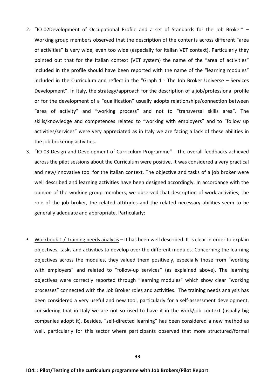- 2. "IO-02Development of Occupational Profile and a set of Standards for the Job Broker" Working group members observed that the description of the contents across different "area of activities" is very wide, even too wide (especially for Italian VET context). Particularly they pointed out that for the Italian context (VET system) the name of the "area of activities" included in the profile should have been reported with the name of the "learning modules" included in the Curriculum and reflect in the "Graph  $1$  - The Job Broker Universe  $-$  Services Development". In Italy, the strategy/approach for the description of a job/professional profile or for the development of a "qualification" usually adopts relationships/connection between "area of activity" and "working process" and not to "transversal skills area". The skills/knowledge and competences related to "working with employers" and to "follow up activities/services" were very appreciated as in Italy we are facing a lack of these abilities in the job brokering activities.
- 3. "IO-03 Design and Development of Curriculum Programme" The overall feedbacks achieved across the pilot sessions about the Curriculum were positive. It was considered a very practical and new/innovative tool for the Italian context. The objective and tasks of a job broker were well described and learning activities have been designed accordingly. In accordance with the opinion of the working group members, we observed that description of work activities, the role of the job broker, the related attitudes and the related necessary abilities seem to be generally adequate and appropriate. Particularly:
- Workbook 1 / Training needs analysis It has been well described. It is clear in order to explain objectives, tasks and activities to develop over the different modules. Concerning the learning objectives across the modules, they valued them positively, especially those from "working with employers" and related to "follow-up services" (as explained above). The learning objectives were correctly reported through "learning modules" which show clear "working processes" connected with the Job Broker roles and activities. The training needs analysis has been considered a very useful and new tool, particularly for a self-assessment development, considering that in Italy we are not so used to have it in the work/job context (usually big companies adopt it). Besides, "self-directed learning" has been considered a new method as well, particularly for this sector where participants observed that more structured/formal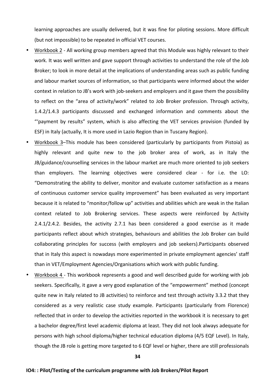learning approaches are usually delivered, but it was fine for piloting sessions. More difficult (but not impossible) to be repeated in official VET courses.

- Workbook 2 All working group members agreed that this Module was highly relevant to their work. It was well written and gave support through activities to understand the role of the Job Broker; to look in more detail at the implications of understanding areas such as public funding and labour market sources of information, so that participants were informed about the wider context in relation to JB's work with job-seekers and employers and it gave them the possibility to reflect on the "area of activity/work" related to Job Broker profession. Through activity, 1.4.2/1.4.3 participants discussed and exchanged information and comments about the "'payment by results" system, which is also affecting the VET services provision (funded by ESF) in Italy (actually, It is more used in Lazio Region than in Tuscany Region).
- Workbook 3-This module has been considered (particularly by participants from Pistoia) as highly relevant and quite new to the job broker area of work, as in Italy the JB/guidance/counselling services in the labour market are much more oriented to job seekers than employers. The learning objectives were considered clear - for i.e. the LO: "Demonstrating the ability to deliver, monitor and evaluate customer satisfaction as a means of continuous customer service quality improvement" has been evaluated as very important because it is related to "monitor/follow up" activities and abilities which are weak in the Italian context related to Job Brokering services. These aspects were reinforced by Activity 2.4.1/2.4.2. Besides, the activity 2.7.1 has been considered a good exercise as it made participants reflect about which strategies, behaviours and abilities the Job Broker can build collaborating principles for success (with employers and job seekers). Participants observed that in Italy this aspect is nowadays more experimented in private employment agencies' staff than in VET/Employment Agencies/Organisations which work with public funding.
- Workbook 4 This workbook represents a good and well described guide for working with job seekers. Specifically, it gave a very good explanation of the "empowerment" method (concept quite new in Italy related to JB activities) to reinforce and test through activity 3.3.2 that they considered as a very realistic case study example. Participants (particularly from Florence) reflected that in order to develop the activities reported in the workbook it is necessary to get a bachelor degree/first level academic diploma at least. They did not look always adequate for persons with high school diploma/higher technical education diploma (4/5 EQF Level). In Italy, though the JB role is getting more targeted to 6 EQF level or higher, there are still professionals

**34**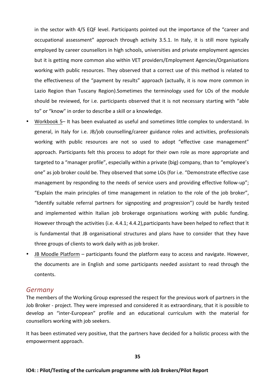in the sector with 4/5 EQF level. Participants pointed out the importance of the "career and occupational assessment" approach through activity 3.5.1. In Italy, it is still more typically employed by career counsellors in high schools, universities and private employment agencies but it is getting more common also within VET providers/Employment Agencies/Organisations working with public resources. They observed that a correct use of this method is related to the effectiveness of the "payment by results" approach (actually, it is now more common in Lazio Region than Tuscany Region). Sometimes the terminology used for LOs of the module should be reviewed, for i.e. participants observed that it is not necessary starting with "able to" or "know" in order to describe a skill or a knowledge.

- Workbook 5– It has been evaluated as useful and sometimes little complex to understand. In general, in Italy for i.e. JB/job counselling/career guidance roles and activities, professionals working with public resources are not so used to adopt "effective case management" approach. Participants felt this process to adopt for their own role as more appropriate and targeted to a "manager profile", especially within a private (big) company, than to "employee's one" as job broker could be. They observed that some LOs (for i.e. "Demonstrate effective case management by responding to the needs of service users and providing effective follow-up"; "Explain the main principles of time management in relation to the role of the job broker", "Identify suitable referral partners for signposting and progression") could be hardly tested and implemented within Italian job brokerage organisations working with public funding. However through the activities (i.e. 4.4.1; 4.4.2), participants have been helped to reflect that It is fundamental that JB organisational structures and plans have to consider that they have three groups of clients to work daily with as job broker.
- JB Moodle Platform participants found the platform easy to access and navigate. However, the documents are in English and some participants needed assistant to read through the contents.

#### *Germany*

The members of the Working Group expressed the respect for the previous work of partners in the Job Broker - project. They were impressed and considered it as extraordinary, that it is possible to develop an "inter-European" profile and an educational curriculum with the material for counsellors working with job seekers.

It has been estimated very positive, that the partners have decided for a holistic process with the empowerment approach.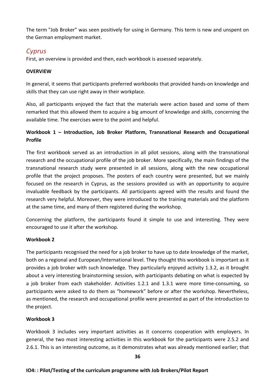The term "Job Broker" was seen positively for using in Germany. This term is new and unspent on the German employment market.

## *Cyprus*

First, an overview is provided and then, each workbook is assessed separately.

#### **OVERVIEW**

In general, it seems that participants preferred workbooks that provided hands-on knowledge and skills that they can use right away in their workplace.

Also, all participants enjoyed the fact that the materials were action based and some of them remarked that this allowed them to acquire a big amount of knowledge and skills, concerning the available time. The exercises were to the point and helpful.

## Workbook 1 – Introduction, Job Broker Platform, Transnational Research and Occupational **Profile**

The first workbook served as an introduction in all pilot sessions, along with the transnational research and the occupational profile of the job broker. More specifically, the main findings of the transnational research study were presented in all sessions, along with the new occupational profile that the project proposes. The posters of each country were presented, but we mainly focused on the research in Cyprus, as the sessions provided us with an opportunity to acquire invaluable feedback by the participants. All participants agreed with the results and found the research very helpful. Moreover, they were introduced to the training materials and the platform at the same time, and many of them registered during the workshop.

Concerning the platform, the participants found it simple to use and interesting. They were encouraged to use it after the workshop.

### **Workbook 2**

The participants recognised the need for a job broker to have up to date knowledge of the market. both on a regional and European/International level. They thought this workbook is important as it provides a job broker with such knowledge. They particularly enjoyed activity 1.3.2, as it brought about a very interesting brainstorming session, with participants debating on what is expected by a job broker from each stakeholder. Activities 1.2.1 and 1.3.1 were more time-consuming, so participants were asked to do them as "homework" before or after the workshop. Nevertheless, as mentioned, the research and occupational profile were presented as part of the introduction to the project.

### **Workbook 3**

Workbook 3 includes very important activities as it concerns cooperation with employers. In general, the two most interesting activities in this workbook for the participants were 2.5.2 and 2.6.1. This is an interesting outcome, as it demonstrates what was already mentioned earlier; that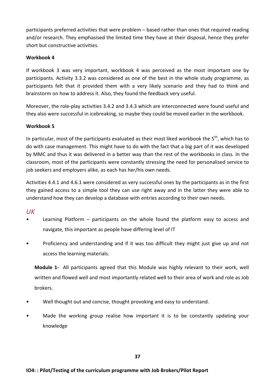participants preferred activities that were problem – based rather than ones that required reading and/or research. They emphasised the limited time they have at their disposal, hence they prefer short but constructive activities.

#### **Workbook 4**

If workbook 3 was very important, workbook 4 was perceived as the most important one by participants. Activity 3.3.2 was considered as one of the best in the whole study programme, as participants felt that it provided them with a very likely scenario and they had to think and brainstorm on how to address it. Also, they found the feedback very useful.

Moreover, the role-play activities 3.4.2 and 3.4.3 which are interconnected were found useful and they also were successful in icebreaking, so maybe they could be moved earlier in the workbook.

#### **Workbook 5**

In particular, most of the participants evaluated as their most liked workbook the  $5<sup>th</sup>$ , which has to do with case management. This might have to do with the fact that a big part of it was developed by MMC and thus it was delivered in a better way than the rest of the workbooks in class. In the classroom, most of the participants were constantly stressing the need for personalised service to job seekers and employers alike, as each has her/his own needs.

Activities 4.4.1 and 4.6.1 were considered as very successful ones by the participants as in the first they gained access to a simple tool they can use right away and in the latter they were able to understand how they can develop a database with entries according to their own needs.

# *UK*

- Learning Platform  $-$  participants on the whole found the platform easy to access and navigate, this important as people have differing level of IT
- Proficiency and understanding and if it was too difficult they might just give up and not access the learning materials.

**Module 1-** All participants agreed that this Module was highly relevant to their work, well written and flowed well and most importantly related well to their area of work and role as Job brokers. 

- Well thought out and concise, thought provoking and easy to understand.
- Made the working group realise how important it is to be constantly updating your knowledge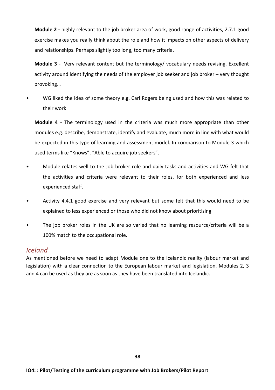**Module 2** - highly relevant to the job broker area of work, good range of activities, 2.7.1 good exercise makes you really think about the role and how it impacts on other aspects of delivery and relationships. Perhaps slightly too long, too many criteria.

**Module 3** - Very relevant content but the terminology/ vocabulary needs revising. Excellent activity around identifying the needs of the employer job seeker and job broker – very thought provoking…

WG liked the idea of some theory e.g. Carl Rogers being used and how this was related to their work

**Module 4** - The terminology used in the criteria was much more appropriate than other modules e.g. describe, demonstrate, identify and evaluate, much more in line with what would be expected in this type of learning and assessment model. In comparison to Module 3 which used terms like "Knows", "Able to acquire job seekers".

- Module relates well to the Job broker role and daily tasks and activities and WG felt that the activities and criteria were relevant to their roles, for both experienced and less experienced staff.
- Activity 4.4.1 good exercise and very relevant but some felt that this would need to be explained to less experienced or those who did not know about prioritising
- The job broker roles in the UK are so varied that no learning resource/criteria will be a 100% match to the occupational role.

# *Iceland*

As mentioned before we need to adapt Module one to the Icelandic reality (labour market and legislation) with a clear connection to the European labour market and legislation. Modules 2, 3 and 4 can be used as they are as soon as they have been translated into Icelandic.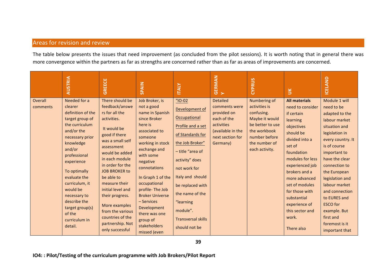# Areas for revision and review

The table below presents the issues that need improvement (as concluded from the pilot sessions). It is worth noting that in general there was more convergence within the partners as far as strengths are concerned rather than as far as areas of improvements are concerned.

|                     | <b>AUSTRIA</b>                                                                                                                                                                                                                                                                                                                 | <b>GREECE</b>                                                                                                                                                                                                                                                                                                                                                                               | <b>SPAIN</b>                                                                                                                                                                                                                                                                                                                                                    | <b>ITALY</b>                                                                                                                                                                                                                                                                                                  | <b>GERMAN</b><br>Y                                                                                                                | CYPRUS                                                                                                                                                | $\leq$                                                                                                                                                                                                                                                                                                                         | <b>ICELAND</b>                                                                                                                                                                                                                                                                                                                                                      |
|---------------------|--------------------------------------------------------------------------------------------------------------------------------------------------------------------------------------------------------------------------------------------------------------------------------------------------------------------------------|---------------------------------------------------------------------------------------------------------------------------------------------------------------------------------------------------------------------------------------------------------------------------------------------------------------------------------------------------------------------------------------------|-----------------------------------------------------------------------------------------------------------------------------------------------------------------------------------------------------------------------------------------------------------------------------------------------------------------------------------------------------------------|---------------------------------------------------------------------------------------------------------------------------------------------------------------------------------------------------------------------------------------------------------------------------------------------------------------|-----------------------------------------------------------------------------------------------------------------------------------|-------------------------------------------------------------------------------------------------------------------------------------------------------|--------------------------------------------------------------------------------------------------------------------------------------------------------------------------------------------------------------------------------------------------------------------------------------------------------------------------------|---------------------------------------------------------------------------------------------------------------------------------------------------------------------------------------------------------------------------------------------------------------------------------------------------------------------------------------------------------------------|
| Overall<br>comments | Needed for a<br>clearer<br>definition of the<br>target group of<br>the curriculum<br>and/or the<br>necessary prior<br>knowledge<br>and/or<br>professional<br>experience<br>To optimally<br>evaluate the<br>curriculum, it<br>would be<br>necessary to<br>describe the<br>target group(s)<br>of the<br>curriculum in<br>detail. | There should be<br>feedback/answe<br>rs for all the<br>activities.<br>It would be<br>good if there<br>was a small self<br>assessment<br>would be added<br>in each module<br>in order for the<br><b>JOB BROKER to</b><br>be able to<br>measure their<br>initial level and<br>their progress.<br>More examples<br>from the various<br>countries of the<br>partnership. Not<br>only successful | Job Broker, is<br>not a good<br>name in Spanish<br>since Broker<br>here is<br>associated to<br>someone<br>working in stock<br>exchange and<br>with some<br>negative<br>connotations<br>In Graph 1 of the<br>occupational<br>profile-The Job<br><b>Broker Universe</b><br>- Services<br>Development<br>there was one<br>group of<br>stakeholders<br>missed (even | $^{\prime\prime}$ IO-02<br>Development of<br>Occupational<br>Profile and a set<br>of Standards for<br>the Job Broker"<br>- title "area of<br>activity" does<br>not work for<br>Italy and should<br>be replaced with<br>the name of the<br>"learning<br>module".<br><b>Transversal skills</b><br>should not be | <b>Detailed</b><br>comments were<br>provided on<br>each of the<br>activities<br>(available in the<br>next section for<br>Germany) | Numbering of<br>activities is<br>confusing.<br>Maybe it would<br>be better to use<br>the workbook<br>number before<br>the number of<br>each activity. | <b>All materials</b><br>need to consider<br>if certain<br>learning<br>objectives<br>should be<br>divided into a<br>set of<br>foundation<br>modules for less<br>experienced job<br>brokers and a<br>more advanced<br>set of modules<br>for those with<br>substantial<br>experience of<br>this sector and<br>work.<br>There also | Module 1 will<br>need to be<br>adapted to the<br>labour market<br>situation and<br>legislation in<br>every country. It<br>is of course<br>important to<br>have the clear<br>connection to<br>the European<br>legislation and<br>labour market<br>and connection<br>to EURES and<br><b>ESCO</b> for<br>example. But<br>first and<br>foremost is it<br>important that |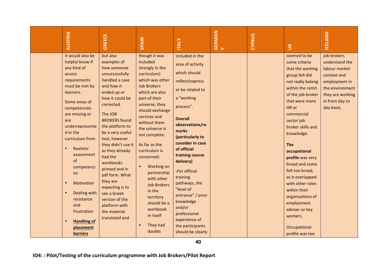| It would also be<br>but also<br>helpful know if<br>examples of                                                                                                                                                                                                                                                                                                                                                                                                                                                                                                                                                                                                                                                                                                                                                               | though it was<br>included<br>strongly in the<br>curriculum)                                                                                                                                                                                                                                                                                                                             | included in the<br>area of activity                                                                                                                                                                                                                                                                                                                                                                  |  |  | seemed to be                                                                                                                                                                                                                                                                                                                                                                                                                                                  |                                                                                                                                                       |  |  |  |
|------------------------------------------------------------------------------------------------------------------------------------------------------------------------------------------------------------------------------------------------------------------------------------------------------------------------------------------------------------------------------------------------------------------------------------------------------------------------------------------------------------------------------------------------------------------------------------------------------------------------------------------------------------------------------------------------------------------------------------------------------------------------------------------------------------------------------|-----------------------------------------------------------------------------------------------------------------------------------------------------------------------------------------------------------------------------------------------------------------------------------------------------------------------------------------------------------------------------------------|------------------------------------------------------------------------------------------------------------------------------------------------------------------------------------------------------------------------------------------------------------------------------------------------------------------------------------------------------------------------------------------------------|--|--|---------------------------------------------------------------------------------------------------------------------------------------------------------------------------------------------------------------------------------------------------------------------------------------------------------------------------------------------------------------------------------------------------------------------------------------------------------------|-------------------------------------------------------------------------------------------------------------------------------------------------------|--|--|--|
| any kind of<br>how someone<br>unsuccessfully<br>access<br>handled a case<br>requirements<br>and how it<br>must be met by<br>ended up or<br>learners.<br>how it could be<br>Some areas of<br>corrected.<br>competencies<br>The JOB<br>are missing or<br><b>BROKERS</b> found<br>are<br>underrepresente<br>the platform to<br>d in the<br>be a very useful<br>tool, however<br>curriculum from<br>they didn't use it<br>Realistic<br>$\bullet$<br>as they already<br>assessment<br>had the<br>of<br>workbooks<br>competenci<br>printed and in<br>es:<br>pdf form. What<br>they are<br>Motivation<br>$\bullet$<br>expecting is to<br>Dealing with<br>see a Greek<br>resistance<br>version of the<br>and<br>platform with<br>frustration<br>the material<br>translated and<br><b>Handling of</b><br>placement<br><b>barriers</b> | which was other<br><b>Job Brokers</b><br>which are also<br>part of their<br>universe, they<br>should exchange<br>services and<br>without them<br>the universe is<br>not complete.<br>As far as the<br>curriculum is<br>concerned:<br>Working on<br>partnership<br>with other<br><b>Job Brokers</b><br>in the<br>territory<br>should be a<br>workbook<br>in itself<br>They had<br>doubts | which should<br>reflect/express<br>or be related to<br>a "working<br>process".<br><b>Overall</b><br>observations/re<br>marks<br>(particularly to<br>consider in case<br>of official<br>training course<br>delivery)<br>-For official<br>training<br>pathways, the<br>"level of<br>entrance" / prior<br>knowledge<br>and/or<br>professional<br>experience of<br>the participants<br>should be clearly |  |  | some criteria<br>that the working<br>group felt did<br>not really belong<br>within the remit<br>of the job broker<br>that were more<br>HR or<br>commercial<br>sector job<br>broker skills and<br>knowledge.<br><b>The</b><br>occupational<br>profile was very<br>broad and some<br>felt too broad,<br>as it overlapped<br>with other roles<br>within their<br>organisations of<br>employment<br>adviser or key<br>workers.<br>Occupational<br>profile was too | job brokers<br>understand the<br>labour market<br>context and<br>employment in<br>the environment<br>they are working<br>in from day to<br>day basis. |  |  |  |
| 40<br>IO4:: Pilot/Testing of the curriculum programme with Job Brokers/Pilot Report                                                                                                                                                                                                                                                                                                                                                                                                                                                                                                                                                                                                                                                                                                                                          |                                                                                                                                                                                                                                                                                                                                                                                         |                                                                                                                                                                                                                                                                                                                                                                                                      |  |  |                                                                                                                                                                                                                                                                                                                                                                                                                                                               |                                                                                                                                                       |  |  |  |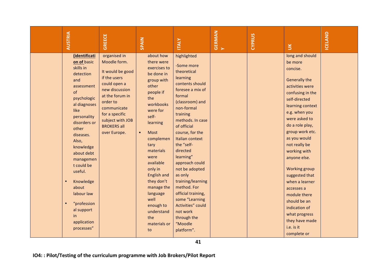|                                                                                     | <b>AUSTRIA</b>                                                                                                                                                                                                                                                                                                                                              | GREECE                                                                                                                                                                                                                       | SPAIN                                                                                                                                                                                                                                                                                                                                                        | <b>ITALY</b>                                                                                                                                                                                                                                                                                                                                                                                                                                                           | <b>GERMAN</b><br>Y | <b>CYPRUS</b> | $\leq$                                                                                                                                                                                                                                                                                                                                                                                                                                                           | ICELAND |  |
|-------------------------------------------------------------------------------------|-------------------------------------------------------------------------------------------------------------------------------------------------------------------------------------------------------------------------------------------------------------------------------------------------------------------------------------------------------------|------------------------------------------------------------------------------------------------------------------------------------------------------------------------------------------------------------------------------|--------------------------------------------------------------------------------------------------------------------------------------------------------------------------------------------------------------------------------------------------------------------------------------------------------------------------------------------------------------|------------------------------------------------------------------------------------------------------------------------------------------------------------------------------------------------------------------------------------------------------------------------------------------------------------------------------------------------------------------------------------------------------------------------------------------------------------------------|--------------------|---------------|------------------------------------------------------------------------------------------------------------------------------------------------------------------------------------------------------------------------------------------------------------------------------------------------------------------------------------------------------------------------------------------------------------------------------------------------------------------|---------|--|
|                                                                                     | (identificati<br>on of basic<br>skills in<br>detection<br>and<br>assessment<br>of<br>psychologic<br>al diagnoses<br>like<br>personality<br>disorders or<br>other<br>diseases.<br>Also,<br>knowledge<br>about debt<br>managemen<br>t could be<br>useful.<br>Knowledge<br>about<br>labour law<br>"profession<br>al support<br>in<br>application<br>processes" | organised in<br>Moodle form.<br>It would be good<br>if the users<br>could open a<br>new discussion<br>at the forum in<br>order to<br>communicate<br>for a specific<br>subject with JOB<br><b>BROKERS all</b><br>over Europe. | about how<br>there were<br>exercises to<br>be done in<br>group with<br>other<br>people if<br>the<br>workbooks<br>were for<br>self-<br>learning<br>Most<br>$\bullet$<br>complemen<br>tary<br>materials<br>were<br>available<br>only in<br>English and<br>they don't<br>manage the<br>language<br>well<br>enough to<br>understand<br>the<br>materials or<br>to | highlighted<br>-Some more<br>theoretical<br>learning<br>contents should<br>foresee a mix of<br>formal<br>(classroom) and<br>non-formal<br>training<br>methods. In case<br>of official<br>course, for the<br>Italian context<br>the "self-<br>directed<br>learning"<br>approach could<br>not be adopted<br>as only<br>training/learning<br>method. For<br>official training,<br>some "Learning<br>Activities" could<br>not work<br>through the<br>"Moodle<br>platform". |                    |               | long and should<br>be more<br>concise.<br>Generally the<br>activities were<br>confusing in the<br>self-directed<br>learning context<br>e.g. when you<br>were asked to<br>do a role play,<br>group work etc.<br>as you would<br>not really be<br>working with<br>anyone else.<br>Working group<br>suggested that<br>when a learner<br>accesses a<br>module there<br>should be an<br>indication of<br>what progress<br>they have made<br>i.e. is it<br>complete or |         |  |
| 41<br>IO4:: Pilot/Testing of the curriculum programme with Job Brokers/Pilot Report |                                                                                                                                                                                                                                                                                                                                                             |                                                                                                                                                                                                                              |                                                                                                                                                                                                                                                                                                                                                              |                                                                                                                                                                                                                                                                                                                                                                                                                                                                        |                    |               |                                                                                                                                                                                                                                                                                                                                                                                                                                                                  |         |  |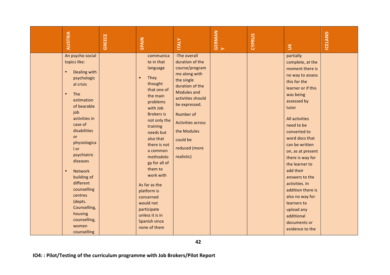| <b>AUSTRIA</b>                                                                                                                                                                                                                                                                                                                                                                                                     | <b>GREECE</b> | SPAIN                                                                                                                                                                                                                                                                                                                                                                                                            | <b>ITALY</b>                                                                                                                                                                                                                                                             | <b>GERMAN</b><br>Y | CYPRUS | $\leq$                                                                                                                                                                                                                                                                                                                                                                                                                                                                | ICELAND |
|--------------------------------------------------------------------------------------------------------------------------------------------------------------------------------------------------------------------------------------------------------------------------------------------------------------------------------------------------------------------------------------------------------------------|---------------|------------------------------------------------------------------------------------------------------------------------------------------------------------------------------------------------------------------------------------------------------------------------------------------------------------------------------------------------------------------------------------------------------------------|--------------------------------------------------------------------------------------------------------------------------------------------------------------------------------------------------------------------------------------------------------------------------|--------------------|--------|-----------------------------------------------------------------------------------------------------------------------------------------------------------------------------------------------------------------------------------------------------------------------------------------------------------------------------------------------------------------------------------------------------------------------------------------------------------------------|---------|
| An psycho-social<br>topics like:<br>Dealing with<br>$\bullet$<br>psychologic<br>al crisis<br>$\bullet$<br>The<br>estimation<br>of bearable<br>job<br>activities in<br>case of<br>disabilities<br>or<br>physiologica<br>I or<br>psychiatric<br>diseases<br>Network<br>$\bullet$<br>building of<br>different<br>counselling<br>centres<br>(depts.<br>Counselling,<br>housing<br>counselling,<br>women<br>counselling |               | communica<br>te in that<br>language<br>They<br>$\bullet$<br>thought<br>that one of<br>the main<br>problems<br>with Job<br><b>Brokers is</b><br>not only the<br>training<br>needs but<br>also that<br>there is not<br>a common<br>methodolo<br>gy for all of<br>them to<br>work with<br>As far as the<br>platform is<br>concerned<br>would not<br>participate<br>unless it is in<br>Spanish since<br>none of them | -The overall<br>duration of the<br>course/program<br>me along with<br>the single<br>duration of the<br><b>Modules and</b><br>activities should<br>be expressed.<br>Number of<br><b>Activities across</b><br>the Modules<br>could be<br>reduced (more<br>realistic)<br>42 |                    |        | partially<br>complete, at the<br>moment there is<br>no way to assess<br>this for the<br>learner or if this<br>was being<br>assessed by<br>tutor<br>All activities<br>need to be<br>converted to<br>word docs that<br>can be written<br>on, as at present<br>there is way for<br>the learner to<br>add their<br>answers to the<br>activities. In<br>addition there is<br>also no way for<br>learners to<br>upload any<br>additional<br>documents or<br>evidence to the |         |
|                                                                                                                                                                                                                                                                                                                                                                                                                    |               |                                                                                                                                                                                                                                                                                                                                                                                                                  | IO4:: Pilot/Testing of the curriculum programme with Job Brokers/Pilot Report                                                                                                                                                                                            |                    |        |                                                                                                                                                                                                                                                                                                                                                                                                                                                                       |         |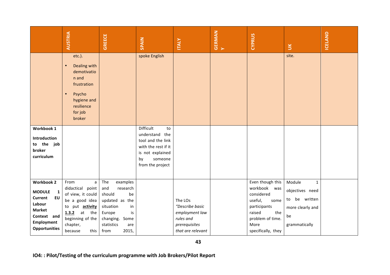|                                                                                                                                                                   | <b>AUSTRIA</b>                                                                                                                                                             | <b>GREECE</b>                                                                                                                                                   | SPAIN                                                                                                                                  | <b>ITALY</b>                                                                                    | <b>GERMAN</b><br>Y | <b>CYPRUS</b>                                                                                                                                           | $\leq$                                                                                                | ICELAND |  |
|-------------------------------------------------------------------------------------------------------------------------------------------------------------------|----------------------------------------------------------------------------------------------------------------------------------------------------------------------------|-----------------------------------------------------------------------------------------------------------------------------------------------------------------|----------------------------------------------------------------------------------------------------------------------------------------|-------------------------------------------------------------------------------------------------|--------------------|---------------------------------------------------------------------------------------------------------------------------------------------------------|-------------------------------------------------------------------------------------------------------|---------|--|
|                                                                                                                                                                   | etc.).<br>Dealing with<br>demotivatio<br>n and<br>frustration<br>Psycho<br>$\bullet$<br>hygiene and<br>resilience<br>for job<br>broker                                     |                                                                                                                                                                 | spoke English                                                                                                                          |                                                                                                 |                    |                                                                                                                                                         | site.                                                                                                 |         |  |
| Workbook 1<br>Introduction<br>to the job<br>broker<br>curriculum                                                                                                  |                                                                                                                                                                            |                                                                                                                                                                 | Difficult<br>to<br>understand the<br>tool and the link<br>with the rest if it<br>is not explained<br>by<br>someone<br>from the project |                                                                                                 |                    |                                                                                                                                                         |                                                                                                       |         |  |
| <b>Workbook 2</b><br><b>MODULE</b><br>$\mathbf{1}$<br><b>Current</b><br><b>EU</b><br>Labour<br><b>Market</b><br>Context and<br>Employment<br><b>Opportunities</b> | $\mathsf{a}$<br>From<br>didactical point<br>of view, it could<br>be a good idea<br>to put activity<br>$1.3.2$ at<br>the<br>beginning of the<br>chapter,<br>because<br>this | The<br>examples<br>research<br>and<br>should<br>be<br>updated as the<br>situation<br>in<br>Europe<br>is<br>changing. Some<br>statistics<br>are<br>from<br>2015, |                                                                                                                                        | The LOs<br>"Describe basic<br>employment law<br>rules and<br>prerequisites<br>that are relevant |                    | Even though this<br>workbook<br>was<br>considered<br>useful,<br>some<br>participants<br>raised<br>the<br>problem of time.<br>More<br>specifically, they | Module<br>$\mathbf{1}$<br>objectives need<br>to be written<br>more clearly and<br>be<br>grammatically |         |  |
| 43<br>IO4:: Pilot/Testing of the curriculum programme with Job Brokers/Pilot Report                                                                               |                                                                                                                                                                            |                                                                                                                                                                 |                                                                                                                                        |                                                                                                 |                    |                                                                                                                                                         |                                                                                                       |         |  |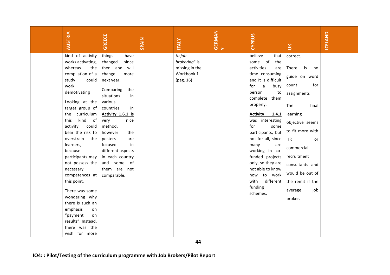| <b>AUSTRIA</b>                                                                | <b>GREECE</b>             | <b>SPAIN</b> | <b>ITALY</b>   | <b>GERMAN</b><br>Y | <b>CYPRUS</b>                         | $\leq$            | <b>ICELAND</b> |
|-------------------------------------------------------------------------------|---------------------------|--------------|----------------|--------------------|---------------------------------------|-------------------|----------------|
| kind of activity                                                              | things<br>have            |              | to job-        |                    | believe<br>that                       | correct.          |                |
| works activating,                                                             | changed<br>since          |              | brokering" is  |                    | some of<br>the                        |                   |                |
| whereas<br>the                                                                | then and will             |              | missing in the |                    | activities<br>are                     | There<br>is<br>no |                |
| compilation of a<br>study<br>could                                            | change<br>more            |              | Workbook 1     |                    | time consuming<br>and it is difficult | guide on word     |                |
| work                                                                          | next year.                |              | (pag. 16)      |                    | $\mathsf{a}$<br>for<br>busy           | for<br>count      |                |
| demotivating                                                                  | Comparing<br>the          |              |                |                    | person<br>to                          |                   |                |
|                                                                               | situations<br>in          |              |                |                    | complete them                         | assignments       |                |
| Looking at the                                                                | various                   |              |                |                    | properly.                             | The<br>final      |                |
| target group of                                                               | countries<br>in           |              |                |                    |                                       |                   |                |
| curriculum<br>the                                                             | Activity 1.6.1 is         |              |                |                    | <b>Activity</b><br>1.4.1              | learning          |                |
| kind<br>this<br>of                                                            | very<br>nice              |              |                |                    | was interesting                       | objective seems   |                |
| activity<br>could<br>bear the risk to                                         | method,<br>however<br>the |              |                |                    | for<br>some<br>participants, but      | to fit more with  |                |
| overstrain<br>the                                                             | posters<br>are            |              |                |                    | not for all, since                    | HR                |                |
| learners,                                                                     | focused<br>in             |              |                |                    | many<br>are                           | or                |                |
| because                                                                       | different aspects         |              |                |                    | working in co-                        | commercial        |                |
| participants may                                                              | in each country           |              |                |                    | funded projects                       | recruitment       |                |
| not possess the                                                               | and some of               |              |                |                    | only, so they are                     | consultants and   |                |
| necessary                                                                     | them are not              |              |                |                    | not able to know                      |                   |                |
| competences at                                                                | comparable.               |              |                |                    | how to work                           | would be out of   |                |
| this point.                                                                   |                           |              |                |                    | with<br>different                     | the remit if the  |                |
| There was some                                                                |                           |              |                |                    | funding                               | job<br>average    |                |
| wondering why                                                                 |                           |              |                |                    | schemes.                              | broker.           |                |
| there is such an                                                              |                           |              |                |                    |                                       |                   |                |
| emphasis<br>on                                                                |                           |              |                |                    |                                       |                   |                |
| "payment<br>on                                                                |                           |              |                |                    |                                       |                   |                |
| results". Instead,                                                            |                           |              |                |                    |                                       |                   |                |
| there was the                                                                 |                           |              |                |                    |                                       |                   |                |
| wish for more                                                                 |                           |              |                |                    |                                       |                   |                |
|                                                                               |                           |              | 44             |                    |                                       |                   |                |
|                                                                               |                           |              |                |                    |                                       |                   |                |
| IO4:: Pilot/Testing of the curriculum programme with Job Brokers/Pilot Report |                           |              |                |                    |                                       |                   |                |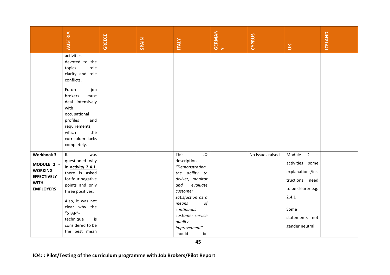|                                                                                                            | <b>AUSTRIA</b>                                                                                                                                                                                                                                          | <b>GREECE</b> | SPAIN | <b>ITALY</b>                                                                                                                                                                                                                     | <b>GERMAN</b><br>Y | <b>CYPRUS</b>    | $\check{\mathbf{5}}$                                                                                                                                                                  | ICELAND |  |
|------------------------------------------------------------------------------------------------------------|---------------------------------------------------------------------------------------------------------------------------------------------------------------------------------------------------------------------------------------------------------|---------------|-------|----------------------------------------------------------------------------------------------------------------------------------------------------------------------------------------------------------------------------------|--------------------|------------------|---------------------------------------------------------------------------------------------------------------------------------------------------------------------------------------|---------|--|
|                                                                                                            | activities<br>devoted to the<br>topics<br>role<br>clarity and role<br>conflicts.<br>Future<br>job<br>brokers<br>must<br>deal intensively<br>with<br>occupational<br>profiles<br>and<br>requirements,<br>which<br>the<br>curriculum lacks<br>completely. |               |       |                                                                                                                                                                                                                                  |                    |                  |                                                                                                                                                                                       |         |  |
| <b>Workbook 3</b><br>MODULE 2 -<br><b>WORKING</b><br><b>EFFECTIVELY</b><br><b>WITH</b><br><b>EMPLOYERS</b> | It<br>was<br>questioned why<br>in activity 2.4.1.<br>there is asked<br>for four negative<br>points and only<br>three positives.<br>Also, it was not<br>clear why the<br>"STAR"-<br>technique<br>is<br>considered to be<br>the best mean                 |               |       | LO<br>The<br>description<br>"Demonstrating<br>the ability to<br>deliver, monitor<br>evaluate<br>and<br>customer<br>satisfaction as a<br>of<br>means<br>continuous<br>customer service<br>quality<br>improvement"<br>should<br>be |                    | No issues raised | $2^{\circ}$<br>Module<br>$\overline{\phantom{a}}$<br>activities some<br>explanations/ins<br>tructions need<br>to be clearer e.g.<br>2.4.1<br>Some<br>statements not<br>gender neutral |         |  |
|                                                                                                            | 45<br>IO4:: Pilot/Testing of the curriculum programme with Job Brokers/Pilot Report                                                                                                                                                                     |               |       |                                                                                                                                                                                                                                  |                    |                  |                                                                                                                                                                                       |         |  |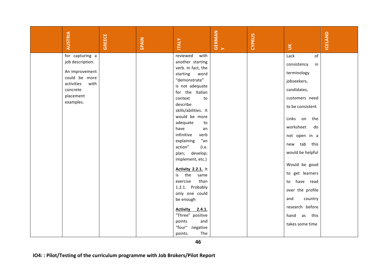| <b>AUSTRIA</b>                                                                                                  | <b>GREECE</b> | SPAIN | <b>ITALY</b>                                                                                                                                                                            | <b>GERMAN</b><br>Y | CYPRUS | $\leq$                                                                                                         | ICELAND |
|-----------------------------------------------------------------------------------------------------------------|---------------|-------|-----------------------------------------------------------------------------------------------------------------------------------------------------------------------------------------|--------------------|--------|----------------------------------------------------------------------------------------------------------------|---------|
| job description.<br>An improvement<br>could be more<br>activities<br>with<br>concrete<br>placement<br>examples. |               |       | another starting<br>verb. In fact, the<br>starting<br>word<br>"demonstrate"<br>is not adequate<br>for the Italian<br>context<br>to<br>describe<br>skills/abilities. It<br>would be more |                    |        | consistency<br>in<br>terminology<br>jobseekers,<br>candidates,<br>customers need<br>to be consistent           |         |
|                                                                                                                 |               |       | adequate<br>to<br>have<br>an<br>infinitive<br>verb<br>"an<br>explaining<br>action"<br>(i.e.<br>plan; develop;<br>implement, etc.)<br><b>Activity 2.2.1.</b> It                          |                    |        | Links on<br>the<br>worksheet<br>do<br>not open in a<br>tab<br>this<br>new<br>would be helpful<br>Would be good |         |
|                                                                                                                 |               |       | the<br>is<br>same<br>exercise<br>than<br>1.2.1. Probably<br>only one could<br>be enough<br>Activity 2.4.1.                                                                              |                    |        | to get learners<br>have read<br>to<br>over the profile<br>and<br>country<br>research before                    |         |
|                                                                                                                 |               |       | "Three" positive<br>points<br>and<br>"four" negative<br>The<br>points.<br>46                                                                                                            |                    |        | hand<br>as this<br>takes some time                                                                             |         |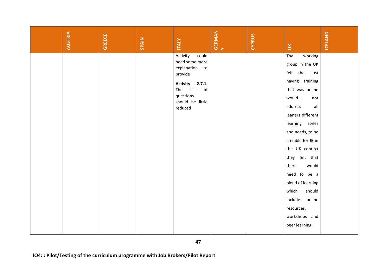|                                                                                     | <b>AUSTRIA</b> | <b>GREECE</b> | SPAIN | <b>ITALY</b>                     | <b>GERMAN</b><br>Y | CYPRUS | $\leq$             | ICELAND |  |
|-------------------------------------------------------------------------------------|----------------|---------------|-------|----------------------------------|--------------------|--------|--------------------|---------|--|
|                                                                                     |                |               |       | Activity<br>could                |                    |        | The<br>working     |         |  |
|                                                                                     |                |               |       | need some more<br>explanation to |                    |        | group in the UK    |         |  |
|                                                                                     |                |               |       | provide                          |                    |        | felt that just     |         |  |
|                                                                                     |                |               |       | <b>Activity</b><br>2.7.1.        |                    |        | having training    |         |  |
|                                                                                     |                |               |       | list<br>$\mathsf{of}$<br>The     |                    |        | that was online    |         |  |
|                                                                                     |                |               |       | questions<br>should be little    |                    |        | would<br>not       |         |  |
|                                                                                     |                |               |       | reduced                          |                    |        | address<br>all     |         |  |
|                                                                                     |                |               |       |                                  |                    |        | leaners different  |         |  |
|                                                                                     |                |               |       |                                  |                    |        | learning styles    |         |  |
|                                                                                     |                |               |       |                                  |                    |        | and needs, to be   |         |  |
|                                                                                     |                |               |       |                                  |                    |        | credible for JB in |         |  |
|                                                                                     |                |               |       |                                  |                    |        | the UK context     |         |  |
|                                                                                     |                |               |       |                                  |                    |        | they felt that     |         |  |
|                                                                                     |                |               |       |                                  |                    |        | there<br>would     |         |  |
|                                                                                     |                |               |       |                                  |                    |        | need to be a       |         |  |
|                                                                                     |                |               |       |                                  |                    |        | blend of learning  |         |  |
|                                                                                     |                |               |       |                                  |                    |        | which<br>should    |         |  |
|                                                                                     |                |               |       |                                  |                    |        | include<br>online  |         |  |
|                                                                                     |                |               |       |                                  |                    |        | resources,         |         |  |
|                                                                                     |                |               |       |                                  |                    |        | workshops and      |         |  |
|                                                                                     |                |               |       |                                  |                    |        | peer learning.     |         |  |
| 47<br>IO4:: Pilot/Testing of the curriculum programme with Job Brokers/Pilot Report |                |               |       |                                  |                    |        |                    |         |  |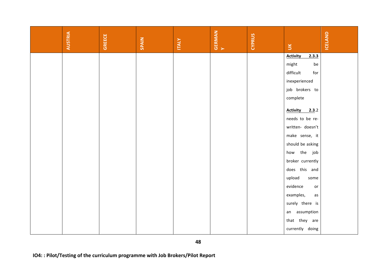| <b>AUSTRIA</b>                                                                      | <b>GREECE</b> | SPAIN | <b>ITALY</b> | <b>GERMAN</b><br>Y | CYPRUS | $\leq$                   | ICELAND |  |  |
|-------------------------------------------------------------------------------------|---------------|-------|--------------|--------------------|--------|--------------------------|---------|--|--|
|                                                                                     |               |       |              |                    |        | <b>Activity</b><br>2.3.3 |         |  |  |
|                                                                                     |               |       |              |                    |        | might<br>be              |         |  |  |
|                                                                                     |               |       |              |                    |        | difficult<br>for         |         |  |  |
|                                                                                     |               |       |              |                    |        | inexperienced            |         |  |  |
|                                                                                     |               |       |              |                    |        | job brokers to           |         |  |  |
|                                                                                     |               |       |              |                    |        | complete                 |         |  |  |
|                                                                                     |               |       |              |                    |        | Activity 2.3.2           |         |  |  |
|                                                                                     |               |       |              |                    |        | needs to be re-          |         |  |  |
|                                                                                     |               |       |              |                    |        | written- doesn't         |         |  |  |
|                                                                                     |               |       |              |                    |        | make sense, it           |         |  |  |
|                                                                                     |               |       |              |                    |        | should be asking         |         |  |  |
|                                                                                     |               |       |              |                    |        | how the job              |         |  |  |
|                                                                                     |               |       |              |                    |        | broker currently         |         |  |  |
|                                                                                     |               |       |              |                    |        | does this and            |         |  |  |
|                                                                                     |               |       |              |                    |        | upload<br>some           |         |  |  |
|                                                                                     |               |       |              |                    |        | evidence<br>or           |         |  |  |
|                                                                                     |               |       |              |                    |        | examples,<br>as          |         |  |  |
|                                                                                     |               |       |              |                    |        | surely there is          |         |  |  |
|                                                                                     |               |       |              |                    |        | an assumption            |         |  |  |
|                                                                                     |               |       |              |                    |        | that they are            |         |  |  |
|                                                                                     |               |       |              |                    |        | currently doing          |         |  |  |
| 48<br>IO4:: Pilot/Testing of the curriculum programme with Job Brokers/Pilot Report |               |       |              |                    |        |                          |         |  |  |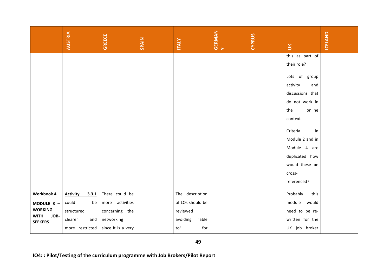|                                       | <b>AUSTRIA</b>                                                                      | <b>GREECE</b>      | SPAIN | <b>ITALY</b>      | <b>GERMAN</b><br>Y | CYPRUS | $\preceq$                        | ICELAND |  |
|---------------------------------------|-------------------------------------------------------------------------------------|--------------------|-------|-------------------|--------------------|--------|----------------------------------|---------|--|
|                                       |                                                                                     |                    |       |                   |                    |        | this as part of                  |         |  |
|                                       |                                                                                     |                    |       |                   |                    |        | their role?                      |         |  |
|                                       |                                                                                     |                    |       |                   |                    |        | Lots of group                    |         |  |
|                                       |                                                                                     |                    |       |                   |                    |        | activity<br>and                  |         |  |
|                                       |                                                                                     |                    |       |                   |                    |        | discussions that                 |         |  |
|                                       |                                                                                     |                    |       |                   |                    |        | do not work in                   |         |  |
|                                       |                                                                                     |                    |       |                   |                    |        | online<br>the                    |         |  |
|                                       |                                                                                     |                    |       |                   |                    |        | context                          |         |  |
|                                       |                                                                                     |                    |       |                   |                    |        |                                  |         |  |
|                                       |                                                                                     |                    |       |                   |                    |        | Criteria<br>in                   |         |  |
|                                       |                                                                                     |                    |       |                   |                    |        | Module 2 and in                  |         |  |
|                                       |                                                                                     |                    |       |                   |                    |        | Module 4 are                     |         |  |
|                                       |                                                                                     |                    |       |                   |                    |        | duplicated how<br>would these be |         |  |
|                                       |                                                                                     |                    |       |                   |                    |        | cross-                           |         |  |
|                                       |                                                                                     |                    |       |                   |                    |        | referenced?                      |         |  |
|                                       |                                                                                     |                    |       |                   |                    |        |                                  |         |  |
| Workbook 4                            | 3.3.1<br><b>Activity</b>                                                            | There could be     |       | The description   |                    |        | Probably<br>this                 |         |  |
| MODULE 3 -                            | could<br>be                                                                         | more activities    |       | of LOs should be  |                    |        | module would                     |         |  |
| <b>WORKING</b><br><b>WITH</b><br>JOB- | structured                                                                          | concerning the     |       | reviewed          |                    |        | need to be re-                   |         |  |
| <b>SEEKERS</b>                        | clearer<br>and                                                                      | networking         |       | "able<br>avoiding |                    |        | written for the                  |         |  |
|                                       | more restricted                                                                     | since it is a very |       | to''<br>for       |                    |        | UK job broker                    |         |  |
|                                       | 49<br>IO4:: Pilot/Testing of the curriculum programme with Job Brokers/Pilot Report |                    |       |                   |                    |        |                                  |         |  |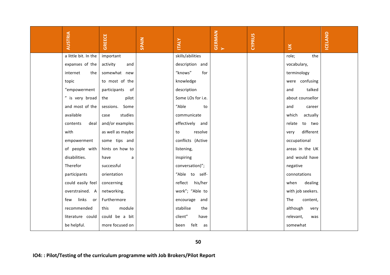|                                                                                     | <b>AUSTRIA</b>       | <b>GREECE</b>    | SPAIN | <b>ITALY</b>       | <b>GERMAN</b><br>Y | CYPRUS | $\leq$            | ICELAND |  |
|-------------------------------------------------------------------------------------|----------------------|------------------|-------|--------------------|--------------------|--------|-------------------|---------|--|
|                                                                                     | a little bit. In the | important        |       | skills/abilities   |                    |        | the<br>role;      |         |  |
|                                                                                     | expanses of the      | activity<br>and  |       | description and    |                    |        | vocabulary,       |         |  |
|                                                                                     | internet<br>the      | somewhat new     |       | "knows"<br>for     |                    |        | terminology       |         |  |
|                                                                                     | topic                | to most of the   |       | knowledge          |                    |        | were confusing    |         |  |
|                                                                                     | "empowerment         | participants of  |       | description        |                    |        | talked<br>and     |         |  |
|                                                                                     | " is very broad      | the<br>pilot     |       | Some LOs for i.e.  |                    |        | about counsellor  |         |  |
|                                                                                     | and most of the      | sessions. Some   |       | "Able<br>to        |                    |        | and<br>career     |         |  |
|                                                                                     | available            | studies<br>case  |       | communicate        |                    |        | which<br>actually |         |  |
|                                                                                     | contents<br>deal     | and/or examples  |       | effectively and    |                    |        | to two<br>relate  |         |  |
|                                                                                     | with                 | as well as maybe |       | resolve<br>to      |                    |        | different<br>very |         |  |
|                                                                                     | empowerment          | some tips and    |       | conflicts (Active  |                    |        | occupational      |         |  |
|                                                                                     | of people with       | hints on how to  |       | listening,         |                    |        | areas in the UK   |         |  |
|                                                                                     | disabilities.        | have<br>a        |       | inspiring          |                    |        | and would have    |         |  |
|                                                                                     | Therefor             | successful       |       | conversation)";    |                    |        | negative          |         |  |
|                                                                                     | participants         | orientation      |       | "Able to self-     |                    |        | connotations      |         |  |
|                                                                                     | could easily feel    | concerning       |       | reflect his/her    |                    |        | when<br>dealing   |         |  |
|                                                                                     | overstrained. A      | networking.      |       | work"; "Able to    |                    |        | with job seekers. |         |  |
|                                                                                     | links<br>few<br>. or | Furthermore      |       | encourage and      |                    |        | The<br>content,   |         |  |
|                                                                                     | recommended          | module<br>this   |       | stabilise<br>the   |                    |        | although<br>very  |         |  |
|                                                                                     | literature could     | could be a bit   |       | client"<br>have    |                    |        | relevant,<br>was  |         |  |
|                                                                                     | be helpful.          | more focused on  |       | felt<br>been<br>as |                    |        | somewhat          |         |  |
| 50<br>IO4:: Pilot/Testing of the curriculum programme with Job Brokers/Pilot Report |                      |                  |       |                    |                    |        |                   |         |  |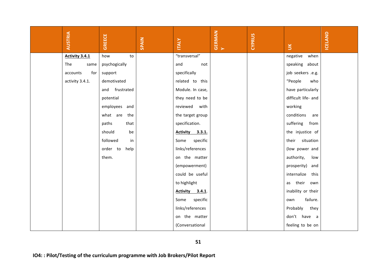|                                                                                     | <b>AUSTRIA</b>  | <b>GREECE</b>    | SPAIN | <b>ITALY</b>           | <b>GERMAN</b><br>Y | <b>CYPRUS</b> | $\leq$              | ICELAND |  |  |
|-------------------------------------------------------------------------------------|-----------------|------------------|-------|------------------------|--------------------|---------------|---------------------|---------|--|--|
|                                                                                     | Activity 3.4.1  | to<br>how        |       | "transversal"          |                    |               | negative<br>when    |         |  |  |
|                                                                                     | The<br>same     | psychogically    |       | and<br>not             |                    |               | speaking about      |         |  |  |
|                                                                                     | for<br>accounts | support          |       | specifically           |                    |               | job seekers .e.g.   |         |  |  |
|                                                                                     | activity 3.4.1. | demotivated      |       | related to this        |                    |               | "People<br>who      |         |  |  |
|                                                                                     |                 | and frustrated   |       | Module. In case,       |                    |               | have particularly   |         |  |  |
|                                                                                     |                 | potential        |       | they need to be        |                    |               | difficult life- and |         |  |  |
|                                                                                     |                 | employees and    |       | reviewed<br>with       |                    |               | working             |         |  |  |
|                                                                                     |                 | what are the     |       | the target group       |                    |               | conditions<br>are   |         |  |  |
|                                                                                     |                 | paths<br>that    |       | specification.         |                    |               | suffering from      |         |  |  |
|                                                                                     |                 | should<br>be     |       | Activity 3.3.1.        |                    |               | the injustice of    |         |  |  |
|                                                                                     |                 | followed<br>in   |       | specific<br>Some       |                    |               | their situation     |         |  |  |
|                                                                                     |                 | order to<br>help |       | links/references       |                    |               | (low power and      |         |  |  |
|                                                                                     |                 | them.            |       | on the matter          |                    |               | authority,<br>low   |         |  |  |
|                                                                                     |                 |                  |       | (empowerment)          |                    |               | prosperity) and     |         |  |  |
|                                                                                     |                 |                  |       | could be useful        |                    |               | internalize<br>this |         |  |  |
|                                                                                     |                 |                  |       | to highlight           |                    |               | as their own        |         |  |  |
|                                                                                     |                 |                  |       | <b>Activity</b> 3.4.1. |                    |               | inability or their  |         |  |  |
|                                                                                     |                 |                  |       | specific<br>Some       |                    |               | failure.<br>own     |         |  |  |
|                                                                                     |                 |                  |       | links/references       |                    |               | Probably<br>they    |         |  |  |
|                                                                                     |                 |                  |       | on the matter          |                    |               | don't have a        |         |  |  |
|                                                                                     |                 |                  |       | (Conversational        |                    |               | feeling to be on    |         |  |  |
| 51<br>IO4:: Pilot/Testing of the curriculum programme with Job Brokers/Pilot Report |                 |                  |       |                        |                    |               |                     |         |  |  |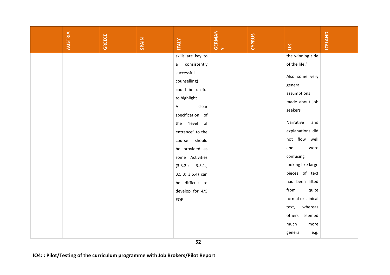| <b>AUSTRIA</b> | <b>GREECE</b> | SPAIN | <b>ITALY</b>                                                                  | <b>GERMAN</b><br>Y | <b>CYPRUS</b> | $\leq$             | ICELAND |
|----------------|---------------|-------|-------------------------------------------------------------------------------|--------------------|---------------|--------------------|---------|
|                |               |       | skills are key to                                                             |                    |               | the winning side   |         |
|                |               |       | consistently<br>a                                                             |                    |               | of the life."      |         |
|                |               |       | successful                                                                    |                    |               | Also some very     |         |
|                |               |       | counselling)                                                                  |                    |               | general            |         |
|                |               |       | could be useful                                                               |                    |               | assumptions        |         |
|                |               |       | to highlight                                                                  |                    |               | made about job     |         |
|                |               |       | clear<br>Α                                                                    |                    |               | seekers            |         |
|                |               |       | specification of                                                              |                    |               |                    |         |
|                |               |       | the "level<br>of                                                              |                    |               | Narrative<br>and   |         |
|                |               |       | entrance" to the                                                              |                    |               | explanations did   |         |
|                |               |       | should<br>course                                                              |                    |               | not flow well      |         |
|                |               |       | be provided as                                                                |                    |               | and<br>were        |         |
|                |               |       | some Activities                                                               |                    |               | confusing          |         |
|                |               |       | (3.3.2.; 3.5.1.;                                                              |                    |               | looking like large |         |
|                |               |       | 3.5.3; 3.5.4) can                                                             |                    |               | pieces of text     |         |
|                |               |       | be difficult to                                                               |                    |               | had been lifted    |         |
|                |               |       | develop for 4/5                                                               |                    |               | from<br>quite      |         |
|                |               |       | EQF                                                                           |                    |               | formal or clinical |         |
|                |               |       |                                                                               |                    |               | text,<br>whereas   |         |
|                |               |       |                                                                               |                    |               | others seemed      |         |
|                |               |       |                                                                               |                    |               | much<br>more       |         |
|                |               |       |                                                                               |                    |               | general<br>e.g.    |         |
|                |               |       | 52                                                                            |                    |               |                    |         |
|                |               |       | IO4:: Pilot/Testing of the curriculum programme with Job Brokers/Pilot Report |                    |               |                    |         |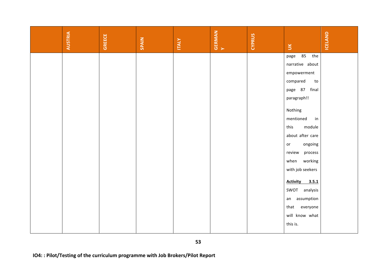|                                                                                     | <b>AUSTRIA</b> | <b>GREECE</b> | SPAIN | <b>ITALY</b> | <b>GERMAN</b><br>Y | <b>CYPRUS</b> | $\leq$                   | ICELAND |  |  |  |
|-------------------------------------------------------------------------------------|----------------|---------------|-------|--------------|--------------------|---------------|--------------------------|---------|--|--|--|
|                                                                                     |                |               |       |              |                    |               | 85 the<br>page           |         |  |  |  |
|                                                                                     |                |               |       |              |                    |               | narrative about          |         |  |  |  |
|                                                                                     |                |               |       |              |                    |               | empowerment              |         |  |  |  |
|                                                                                     |                |               |       |              |                    |               | compared<br>to           |         |  |  |  |
|                                                                                     |                |               |       |              |                    |               | page 87 final            |         |  |  |  |
|                                                                                     |                |               |       |              |                    |               | paragraph!!              |         |  |  |  |
|                                                                                     |                |               |       |              |                    |               | Nothing                  |         |  |  |  |
|                                                                                     |                |               |       |              |                    |               | mentioned<br>in          |         |  |  |  |
|                                                                                     |                |               |       |              |                    |               | module<br>this           |         |  |  |  |
|                                                                                     |                |               |       |              |                    |               | about after care         |         |  |  |  |
|                                                                                     |                |               |       |              |                    |               | ongoing<br>or            |         |  |  |  |
|                                                                                     |                |               |       |              |                    |               | process<br>review        |         |  |  |  |
|                                                                                     |                |               |       |              |                    |               | working<br>when          |         |  |  |  |
|                                                                                     |                |               |       |              |                    |               | with job seekers         |         |  |  |  |
|                                                                                     |                |               |       |              |                    |               | <b>Activity</b><br>3.5.1 |         |  |  |  |
|                                                                                     |                |               |       |              |                    |               | SWOT analysis            |         |  |  |  |
|                                                                                     |                |               |       |              |                    |               | an assumption            |         |  |  |  |
|                                                                                     |                |               |       |              |                    |               | that<br>everyone         |         |  |  |  |
|                                                                                     |                |               |       |              |                    |               | will know what           |         |  |  |  |
|                                                                                     |                |               |       |              |                    |               | this is.                 |         |  |  |  |
|                                                                                     |                |               |       |              |                    |               |                          |         |  |  |  |
| 53<br>IO4:: Pilot/Testing of the curriculum programme with Job Brokers/Pilot Report |                |               |       |              |                    |               |                          |         |  |  |  |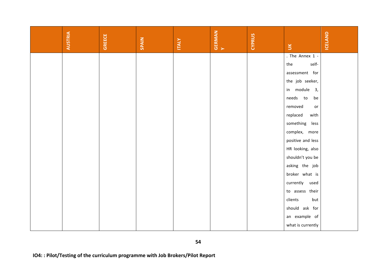|                                                                                     | <b>AUSTRIA</b> | <b>GREECE</b> | SPAIN | <b>ITALY</b> | <b>GERMAN</b><br>Y | <b>CYPRUS</b> | $\leq$            | ICELAND |  |  |
|-------------------------------------------------------------------------------------|----------------|---------------|-------|--------------|--------------------|---------------|-------------------|---------|--|--|
|                                                                                     |                |               |       |              |                    |               | . The Annex 1 -   |         |  |  |
|                                                                                     |                |               |       |              |                    |               | self-<br>the      |         |  |  |
|                                                                                     |                |               |       |              |                    |               | assessment for    |         |  |  |
|                                                                                     |                |               |       |              |                    |               | the job seeker,   |         |  |  |
|                                                                                     |                |               |       |              |                    |               | in module 3,      |         |  |  |
|                                                                                     |                |               |       |              |                    |               | needs to<br>be    |         |  |  |
|                                                                                     |                |               |       |              |                    |               | removed<br>or     |         |  |  |
|                                                                                     |                |               |       |              |                    |               | replaced<br>with  |         |  |  |
|                                                                                     |                |               |       |              |                    |               | something<br>less |         |  |  |
|                                                                                     |                |               |       |              |                    |               | complex, more     |         |  |  |
|                                                                                     |                |               |       |              |                    |               | positive and less |         |  |  |
|                                                                                     |                |               |       |              |                    |               | HR looking, also  |         |  |  |
|                                                                                     |                |               |       |              |                    |               | shouldn't you be  |         |  |  |
|                                                                                     |                |               |       |              |                    |               | asking the job    |         |  |  |
|                                                                                     |                |               |       |              |                    |               | broker what is    |         |  |  |
|                                                                                     |                |               |       |              |                    |               | currently used    |         |  |  |
|                                                                                     |                |               |       |              |                    |               | to assess their   |         |  |  |
|                                                                                     |                |               |       |              |                    |               | clients<br>but    |         |  |  |
|                                                                                     |                |               |       |              |                    |               | should ask for    |         |  |  |
|                                                                                     |                |               |       |              |                    |               | an example of     |         |  |  |
|                                                                                     |                |               |       |              |                    |               | what is currently |         |  |  |
| 54<br>IO4:: Pilot/Testing of the curriculum programme with Job Brokers/Pilot Report |                |               |       |              |                    |               |                   |         |  |  |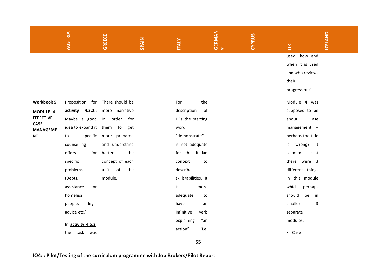|                                | <b>AUSTRIA</b>                                                                | GREECE             | SPAIN | <b>ITALY</b>         | <b>GERMAN</b><br>Y | CYPRUS | $\leq$             | ICELAND |
|--------------------------------|-------------------------------------------------------------------------------|--------------------|-------|----------------------|--------------------|--------|--------------------|---------|
|                                |                                                                               |                    |       |                      |                    |        | used, how and      |         |
|                                |                                                                               |                    |       |                      |                    |        | when it is used    |         |
|                                |                                                                               |                    |       |                      |                    |        | and who reviews    |         |
|                                |                                                                               |                    |       |                      |                    |        | their              |         |
|                                |                                                                               |                    |       |                      |                    |        | progression?       |         |
| <b>Workbook 5</b>              | Proposition for                                                               | There should be    |       | For<br>the           |                    |        | Module 4 was       |         |
|                                | activity 4.3.2.:                                                              | more narrative     |       | description<br>of    |                    |        | supposed to be     |         |
| MODULE 4 -<br><b>EFFECTIVE</b> | Maybe a good                                                                  | order<br>for<br>in |       | LOs the starting     |                    |        | about<br>Case      |         |
| <b>CASE</b>                    | idea to expand it $ $                                                         | them to<br>get     |       | word                 |                    |        | management -       |         |
| <b>MANAGEME</b><br><b>NT</b>   | specific<br>to                                                                | more prepared      |       | "demonstrate"        |                    |        | perhaps the title  |         |
|                                | counselling                                                                   | and understand     |       | is not adequate      |                    |        |                    |         |
|                                |                                                                               |                    |       |                      |                    |        | is wrong? It       |         |
|                                | offers<br>for                                                                 | better<br>the      |       | for the Italian      |                    |        | seemed<br>that     |         |
|                                | specific                                                                      | concept of each    |       | context<br>to        |                    |        | there were 3       |         |
|                                | problems                                                                      | unit<br>of<br>the  |       | describe             |                    |        | different things   |         |
|                                | (Debts,                                                                       | module.            |       | skills/abilities. It |                    |        | in this module     |         |
|                                | assistance<br>for                                                             |                    |       | is<br>more           |                    |        | perhaps<br>which   |         |
|                                | homeless                                                                      |                    |       | adequate<br>to       |                    |        | should<br>be<br>in |         |
|                                | people,<br>legal                                                              |                    |       | have<br>an           |                    |        | smaller<br>3       |         |
|                                | advice etc.)                                                                  |                    |       | infinitive<br>verb   |                    |        | separate           |         |
|                                | In activity 4.6.2.                                                            |                    |       | "an<br>explaining    |                    |        | modules:           |         |
|                                | the task was                                                                  |                    |       | action"<br>(i.e.     |                    |        | $\bullet$ Case     |         |
|                                |                                                                               |                    |       | 55                   |                    |        |                    |         |
|                                | IO4:: Pilot/Testing of the curriculum programme with Job Brokers/Pilot Report |                    |       |                      |                    |        |                    |         |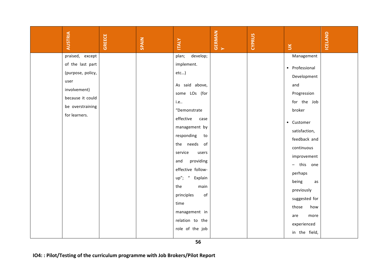| <b>AUSTRIA</b>                                                                                                                            | <b>GREECE</b> | SPAIN | <b>ITALY</b>                                                                                                                                                                                                                                                                                                    | <b>GERMAN</b> | <b>CYPRUS</b> | $\leq$                                                                                                                                                                                                                                                        | ICELAND |
|-------------------------------------------------------------------------------------------------------------------------------------------|---------------|-------|-----------------------------------------------------------------------------------------------------------------------------------------------------------------------------------------------------------------------------------------------------------------------------------------------------------------|---------------|---------------|---------------------------------------------------------------------------------------------------------------------------------------------------------------------------------------------------------------------------------------------------------------|---------|
| praised, except<br>of the last part<br>(purpose, policy,<br>user<br>involvement)<br>because it could<br>be overstraining<br>for learners. |               |       | plan;<br>develop;<br>implement.<br>$etc$ )<br>As said above,<br>some LOs (for<br>i.e<br>"Demonstrate<br>effective<br>case<br>management by<br>responding<br>to<br>the needs of<br>service<br>users<br>providing<br>and<br>effective follow-<br>$up''$ ; "<br>Explain<br>the<br>main<br>principles<br>of<br>time |               |               | Management<br>• Professional<br>Development<br>and<br>Progression<br>for the Job<br>broker<br>• Customer<br>satisfaction,<br>feedback and<br>continuous<br>improvement<br>- this one<br>perhaps<br>being<br>as<br>previously<br>suggested for<br>those<br>how |         |
|                                                                                                                                           |               |       | management in<br>relation to the<br>role of the job                                                                                                                                                                                                                                                             |               |               | more<br>are<br>experienced<br>in the field,                                                                                                                                                                                                                   |         |
| IO4:: Pilot/Testing of the curriculum programme with Job Brokers/Pilot Report                                                             |               |       | 56                                                                                                                                                                                                                                                                                                              |               |               |                                                                                                                                                                                                                                                               |         |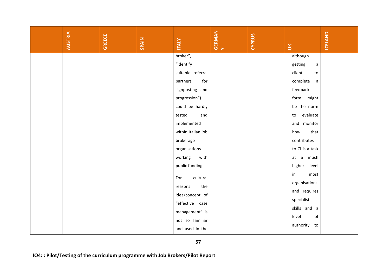| <b>AUSTRIA</b> | <b>GREECE</b> | SPAIN | <b>ITALY</b>                                                                        | <b>GERMAN</b><br>Y | <b>CYPRUS</b> | $\leq$                              | <b>ICELAND</b> |
|----------------|---------------|-------|-------------------------------------------------------------------------------------|--------------------|---------------|-------------------------------------|----------------|
|                |               |       | broker",<br>"Identify                                                               |                    |               | although<br>getting<br>$\mathsf{a}$ |                |
|                |               |       | suitable referral                                                                   |                    |               | client<br>to                        |                |
|                |               |       | partners<br>for                                                                     |                    |               | complete<br>$\mathsf{a}$            |                |
|                |               |       | signposting and                                                                     |                    |               | feedback                            |                |
|                |               |       | progression")                                                                       |                    |               | form might                          |                |
|                |               |       | could be hardly                                                                     |                    |               | be the norm                         |                |
|                |               |       | tested<br>and                                                                       |                    |               | evaluate<br>to                      |                |
|                |               |       | implemented                                                                         |                    |               | and monitor                         |                |
|                |               |       | within Italian job                                                                  |                    |               | that<br>how                         |                |
|                |               |       | brokerage                                                                           |                    |               | contributes                         |                |
|                |               |       | organisations                                                                       |                    |               | to CI is a task                     |                |
|                |               |       | working<br>with                                                                     |                    |               | at a much                           |                |
|                |               |       | public funding.                                                                     |                    |               | higher<br>level                     |                |
|                |               |       | cultural<br>For                                                                     |                    |               | in<br>most                          |                |
|                |               |       | the<br>reasons                                                                      |                    |               | organisations                       |                |
|                |               |       | idea/concept of                                                                     |                    |               | and requires                        |                |
|                |               |       | "effective case                                                                     |                    |               | specialist                          |                |
|                |               |       | management" is                                                                      |                    |               | skills and a                        |                |
|                |               |       | not so familiar                                                                     |                    |               | level<br>of                         |                |
|                |               |       | and used in the                                                                     |                    |               | authority to                        |                |
|                |               |       | 57<br>IO4:: Pilot/Testing of the curriculum programme with Job Brokers/Pilot Report |                    |               |                                     |                |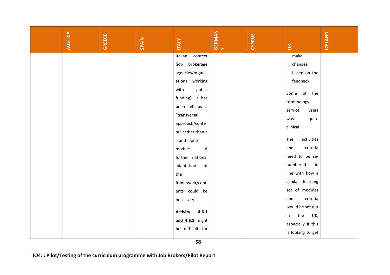| <b>AUSTRIA</b> | <b>GREECE</b> | SPAIN | <b>ITALY</b>                                                                                                                                                                                                                                                                            | <b>GERMAN</b> | <b>CYPRUS</b> | $\leq$                                                                                                                                                                                                                    | ICELAND |
|----------------|---------------|-------|-----------------------------------------------------------------------------------------------------------------------------------------------------------------------------------------------------------------------------------------------------------------------------------------|---------------|---------------|---------------------------------------------------------------------------------------------------------------------------------------------------------------------------------------------------------------------------|---------|
|                |               |       | Italian<br>context<br>brokerage<br>(job<br>agencies/organis<br>ations working<br>with<br>public<br>funding). It has<br>been felt as a<br>"transversal<br>approach/conte<br>nt" rather than a<br>stand-alone<br>module.<br>$\overline{A}$<br>further national<br>adaptation<br>of<br>the |               |               | make<br>changes<br>based on the<br>feedback.<br>Some of the<br>terminology<br>service<br>users<br>quite<br>was<br>clinical<br>The<br>activities<br>criteria<br>and<br>need to be re-<br>numbered<br>in<br>line with how a |         |
|                |               |       | framework/cont<br>ents could be<br>necessary<br><b>Activity</b><br>4.6.1<br>and 4.6.2 might<br>be difficult for<br>58                                                                                                                                                                   |               |               | similar learning<br>set of modules<br>criteria<br>and<br>would be set out<br>the<br>UK,<br>in<br>especially if this<br>is looking to get                                                                                  |         |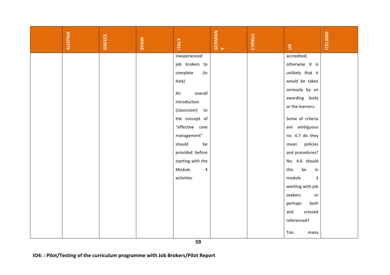| AUSTRIA | GREECE | SPAIN | <b>ITALY</b>                                                                  | <b>GERMAN</b><br>Y | <b>CYPRUS</b> | $\leq$                 | ICELAND |
|---------|--------|-------|-------------------------------------------------------------------------------|--------------------|---------------|------------------------|---------|
|         |        |       | inexperienced                                                                 |                    |               | accredited,            |         |
|         |        |       | job brokers to                                                                |                    |               | otherwise it is        |         |
|         |        |       | complete<br>(in                                                               |                    |               | unlikely that it       |         |
|         |        |       | Italy)                                                                        |                    |               | would be taken         |         |
|         |        |       | overall<br>An                                                                 |                    |               | seriously by an        |         |
|         |        |       | introduction                                                                  |                    |               | awarding body          |         |
|         |        |       | (classroom) to                                                                |                    |               | or the learners.       |         |
|         |        |       | the concept of                                                                |                    |               | Some of criteria       |         |
|         |        |       | "effective case                                                               |                    |               | are ambiguous          |         |
|         |        |       | management"                                                                   |                    |               | no. 4.7 do they        |         |
|         |        |       | should<br>be                                                                  |                    |               | policies<br>mean       |         |
|         |        |       |                                                                               |                    |               | and procedures?        |         |
|         |        |       | provided before                                                               |                    |               |                        |         |
|         |        |       | starting with the                                                             |                    |               | No. 4.6 should         |         |
|         |        |       | Module<br>$\overline{a}$                                                      |                    |               | be<br>this<br>in       |         |
|         |        |       | activities                                                                    |                    |               | module<br>$\mathbf{3}$ |         |
|         |        |       |                                                                               |                    |               | working with job       |         |
|         |        |       |                                                                               |                    |               | seekers<br>or          |         |
|         |        |       |                                                                               |                    |               | both<br>perhaps        |         |
|         |        |       |                                                                               |                    |               | and<br>crossed         |         |
|         |        |       |                                                                               |                    |               | referenced?            |         |
|         |        |       |                                                                               |                    |               | Too<br>many            |         |
|         |        |       | 59                                                                            |                    |               |                        |         |
|         |        |       | IO4:: Pilot/Testing of the curriculum programme with Job Brokers/Pilot Report |                    |               |                        |         |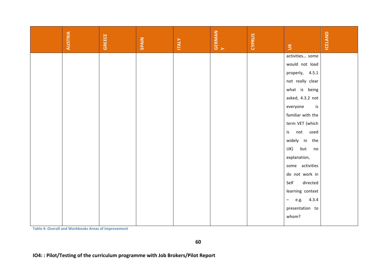| <b>AUSTRIA</b>                                             | <b>GREECE</b> | SPAIN                                                                         | <b>ITALY</b> | <b>GERMAN</b><br>Y | CYPRUS | $\leq$                             | ICELAND |
|------------------------------------------------------------|---------------|-------------------------------------------------------------------------------|--------------|--------------------|--------|------------------------------------|---------|
|                                                            |               |                                                                               |              |                    |        | activities some                    |         |
|                                                            |               |                                                                               |              |                    |        | would not load                     |         |
|                                                            |               |                                                                               |              |                    |        | properly, 4.5.1                    |         |
|                                                            |               |                                                                               |              |                    |        | not really clear                   |         |
|                                                            |               |                                                                               |              |                    |        | what is being                      |         |
|                                                            |               |                                                                               |              |                    |        | asked, 4.3.2 not                   |         |
|                                                            |               |                                                                               |              |                    |        | everyone<br>is                     |         |
|                                                            |               |                                                                               |              |                    |        | familiar with the                  |         |
|                                                            |               |                                                                               |              |                    |        | term VET (which                    |         |
|                                                            |               |                                                                               |              |                    |        | not used<br>is                     |         |
|                                                            |               |                                                                               |              |                    |        | widely in the                      |         |
|                                                            |               |                                                                               |              |                    |        | but<br>UK)<br>no                   |         |
|                                                            |               |                                                                               |              |                    |        | explanation,                       |         |
|                                                            |               |                                                                               |              |                    |        | some activities                    |         |
|                                                            |               |                                                                               |              |                    |        | do not work in                     |         |
|                                                            |               |                                                                               |              |                    |        | Self<br>directed                   |         |
|                                                            |               |                                                                               |              |                    |        | learning context                   |         |
|                                                            |               |                                                                               |              |                    |        | 4.3.4<br>e.g.<br>$\qquad \qquad -$ |         |
|                                                            |               |                                                                               |              |                    |        | presentation to                    |         |
|                                                            |               |                                                                               |              |                    |        | whom?                              |         |
| <b>Table 4: Overall and Workbooks Areas of improvement</b> |               |                                                                               |              |                    |        |                                    |         |
|                                                            |               | IO4:: Pilot/Testing of the curriculum programme with Job Brokers/Pilot Report | 60           |                    |        |                                    |         |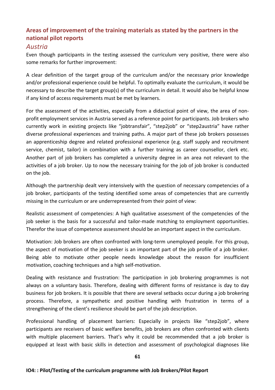# Areas of improvement of the training materials as stated by the partners in the **national pilot reports**

# *Austria*

Even though participants in the testing assessed the curriculum very positive, there were also some remarks for further improvement:

A clear definition of the target group of the curriculum and/or the necessary prior knowledge and/or professional experience could be helpful. To optimally evaluate the curriculum, it would be necessary to describe the target group(s) of the curriculum in detail. It would also be helpful know if any kind of access requirements must be met by learners.

For the assessment of the activities, especially from a didactical point of view, the area of nonprofit employment services in Austria served as a reference point for participants. Job brokers who currently work in existing projects like "jobtransfair", "step2job" or "step2austria" have rather diverse professional experiences and training paths. A major part of these job brokers possesses an apprenticeship degree and related professional experience (e.g. staff supply and recruitment service, chemist, tailor) in combination with a further training as career counsellor, clerk etc. Another part of job brokers has completed a university degree in an area not relevant to the activities of a job broker. Up to now the necessary training for the job of job broker is conducted on the job.

Although the partnership dealt very intensively with the question of necessary competencies of a job broker, participants of the testing identified some areas of competencies that are currently missing in the curriculum or are underrepresented from their point of view:

Realistic assessment of competencies: A high qualitative assessment of the competencies of the job seeker is the basis for a successful and tailor-made matching to employment opportunities. Therefor the issue of competence assessment should be an important aspect in the curriculum.

Motivation: Job brokers are often confronted with long-term unemployed people. For this group, the aspect of motivation of the job seeker is an important part of the job profile of a job broker. Being able to motivate other people needs knowledge about the reason for insufficient motivation, coaching techniques and a high self-motivation.

Dealing with resistance and frustration: The participation in job brokering programmes is not always on a voluntary basis. Therefore, dealing with different forms of resistance is day to day business for job brokers. It is possible that there are several setbacks occur during a job brokering process. Therefore, a sympathetic and positive handling with frustration in terms of a strengthening of the client's resilience should be part of the job description.

Professional handling of placement barriers: Especially in projects like "step2job", where participants are receivers of basic welfare benefits, job brokers are often confronted with clients with multiple placement barriers. That's why it could be recommended that a job broker is equipped at least with basic skills in detection and assessment of psychological diagnoses like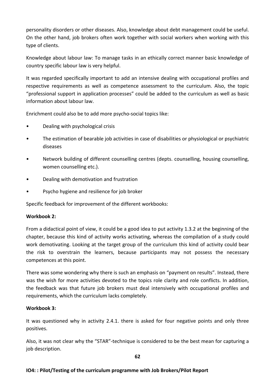personality disorders or other diseases. Also, knowledge about debt management could be useful. On the other hand, job brokers often work together with social workers when working with this type of clients.

Knowledge about labour law: To manage tasks in an ethically correct manner basic knowledge of country specific labour law is very helpful.

It was regarded specifically important to add an intensive dealing with occupational profiles and respective requirements as well as competence assessment to the curriculum. Also, the topic "professional support in application processes" could be added to the curriculum as well as basic information about labour law.

Enrichment could also be to add more psycho-social topics like:

- Dealing with psychological crisis
- The estimation of bearable job activities in case of disabilities or physiological or psychiatric diseases
- Network building of different counselling centres (depts. counselling, housing counselling, women counselling etc.).
- Dealing with demotivation and frustration
- Psycho hygiene and resilience for job broker

Specific feedback for improvement of the different workbooks:

#### **Workbook 2:**

From a didactical point of view, it could be a good idea to put activity 1.3.2 at the beginning of the chapter, because this kind of activity works activating, whereas the compilation of a study could work demotivating. Looking at the target group of the curriculum this kind of activity could bear the risk to overstrain the learners, because participants may not possess the necessary competences at this point.

There was some wondering why there is such an emphasis on "payment on results". Instead, there was the wish for more activities devoted to the topics role clarity and role conflicts. In addition, the feedback was that future job brokers must deal intensively with occupational profiles and requirements, which the curriculum lacks completely.

# **Workbook 3:**

It was questioned why in activity 2.4.1. there is asked for four negative points and only three positives.

Also, it was not clear why the "STAR"-technique is considered to be the best mean for capturing a job description.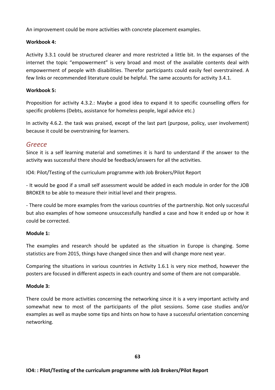An improvement could be more activities with concrete placement examples.

#### Workbook 4:

Activity 3.3.1 could be structured clearer and more restricted a little bit. In the expanses of the internet the topic "empowerment" is very broad and most of the available contents deal with empowerment of people with disabilities. Therefor participants could easily feel overstrained. A few links or recommended literature could be helpful. The same accounts for activity 3.4.1.

### **Workbook 5:**

Proposition for activity 4.3.2.: Maybe a good idea to expand it to specific counselling offers for specific problems (Debts, assistance for homeless people, legal advice etc.)

In activity 4.6.2. the task was praised, except of the last part (purpose, policy, user involvement) because it could be overstraining for learners.

# *Greece*

Since it is a self learning material and sometimes it is hard to understand if the answer to the activity was successful there should be feedback/answers for all the activities.

IO4: Pilot/Testing of the curriculum programme with Job Brokers/Pilot Report

- It would be good if a small self assessment would be added in each module in order for the JOB BROKER to be able to measure their initial level and their progress.

- There could be more examples from the various countries of the partnership. Not only successful but also examples of how someone unsuccessfully handled a case and how it ended up or how it could be corrected.

#### **Module 1:**

The examples and research should be updated as the situation in Europe is changing. Some statistics are from 2015, things have changed since then and will change more next year.

Comparing the situations in various countries in Activity 1.6.1 is very nice method, however the posters are focused in different aspects in each country and some of them are not comparable.

#### **Module 3:**

There could be more activities concerning the networking since it is a very important activity and somewhat new to most of the participants of the pilot sessions. Some case studies and/or examples as well as maybe some tips and hints on how to have a successful orientation concerning networking.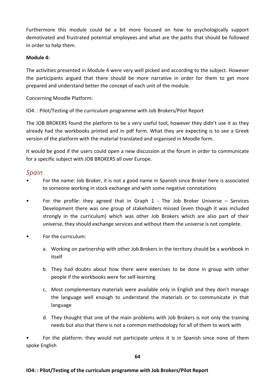Furthermore this module could be a bit more focused on how to psychologically support demotivated and frustrated potential employees and what are the paths that should be followed in order to help them.

#### **Module 4:**

The activities presented in Module 4 were very well picked and according to the subject. However the participants argued that there should be more narrative in order for them to get more prepared and understand better the concept of each unit of the module.

Concerning Moodle Platform:

IO4: : Pilot/Testing of the curriculum programme with Job Brokers/Pilot Report

The JOB BROKERS found the platform to be a very useful tool, however they didn't use it as they already had the workbooks printed and in pdf form. What they are expecting is to see a Greek version of the platform with the material translated and organised in Moodle form.

It would be good if the users could open a new discussion at the forum in order to communicate for a specific subject with JOB BROKERS all over Europe.

# *Spain*

- For the name: Job Broker, it is not a good name in Spanish since Broker here is associated to someone working in stock exchange and with some negative connotations
- For the profile: they agreed that in Graph 1 The Job Broker Universe  $-$  Services Development there was one group of stakeholders missed (even though it was included strongly in the curriculum) which was other Job Brokers which are also part of their universe, they should exchange services and without them the universe is not complete.
- For the curriculum:
	- a. Working on partnership with other Job Brokers in the territory should be a workbook in itself
	- b. They had doubts about how there were exercises to be done in group with other people if the workbooks were for self-learning
	- c. Most complementary materials were available only in English and they don't manage the language well enough to understand the materials or to communicate in that language
	- d. They thought that one of the main problems with Job Brokers is not only the training needs but also that there is not a common methodology for all of them to work with

For the platform: they would not participate unless it is in Spanish since none of them spoke English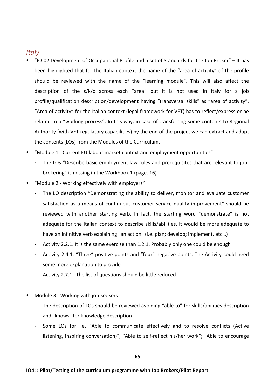# *Italy*

- "IO-02 Development of Occupational Profile and a set of Standards for the Job Broker" – It has been highlighted that for the Italian context the name of the "area of activity" of the profile should be reviewed with the name of the "learning module". This will also affect the description of the s/k/c across each "area" but it is not used in Italy for a job profile/qualification description/development having "transversal skills" as "area of activity". "Area of activity" for the Italian context (legal framework for VET) has to reflect/express or be related to a "working process". In this way, in case of transferring some contents to Regional Authority (with VET regulatory capabilities) by the end of the project we can extract and adapt the contents (LOs) from the Modules of the Curriculum.
- "Module 1 Current EU labour market context and employment opportunities"
	- The LOs "Describe basic employment law rules and prerequisites that are relevant to jobbrokering" is missing in the Workbook 1 (page. 16)
- "Module 2 Working effectively with employers"
	- The LO description "Demonstrating the ability to deliver, monitor and evaluate customer satisfaction as a means of continuous customer service quality improvement" should be reviewed with another starting verb. In fact, the starting word "demonstrate" is not adequate for the Italian context to describe skills/abilities. It would be more adequate to have an infinitive verb explaining "an action" (i.e. plan; develop; implement. etc...)
	- Activity 2.2.1. It is the same exercise than 1.2.1. Probably only one could be enough
	- Activity 2.4.1. "Three" positive points and "four" negative points. The Activity could need some more explanation to provide
	- Activity 2.7.1. The list of questions should be little reduced
- Module 3 Working with job-seekers
	- The description of LOs should be reviewed avoiding "able to" for skills/abilities description and "knows" for knowledge description
	- Some LOs for i.e. "Able to communicate effectively and to resolve conflicts (Active listening, inspiring conversation)"; "Able to self-reflect his/her work"; "Able to encourage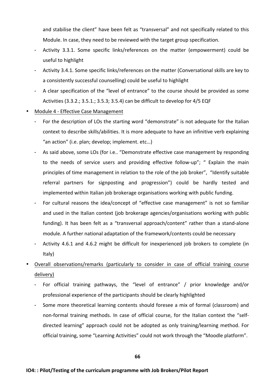and stabilise the client" have been felt as "transversal" and not specifically related to this Module. In case, they need to be reviewed with the target group specification.

- Activity 3.3.1. Some specific links/references on the matter (empowerment) could be useful to highlight
- Activity 3.4.1. Some specific links/references on the matter (Conversational skills are key to a consistently successful counselling) could be useful to highlight
- A clear specification of the "level of entrance" to the course should be provided as some Activities  $(3.3.2.: 3.5.1.: 3.5.3; 3.5.4)$  can be difficult to develop for  $4/5$  EQF
- Module 4 Effective Case Management
	- For the description of LOs the starting word "demonstrate" is not adequate for the Italian context to describe skills/abilities. It is more adequate to have an infinitive verb explaining "an action" (i.e. plan; develop; implement. etc...)
	- As said above, some LOs (for i.e.. "Demonstrate effective case management by responding to the needs of service users and providing effective follow-up"; " Explain the main principles of time management in relation to the role of the job broker", "Identify suitable referral partners for signposting and progression") could be hardly tested and implemented within Italian job brokerage organisations working with public funding.
	- For cultural reasons the idea/concept of "effective case management" is not so familiar and used in the Italian context (job brokerage agencies/organisations working with public funding). It has been felt as a "transversal approach/content" rather than a stand-alone module. A further national adaptation of the framework/contents could be necessary
	- Activity 4.6.1 and 4.6.2 might be difficult for inexperienced job brokers to complete (in Italy)
- Overall observations/remarks (particularly to consider in case of official training course delivery)
	- For official training pathways, the "level of entrance" / prior knowledge and/or professional experience of the participants should be clearly highlighted
	- Some more theoretical learning contents should foresee a mix of formal (classroom) and non-formal training methods. In case of official course, for the Italian context the "selfdirected learning" approach could not be adopted as only training/learning method. For official training, some "Learning Activities" could not work through the "Moodle platform".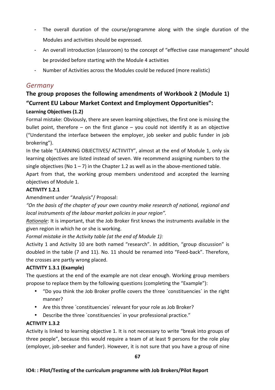- The overall duration of the course/programme along with the single duration of the Modules and activities should be expressed.
- An overall introduction (classroom) to the concept of "effective case management" should be provided before starting with the Module 4 activities
- Number of Activities across the Modules could be reduced (more realistic)

# *Germany*

# The group proposes the following amendments of Workbook 2 (Module 1) **"Current EU Labour Market Context and Employment Opportunities":**

# **Learning Objectives (1.2)**

Formal mistake: Obviously, there are seven learning objectives, the first one is missing the bullet point, therefore  $-$  on the first glance  $-$  you could not identify it as an objective ("Understand the interface between the employer, job seeker and public funder in job brokering"). 

In the table "LEARNING OBJECTIVES/ ACTIIVITY", almost at the end of Module 1, only six learning objectives are listed instead of seven. We recommend assigning numbers to the single objectives (No  $1 - 7$ ) in the Chapter 1.2 as well as in the above-mentioned table.

Apart from that, the working group members understood and accepted the learning objectives of Module 1.

# **ACTIVITY 1.2.1**

Amendment under "Analysis"/ Proposal:

"On the basis of the chapter of your own country make research of national, regional and *local instruments of the labour market policies in your region".* 

*Rationale*: It is important, that the Job Broker first knows the instruments available in the given region in which he or she is working.

*Formal mistake in the Activity table (at the end of Module 1):* 

Activity 1 and Activity 10 are both named "research". In addition, "group discussion" is doubled in the table (7 and 11). No. 11 should be renamed into "Feed-back". Therefore, the crosses are partly wrong placed.

# **ACTIVITY 1.3.1 (Example)**

The questions at the end of the example are not clear enough. Working group members propose to replace them by the following questions (completing the "Example"):

- "Do you think the Job Broker profile covers the three `constituencies' in the right manner?
- Are this three `constituencies' relevant for your role as Job Broker?
- Describe the three `constituencies' in your professional practice."

# **ACTIVITY 1.3.2**

Activity is linked to learning objective 1. It is not necessary to write "break into groups of three people", because this would require a team of at least 9 persons for the role play (employer, job-seeker and funder). However, it is not sure that you have a group of nine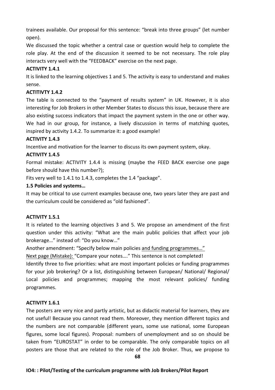trainees available. Our proposal for this sentence: "break into three groups" (let number open).

We discussed the topic whether a central case or question would help to complete the role play. At the end of the discussion it seemed to be not necessary. The role play interacts very well with the "FEEDBACK" exercise on the next page.

### **ACTIVITY 1.4.1**

It is linked to the learning objectives 1 and 5. The activity is easy to understand and makes sense.

### **ACTITIVTY 1.4.2**

The table is connected to the "payment of results system" in UK. However, it is also interesting for Job Brokers in other Member States to discuss this issue, because there are also existing success indicators that impact the payment system in the one or other way. We had in our group, for instance, a lively discussion in terms of matching quotes, inspired by activity 1.4.2. To summarize it: a good example!

### **ACTIVITY 1.4.3**

Incentive and motivation for the learner to discuss its own payment system, okay.

# **ACTIVITY 1.4.5**

Formal mistake: ACTIVITY 1.4.4 is missing (maybe the FEED BACK exercise one page before should have this number?);

Fits very well to 1.4.1 to 1.4.3, completes the 1.4 "package".

### **1.5 Policies and systems…**

It may be critical to use current examples because one, two years later they are past and the curriculum could be considered as "old fashioned".

#### **ACTIVITY 1.5.1**

It is related to the learning objectives 3 and 5. We propose an amendment of the first question under this activity: "What are the main public policies that affect your job brokerage..." instead of: "Do you know..."

Another amendment: "Specify below main policies and funding programmes..."

Next page (Mistake): "Compare your notes...." This sentence is not completed!

Identify three to five priorities: what are most important policies or funding programmes for your job brokering? Or a list, distinguishing between European/ National/ Regional/ Local policies and programmes; mapping the most relevant policies/ funding programmes.

# **ACTIVITY 1.6.1**

The posters are very nice and partly artistic, but as didactic material for learners, they are not useful! Because you cannot read them. Moreover, they mention different topics and the numbers are not comparable (different years, some use national, some European figures, some local figures). Proposal: numbers of unemployment and so on should be taken from "EUROSTAT" in order to be comparable. The only comparable topics on all posters are those that are related to the role of the Job Broker. Thus, we propose to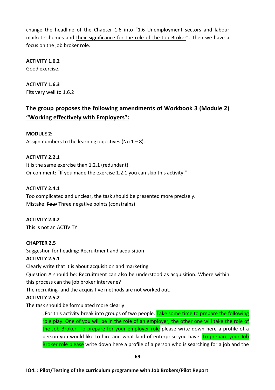change the headline of the Chapter 1.6 into "1.6 Unemployment sectors and labour market schemes and their significance for the role of the Job Broker". Then we have a focus on the job broker role.

**ACTIVITY 1.6.2** 

Good exercise.

**ACTIVITY 1.6.3** Fits very well to 1.6.2

# **The group proposes the following amendments of Workbook 3 (Module 2) "Working effectively with Employers":**

# **MODULE 2:**

Assign numbers to the learning objectives (No  $1 - 8$ ).

### **ACTIVITY 2.2.1**

It is the same exercise than 1.2.1 (redundant). Or comment: "If you made the exercise 1.2.1 you can skip this activity."

### **ACTIVITY 2.4.1**

Too complicated and unclear, the task should be presented more precisely. Mistake: Four Three negative points (constrains)

# **ACTIVITY 2.4.2**

This is not an ACTIVITY

# **CHAPTER 2.5**

Suggestion for heading: Recruitment and acquisition

# **ACTIVITY 2.5.1**

Clearly write that it is about acquisition and marketing

Question A should be: Recruitment can also be understood as acquisition. Where within

this process can the job broker intervene?

The recruiting- and the acquisitive methods are not worked out.

# **ACTIVITY 2.5.2**

The task should be formulated more clearly:

"For this activity break into groups of two people. Take some time to prepare the following role play. One of you will be in the role of an employer, the other one will take the role of the Job Broker. To prepare for your employer role please write down here a profile of a person you would like to hire and what kind of enterprise you have. To prepare your Job Broker role please write down here a profile of a person who is searching for a job and the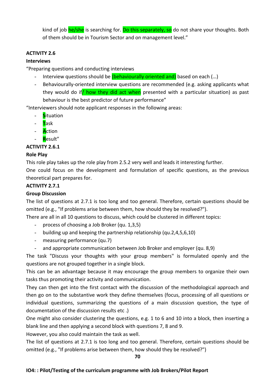kind of job  $he/she$  is searching for. Do this separately, so do not share your thoughts. Both of them should be in Tourism Sector and on management level."

### **ACTIVITY 2.6**

#### **Interviews**

"Preparing questions and conducting interviews

- Interview questions should be *(behaviourally oriented and)* based on each (...)
- Behaviourally-oriented interview questions are recommended (e.g. asking applicants what they would do if how they did act when presented with a particular situation) as past behaviour is the best predictor of future performance"

"Interviewers should note applicant responses in the following areas:

- **S**ituation
- **T**ask
- **A**ction
- **R**esult"

### **ACTIVITY 2.6.1**

#### **Role Play**

This role play takes up the role play from 2.5.2 very well and leads it interesting further.

One could focus on the development and formulation of specific questions, as the previous theoretical part prepares for.

# **ACTIVITY 2.7.1**

### **Group Discussion**

The list of questions at 2.7.1 is too long and too general. Therefore, certain questions should be omitted (e.g., "If problems arise between them, how should they be resolved?").

There are all in all 10 questions to discuss, which could be clustered in different topics:

- process of choosing a Job Broker (qu. 1,3,5)
- building up and keeping the partnership relationship (qu.2,4,5,6,10)
- measuring performance (qu.7)
- and appropriate communication between Job Broker and employer (qu. 8,9)

The task "Discuss your thoughts with your group members" is formulated openly and the questions are not grouped together in a single block.

This can be an advantage because it may encourage the group members to organize their own tasks thus promoting their activity and communication.

They can then get into the first contact with the discussion of the methodological approach and then go on to the substantive work they define themselves (focus, processing of all questions or individual questions, summarizing the questions of a main discussion question, the type of documentation of the discussion results etc.)

One might also consider clustering the questions, e.g. 1 to 6 and 10 into a block, then inserting a blank line and then applying a second block with questions 7, 8 and 9.

However, you also could maintain the task as well.

The list of questions at 2.7.1 is too long and too general. Therefore, certain questions should be omitted (e.g., "If problems arise between them, how should they be resolved?")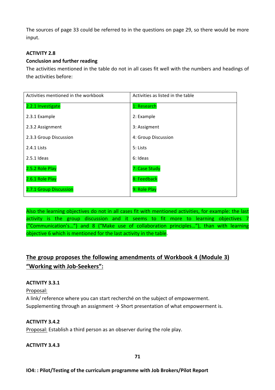The sources of page 33 could be referred to in the questions on page 29, so there would be more input.

### **ACTIVITY 2.8**

#### **Conclusion and further reading**

The activities mentioned in the table do not in all cases fit well with the numbers and headings of the activities before:

| Activities mentioned in the workbook | Activities as listed in the table |
|--------------------------------------|-----------------------------------|
| 2.2.1 Investigate                    | 1: Research                       |
| 2.3.1 Example                        | 2: Example                        |
| 2.3.2 Assignment                     | 3: Assigment                      |
| 2.3.3 Group Discussion               | 4: Group Discussion               |
| 2.4.1 Lists                          | 5: Lists                          |
| $2.5.1$ Ideas                        | 6: Ideas                          |
| 2.5.2 Role Play                      | 7: Case Study                     |
| 2.6.1 Role Play                      | 8: Feedback                       |
| 2.7.1 Group Discussion               | 9: Role Play                      |

Also the learning objectives do not in all cases fit with mentioned activities, for example: the last activity is the group discussion and it seems to fit more to learning objectives 7 ("Communication's...") and 8 ("Make use of collaboration principles..."), than with learning objective 6 which is mentioned for the last activity in the table.

# The group proposes the following amendments of Workbook 4 (Module 3) **"Working with Job-Seekers":**

# **ACTIVITY 3.3.1**

Proposal: 

A link/ reference where you can start recherché on the subject of empowerment. Supplementing through an assignment  $\rightarrow$  Short presentation of what empowerment is.

#### **ACTIVITY 3.4.2**

Proposal: Establish a third person as an observer during the role play.

#### **ACTIVITY 3.4.3**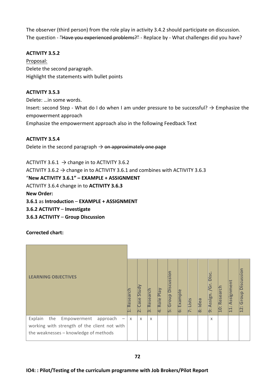The observer (third person) from the role play in activity 3.4.2 should participate on discussion. The question - "Have you experienced problems?" - Replace by - What challenges did you have?

### **ACTIVITY 3.5.2**

Proposal: Delete the second paragraph. Highlight the statements with bullet points

#### **ACTIVITY 3.5.3**

Delete: ... in some words. Insert: second Step - What do I do when I am under pressure to be successful?  $\rightarrow$  Emphasize the empowerment approach Emphasize the empowerment approach also in the following Feedback Text

#### **ACTIVITY 3.5.4**

Delete in the second paragraph  $\rightarrow$  on approximately one page

ACTIVITY 3.6.1  $\rightarrow$  change in to ACTIVITY 3.6.2 ACTIVITY 3.6.2  $\rightarrow$  change in to ACTIVITY 3.6.1 and combines with ACTIVITY 3.6.3 "**New ACTIVITY 3.6.1" – EXAMPLE + ASSIGNMENT** ACTIVITY 3.6.4 change in to **ACTIVITY 3.6.3 New Order: 3.6.1** as **Introduction** – **EXAMPLE** + **ASSIGNMENT 3.6.2 ACTIVITY** – **Investigate 3.6.3 ACTIVITY** – **Group Discussion**

**Corrected chart:**

| <b>LEARNING OBJECTIVES</b>                                                                                                         | Research<br>$\ddot{\phantom{a}}$<br>$\overline{\phantom{0}}$ | Study<br>Case | Research<br>ကြ | 4: Role Play | <b>Discussion</b><br>Group<br>أنأ | Example<br>نة | : Lists | B: Idea | isc.<br>פ<br><b>Assign</b><br><b>b</b> : | 10: Research | Assignmen<br>ETI. | Discussion<br>Group<br>$12$ : |
|------------------------------------------------------------------------------------------------------------------------------------|--------------------------------------------------------------|---------------|----------------|--------------|-----------------------------------|---------------|---------|---------|------------------------------------------|--------------|-------------------|-------------------------------|
| Explain<br>the<br>Empowerment<br>approach<br>working with strength of the client not with<br>the weaknesses - knowledge of methods | $\times$                                                     | $\chi$        | $\chi$         |              |                                   |               |         |         | $\chi$                                   |              |                   |                               |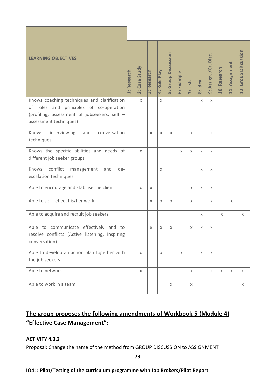| <b>LEARNING OBJECTIVES</b>                                                                                        | 1: Research | 2: Case Study | 3: Research | 4: Role Play | <b>5: Group Discussion</b> | 6: Example  | 7: Lists | 8: Idea                   | 9: Assign. /Gr. Disc. | 10: Research | 11: Assignment | 12: Group Discussion |
|-------------------------------------------------------------------------------------------------------------------|-------------|---------------|-------------|--------------|----------------------------|-------------|----------|---------------------------|-----------------------|--------------|----------------|----------------------|
| Knows coaching techniques and clarification                                                                       |             | X             |             | X            |                            |             |          | $\mathsf{x}$              | $\times$              |              |                |                      |
| of roles and principles of co-operation<br>(profiling, assessment of jobseekers, self -<br>assessment techniques) |             |               |             |              |                            |             |          |                           |                       |              |                |                      |
| interviewing<br>Knows<br>and<br>conversation<br>techniques                                                        |             |               | X           | X            | X                          |             | X        |                           | X                     |              |                |                      |
| Knows the specific abilities and needs of<br>different job seeker groups                                          |             | X             |             |              |                            | $\times$    | X        | $\times$                  | X                     |              |                |                      |
| conflict<br>Knows<br>de-<br>and<br>management<br>escalation techniques                                            |             |               |             | X            |                            |             |          | $\mathsf{X}$              | X                     |              |                |                      |
| Able to encourage and stabilise the client                                                                        |             | X             | X           |              |                            |             | X        | $\times$                  | X                     |              |                |                      |
| Able to self-reflect his/her work                                                                                 |             |               | X           | X            | X                          |             | X        |                           | X                     |              | X              |                      |
| Able to acquire and recruit job seekers                                                                           |             |               |             |              |                            |             |          | $\boldsymbol{\mathsf{X}}$ |                       | $\times$     |                | X                    |
| Able to communicate effectively and to<br>resolve conflicts (Active listening, inspiring<br>conversation)         |             |               | X           | X            | X                          |             | X        | $\times$                  | X                     |              |                |                      |
| Able to develop an action plan together with<br>the job seekers                                                   |             | X             |             | X            |                            | $\mathsf X$ |          | $\mathsf{X}$              | $\mathsf{X}$          |              |                |                      |
| Able to network                                                                                                   |             | X             |             |              |                            |             | X        |                           | X                     | $\times$     | X              | $\mathsf X$          |
| Able to work in a team                                                                                            |             |               |             |              | X                          |             | X        |                           |                       |              |                | X                    |

# The group proposes the following amendments of Workbook 5 (Module 4) **"Effective Case Management":**

# **ACTIVITY 4.3.3**

Proposal: Change the name of the method from GROUP DISCUSSION to ASSIGNMENT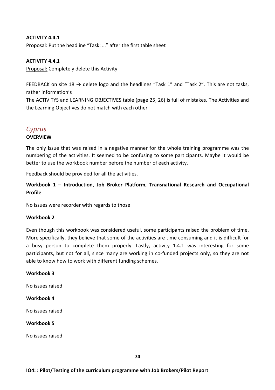## **ACTIVITY 4.4.1**

Proposal: Put the headline "Task: ..." after the first table sheet

## **ACTIVITY 4.4.1**

Proposal: Completely delete this Activity

FEEDBACK on site 18  $\rightarrow$  delete logo and the headlines "Task 1" and "Task 2". This are not tasks, rather information's

The ACTIVITYS and LEARNING OBJECTIVES table (page 25, 26) is full of mistakes. The Activities and the Learning Objectives do not match with each other

# *Cyprus*

## **OVERVIEW**

The only issue that was raised in a negative manner for the whole training programme was the numbering of the activities. It seemed to be confusing to some participants. Maybe it would be better to use the workbook number before the number of each activity.

Feedback should be provided for all the activities.

Workbook 1 – Introduction, Job Broker Platform, Transnational Research and Occupational **Profile**

No issues were recorder with regards to those

#### **Workbook 2**

Even though this workbook was considered useful, some participants raised the problem of time. More specifically, they believe that some of the activities are time consuming and it is difficult for a busy person to complete them properly. Lastly, activity 1.4.1 was interesting for some participants, but not for all, since many are working in co-funded projects only, so they are not able to know how to work with different funding schemes.

#### **Workbook 3**

No issues raised

#### **Workbook 4**

No issues raised

#### **Workbook 5**

No issues raised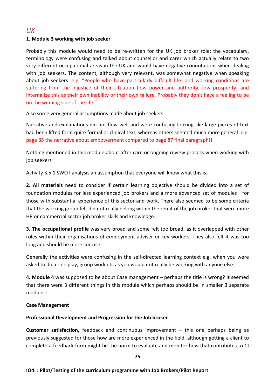# *UK*

# **1. Module 3 working with job seeker**

Probably this module would need to be re-written for the UK job broker role; the vocabulary, terminology were confusing and talked about counsellor and carer which actually relate to two very different occupational areas in the UK and would have negative connotations when dealing with job seekers. The content, although very relevant, was somewhat negative when speaking about job seekers .e.g. "People who have particularly difficult life- and working conditions are suffering from the injustice of their situation (low power and authority, low prosperity) and internalize this as their own inability or their own failure. Probably they don't have a feeling to be on the winning side of the life."

Also some very general assumptions made about job seekers

Narrative and explanations did not flow well and were confusing looking like large pieces of text had been lifted form quite formal or clinical text, whereas others seemed much more general e.g. page 85 the narrative about empowerment compared to page 87 final paragraph!!

Nothing mentioned in this module about after care or ongoing review process when working with job seekers

Activity 3.5.1 SWOT analysis an assumption that everyone will know what this is..

**2. All materials** need to consider if certain learning objective should be divided into a set of foundation modules for less experienced job brokers and a more advanced set of modules for those with substantial experience of this sector and work. There also seemed to be some criteria that the working group felt did not really belong within the remit of the job broker that were more HR or commercial sector job broker skills and knowledge.

**3. The occupational profile** was very broad and some felt too broad, as it overlapped with other roles within their organisations of employment adviser or key workers. They also felt it was too long and should be more concise.

Generally the activities were confusing in the self-directed learning context e.g. when you were asked to do a role play, group work etc as you would not really be working with anyone else.

**4. Module 4** was supposed to be about Case management – perhaps the title is wrong? It seemed that there were 3 different things in this module which perhaps should be in smaller 3 separate modules:

# **Case Management**

# Professional Development and Progression for the Job broker

**Customer satisfaction,** feedback and continuous improvement – this one perhaps being as previously suggested for those how are more experienced in the field, although getting a client to complete a feedback form might be the norm to evaluate and monitor how that contributes to CI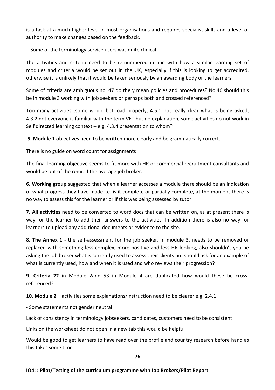is a task at a much higher level in most organisations and requires specialist skills and a level of authority to make changes based on the feedback.

- Some of the terminology service users was quite clinical

The activities and criteria need to be re-numbered in line with how a similar learning set of modules and criteria would be set out in the UK, especially if this is looking to get accredited, otherwise it is unlikely that it would be taken seriously by an awarding body or the learners.

Some of criteria are ambiguous no. 47 do the y mean policies and procedures? No.46 should this be in module 3 working with job seekers or perhaps both and crossed referenced?

Too many activities...some would bot load properly, 4.5.1 not really clear what is being asked, 4.3.2 not everyone is familiar with the term VET but no explanation, some activities do not work in Self directed learning context  $-$  e.g. 4.3.4 presentation to whom?

**5.** Module 1 objectives need to be written more clearly and be grammatically correct.

There is no guide on word count for assignments

The final learning objective seems to fit more with HR or commercial recruitment consultants and would be out of the remit if the average job broker.

**6. Working group** suggested that when a learner accesses a module there should be an indication of what progress they have made i.e. is it complete or partially complete, at the moment there is no way to assess this for the learner or if this was being assessed by tutor

**7. All activities** need to be converted to word docs that can be written on, as at present there is way for the learner to add their answers to the activities. In addition there is also no way for learners to upload any additional documents or evidence to the site.

**8. The Annex 1** - the self-assessment for the job seeker, in module 3, needs to be removed or replaced with something less complex, more positive and less HR looking, also shouldn't you be asking the job broker what is currently used to assess their clients but should ask for an example of what is currently used, how and when it is used and who reviews their progression?

**9. Criteria 22** in Module 2and 53 in Module 4 are duplicated how would these be crossreferenced?

**10. Module 2** – activities some explanations/instruction need to be clearer e.g. 2.4.1

- Some statements not gender neutral

Lack of consistency in terminology jobseekers, candidates, customers need to be consistent

Links on the worksheet do not open in a new tab this would be helpful

Would be good to get learners to have read over the profile and country research before hand as this takes some time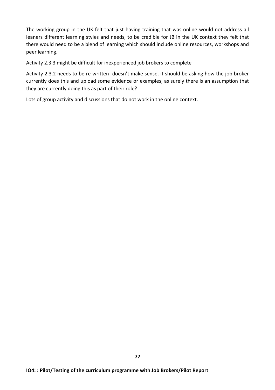The working group in the UK felt that just having training that was online would not address all leaners different learning styles and needs, to be credible for JB in the UK context they felt that there would need to be a blend of learning which should include online resources, workshops and peer learning.

Activity 2.3.3 might be difficult for inexperienced job brokers to complete

Activity 2.3.2 needs to be re-written- doesn't make sense, it should be asking how the job broker currently does this and upload some evidence or examples, as surely there is an assumption that they are currently doing this as part of their role?

Lots of group activity and discussions that do not work in the online context.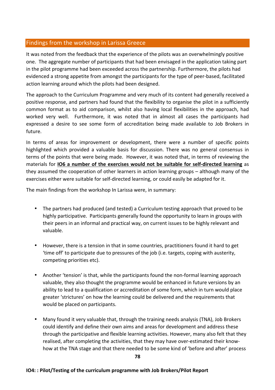# Findings from the workshop in Larissa Greece

It was noted from the feedback that the experience of the pilots was an overwhelmingly positive one. The aggregate number of participants that had been envisaged in the application taking part in the pilot programme had been exceeded across the partnership. Furthermore, the pilots had evidenced a strong appetite from amongst the participants for the type of peer-based, facilitated action learning around which the pilots had been designed.

The approach to the Curriculum Programme and very much of its content had generally received a positive response, and partners had found that the flexibility to organise the pilot in a sufficiently common format as to aid comparison, whilst also having local flexibilities in the approach, had worked very well. Furthermore, it was noted that in almost all cases the participants had expressed a desire to see some form of accreditation being made available to Job Brokers in future. 

In terms of areas for improvement or development, there were a number of specific points highlighted which provided a valuable basis for discussion. There was no general consensus in terms of the points that were being made. However, it was noted that, in terms of reviewing the materials for **IO6** a number of the exercises would not be suitable for self-directed learning as they assumed the cooperation of other learners in action learning groups – although many of the exercises either were suitable for self-directed learning, or could easily be adapted for it.

The main findings from the workshop In Larissa were, in summary:

- The partners had produced (and tested) a Curriculum testing approach that proved to be highly participative. Participants generally found the opportunity to learn in groups with their peers in an informal and practical way, on current issues to be highly relevant and valuable.
- However, there is a tension in that in some countries, practitioners found it hard to get 'time off' to participate due to pressures of the job (i.e. targets, coping with austerity, competing priorities etc).
- Another 'tension' is that, while the participants found the non-formal learning approach valuable, they also thought the programme would be enhanced in future versions by an ability to lead to a qualification or accreditation of some form, which in turn would place greater 'strictures' on how the learning could be delivered and the requirements that would be placed on participants.
- Many found it very valuable that, through the training needs analysis (TNA), Job Brokers could identify and define their own aims and areas for development and address these through the participative and flexible learning activities. However, many also felt that they realised, after completing the activities, that they may have over-estimated their knowhow at the TNA stage and that there needed to be some kind of 'before and after' process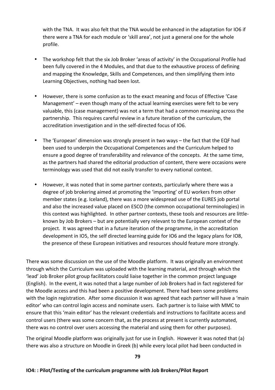with the TNA. It was also felt that the TNA would be enhanced in the adaptation for IO6 if there were a TNA for each module or 'skill area', not just a general one for the whole profile.

- The workshop felt that the six Job Broker 'areas of activity' in the Occupational Profile had been fully covered in the 4 Modules, and that due to the exhaustive process of defining and mapping the Knowledge, Skills and Competences, and then simplifying them into Learning Objectives, nothing had been lost.
- However, there is some confusion as to the exact meaning and focus of Effective 'Case Management'  $-$  even though many of the actual learning exercises were felt to be very valuable, this (case management) was not a term that had a common meaning across the partnership. This requires careful review in a future iteration of the curriculum, the accreditation investigation and in the self-directed focus of IO6.
- The 'European' dimension was strongly present in two ways the fact that the EQF had been used to underpin the Occupational Competences and the Curriculum helped to ensure a good degree of transferability and relevance of the concepts. At the same time, as the partners had shared the editorial production of content, there were occasions were terminology was used that did not easily transfer to every national context.
- However, it was noted that in some partner contexts, particularly where there was a degree of job brokering aimed at promoting the 'importing' of EU workers from other member states (e.g. Iceland), there was a more widespread use of the EURES job portal and also the increased value placed on ESCO (the common occupational terminologies) in this context was highlighted. In other partner contexts, these tools and resources are littleknown by Job Brokers - but are potentially very relevant to the European context of the project. It was agreed that in a future iteration of the programme, in the accreditation development in IO5, the self directed learning guide for IO6 and the legacy plans for IO8, the presence of these European initiatives and resources should feature more strongly.

There was some discussion on the use of the Moodle platform. It was originally an environment through which the Curriculum was uploaded with the learning material, and through which the 'lead' Job Broker pilot group facilitators could liaise together in the common project language (English). In the event, it was noted that a large number of Job Brokers had in fact registered for the Moodle access and this had been a positive development. There had been some problems with the login registration. After some discussion it was agreed that each partner will have a 'main editor' who can control login access and nominate users. Each partner is to liaise with MMC to ensure that this 'main editor' has the relevant credentials and instructions to facilitate access and control users (there was some concern that, as the process at present is currently automated, there was no control over users accessing the material and using them for other purposes).

The original Moodle platform was originally just for use in English. However it was noted that (a) there was also a structure on Moodle in Greek (b) while every local pilot had been conducted in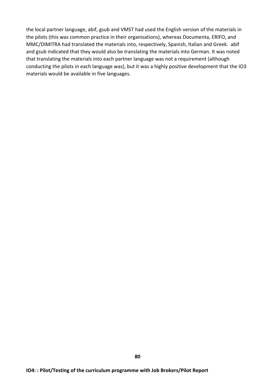the local partner language, abif, gsub and VMST had used the English version of the materials in the pilots (this was common practice in their organisations), whereas Documenta, ERIFO, and MMC/DIMITRA had translated the materials into, respectively, Spanish, Italian and Greek. abif and gsub indicated that they would also be translating the materials into German. It was noted that translating the materials into each partner language was not a requirement (although conducting the pilots in each language was), but it was a highly positive development that the IO3 materials would be available in five languages.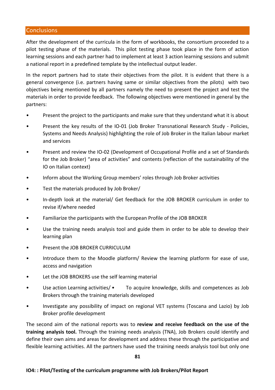# **Conclusions**

After the development of the curricula in the form of workbooks, the consortium proceeded to a pilot testing phase of the materials. This pilot testing phase took place in the form of action learning sessions and each partner had to implement at least 3 action learning sessions and submit a national report in a predefined template by the intellectual output leader.

In the report partners had to state their objectives from the pilot. It is evident that there is a general convergence (i.e. partners having same or similar objectives from the pilots) with two objectives being mentioned by all partners namely the need to present the project and test the materials in order to provide feedback. The following objectives were mentioned in general by the partners:

- Present the project to the participants and make sure that they understand what it is about
- Present the key results of the IO-01 (Job Broker Transnational Research Study Policies, Systems and Needs Analysis) highlighting the role of Job Broker in the Italian labour market and services
- Present and review the IO-02 (Development of Occupational Profile and a set of Standards for the Job Broker) "area of activities" and contents (reflection of the sustainability of the IO on Italian context)
- Inform about the Working Group members' roles through Job Broker activities
- Test the materials produced by Job Broker/
- In-depth look at the material/ Get feedback for the JOB BROKER curriculum in order to revise if/where needed
- Familiarize the participants with the European Profile of the JOB BROKER
- Use the training needs analysis tool and guide them in order to be able to develop their learning plan
- Present the JOB BROKER CURRICULUM
- Introduce them to the Moodle platform/ Review the learning platform for ease of use, access and navigation
- Let the JOB BROKERS use the self learning material
- Use action Learning activities/ $\bullet$  To acquire knowledge, skills and competences as Job Brokers through the training materials developed
- Investigate any possibility of impact on regional VET systems (Toscana and Lazio) by Job Broker profile development

The second aim of the national reports was to review and receive feedback on the use of the **training analysis tool.** Through the training needs analysis (TNA), Job Brokers could identify and define their own aims and areas for development and address these through the participative and flexible learning activities. All the partners have used the training needs analysis tool but only one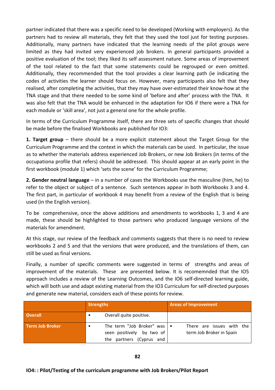partner indicated that there was a specific need to be developed (Working with employers). As the partners had to review all materials, they felt that they used the tool just for testing purposes. Additionally, many partners have indicated that the learning needs of the pilot groups were limited as they had invited very experienced job brokers. In general participants provided a positive evaluation of the tool; they liked its self assessment nature. Some areas of improvement of the tool related to the fact that some statements could be regrouped or even omitted. Additionally, they recommended that the tool provides a clear learning path (ie indicating the codes of activities the learner should focus on. However, many participants also felt that they realised, after completing the activities, that they may have over-estimated their know-how at the TNA stage and that there needed to be some kind of 'before and after' process with the TNA. It was also felt that the TNA would be enhanced in the adaptation for IO6 if there were a TNA for each module or 'skill area', not just a general one for the whole profile.

In terms of the Curriculum Programme itself, there are three sets of specific changes that should be made before the finalised Workbooks are published for IO3:

**1. Target group** – there should be a more explicit statement about the Target Group for the Curriculum Programme and the context in which the materials can be used. In particular, the issue as to whether the materials address experienced Job Brokers, or new Job Brokers (in terms of the occupationa profile that refers) should be addressed. This should appear at an early point in the first workbook (module 1) which 'sets the scene' for the Curriculum Programme;

**2. Gender neutral language** – in a number of cases the Workbooks use the masculine (him, he) to refer to the object or subject of a sentence. Such sentences appear in both Workbooks 3 and 4. The first part, in particular of workbook 4 may benefit from a review of the English that is being used (in the English version).

To be comprehensive, once the above additions and amendments to workbooks 1, 3 and 4 are made, these should be highlighted to those partners who produced language versions of the materials for amendment.

At this stage, our review of the feedback and comments suggests that there is no need to review workbooks 2 and 5 and that the versions that were produced, and the translations of them, can still be used as final versions.

Finally, a number of specific comments were suggested in terms of strengths and areas of improvement of the materials. These are presented below. It is recomemnded that the IO5 approach includes a review of the Learning Outcomes, and the IO6 self-directed learning guide, which will both use and adapt existing material from the IO3 Curriculum for self-directed purposes and generate new material, considers each of these points for review.

|                        | <b>Strengths</b>                                                                              | <b>Areas of Improvement</b>                           |
|------------------------|-----------------------------------------------------------------------------------------------|-------------------------------------------------------|
| <b>Overall</b>         | Overall quite positive.<br>٠                                                                  |                                                       |
| <b>Term Job Broker</b> | The term "Job Broker" was $\cdot$<br>seen positively<br>by two of<br>the partners (Cyprus and | There are issues with the<br>term Job Broker in Spain |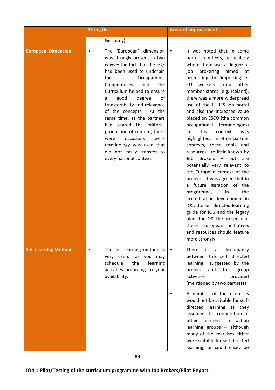|                             | <b>Strengths</b>                                                                                                                                                                                                                                                                                                                                                                                                                                                                                                                   | <b>Areas of Improvement</b>                                                                                                                                                                                                                                                                                                                                                                                                                                                                                                                                                                                                                                                                                                                                                                                                                                                                                                                                                                    |  |  |
|-----------------------------|------------------------------------------------------------------------------------------------------------------------------------------------------------------------------------------------------------------------------------------------------------------------------------------------------------------------------------------------------------------------------------------------------------------------------------------------------------------------------------------------------------------------------------|------------------------------------------------------------------------------------------------------------------------------------------------------------------------------------------------------------------------------------------------------------------------------------------------------------------------------------------------------------------------------------------------------------------------------------------------------------------------------------------------------------------------------------------------------------------------------------------------------------------------------------------------------------------------------------------------------------------------------------------------------------------------------------------------------------------------------------------------------------------------------------------------------------------------------------------------------------------------------------------------|--|--|
|                             | Germany)                                                                                                                                                                                                                                                                                                                                                                                                                                                                                                                           |                                                                                                                                                                                                                                                                                                                                                                                                                                                                                                                                                                                                                                                                                                                                                                                                                                                                                                                                                                                                |  |  |
| <b>European Dimension</b>   | The 'European' dimension<br>$\bullet$<br>was strongly present in two<br>ways $-$ the fact that the EQF<br>had been used to underpin<br>Occupational<br>the<br>and<br>the<br>Competences<br>Curriculum helped to ensure<br>good<br>degree<br>οf<br>a<br>transferability and relevance<br>of the concepts.<br>At the<br>same time, as the partners<br>shared the editorial<br>had<br>production of content, there<br>occasions<br>were<br>were<br>terminology was used that<br>did not easily transfer to<br>every national context. | It was noted that in some<br>$\bullet$<br>partner contexts, particularly<br>where there was a degree of<br>brokering<br>aimed<br>job<br>at<br>promoting the 'importing' of<br>workers<br>from<br>other<br>EU<br>member states (e.g. Iceland),<br>there was a more widespread<br>use of the EURES job portal<br>and also the increased value<br>placed on ESCO (the common<br>occupational terminologies)<br>this<br>context<br>was<br>in<br>highlighted. In other partner<br>contexts, these tools and<br>resources are little-known by<br><b>Brokers</b><br>$\overline{\phantom{a}}$<br>but<br>Job<br>are<br>potentially very relevant to<br>the European context of the<br>project. It was agreed that in<br>a future iteration of the<br>the<br>programme,<br>in<br>accreditation development in<br>IO5, the self directed learning<br>guide for IO6 and the legacy<br>plans for IO8, the presence of<br>initiatives<br>these<br>European<br>and resources should feature<br>more strongly. |  |  |
| <b>Self Learning Method</b> | The self learning method is<br>$\bullet$<br>very useful as you may<br>schedule<br>the<br>learning<br>activities according to your<br>availability.                                                                                                                                                                                                                                                                                                                                                                                 | <b>There</b><br>is<br>discrepancy<br>a<br>$\bullet$<br>between the self directed<br>learning<br>suggested by the<br>the<br>project<br>and<br>group<br>activities<br>provided<br>(mentioned by two partners)<br>A number of the exercises<br>would not be suitable for self-<br>directed learning as they<br>assumed the cooperation of<br>learners<br>action<br>other<br>in<br>learning groups - although<br>many of the exercises either<br>were suitable for self-directed<br>learning, or could easily be                                                                                                                                                                                                                                                                                                                                                                                                                                                                                   |  |  |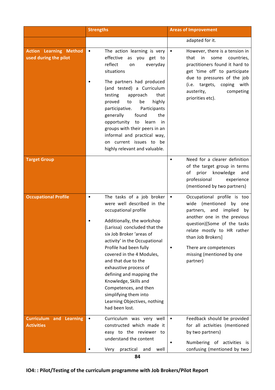|                                                        | <b>Strengths</b>                                                                                                                                                                                                                                                                                                                                                                                                                                                                        | <b>Areas of Improvement</b>                                                                                                                                                                                                                                                             |
|--------------------------------------------------------|-----------------------------------------------------------------------------------------------------------------------------------------------------------------------------------------------------------------------------------------------------------------------------------------------------------------------------------------------------------------------------------------------------------------------------------------------------------------------------------------|-----------------------------------------------------------------------------------------------------------------------------------------------------------------------------------------------------------------------------------------------------------------------------------------|
|                                                        |                                                                                                                                                                                                                                                                                                                                                                                                                                                                                         | adapted for it.                                                                                                                                                                                                                                                                         |
| <b>Action Learning Method</b><br>used during the pilot | The action learning is very<br>$\bullet$<br>effective as you get to<br>reflect<br>everyday<br>on<br>situations<br>The partners had produced<br>(and tested) a Curriculum<br>testing<br>approach<br>that<br>highly<br>proved<br>to<br>be<br>participative.<br>Participants<br>generally<br>found<br>the<br>learn<br>opportunity to<br>in<br>groups with their peers in an<br>informal and practical way,<br>on current issues to be<br>highly relevant and valuable.                     | However, there is a tension in<br>$\bullet$<br>that<br>in<br>some<br>countries,<br>practitioners found it hard to<br>get 'time off' to participate<br>due to pressures of the job<br>(i.e. targets, coping with<br>austerity,<br>competing<br>priorities etc).                          |
| <b>Target Group</b>                                    |                                                                                                                                                                                                                                                                                                                                                                                                                                                                                         | Need for a clearer definition<br>of the target group in terms<br>of prior knowledge<br>and<br>professional<br>experience<br>(mentioned by two partners)                                                                                                                                 |
| <b>Occupational Profile</b>                            | The tasks of a job broker<br>$\bullet$<br>were well described in the<br>occupational profile<br>Additionally, the workshop<br>(Larissa) concluded that the<br>six Job Broker 'areas of<br>activity' in the Occupational<br>Profile had been fully<br>covered in the 4 Modules,<br>and that due to the<br>exhaustive process of<br>defining and mapping the<br>Knowledge, Skills and<br>Competences, and then<br>simplifying them into<br>Learning Objectives, nothing<br>had been lost. | Occupational profile is too<br>$\bullet$<br>wide (mentioned by<br>one<br>partners, and implied<br>by<br>another one in the previous<br>question)[Some of the tasks<br>relate mostly to HR rather<br>than Job Brokers]<br>There are competences<br>missing (mentioned by one<br>partner) |
| <b>Curriculum and Learning</b><br><b>Activities</b>    | Curriculum was very well<br>$\bullet$<br>constructed which made it<br>easy to the reviewer to<br>understand the content<br>Very<br>practical<br>well<br>and                                                                                                                                                                                                                                                                                                                             | Feedback should be provided<br>$\bullet$<br>for all activities (mentioned<br>by two partners)<br>Numbering of activities is<br>confusing (mentioned by two                                                                                                                              |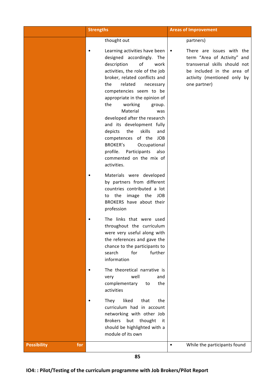|                           | <b>Strengths</b>                                                                                                                                                                                                                                                                                                                                                                                                                                                                                                                              | <b>Areas of Improvement</b>                                                                                                                                            |
|---------------------------|-----------------------------------------------------------------------------------------------------------------------------------------------------------------------------------------------------------------------------------------------------------------------------------------------------------------------------------------------------------------------------------------------------------------------------------------------------------------------------------------------------------------------------------------------|------------------------------------------------------------------------------------------------------------------------------------------------------------------------|
|                           | thought out                                                                                                                                                                                                                                                                                                                                                                                                                                                                                                                                   | partners)                                                                                                                                                              |
|                           | Learning activities have been<br>designed accordingly. The<br>description<br>of<br>work<br>activities, the role of the job<br>broker, related conflicts and<br>the<br>related<br>necessary<br>competencies seem to be<br>appropriate in the opinion of<br>the<br>working<br>group.<br>Material<br>was<br>developed after the research<br>and its development fully<br>skills<br>the<br>depicts<br>and<br>competences of the JOB<br><b>BROKER's</b><br>Occupational<br>profile. Participants<br>also<br>commented on the mix of<br>activities. | There are issues with the<br>term "Area of Activity" and<br>transversal skills should not<br>be included in the area of<br>activity (mentioned only by<br>one partner) |
|                           | Materials were developed<br>by partners from different<br>countries contributed a lot<br>image the JOB<br>to the<br>BROKERS have about their<br>profession                                                                                                                                                                                                                                                                                                                                                                                    |                                                                                                                                                                        |
|                           | The links that were used<br>throughout the curriculum<br>were very useful along with<br>the references and gave the<br>chance to the participants to<br>for<br>further<br>search<br>information                                                                                                                                                                                                                                                                                                                                               |                                                                                                                                                                        |
|                           | The theoretical narrative is<br>well<br>very<br>and<br>complementary<br>the<br>to<br>activities                                                                                                                                                                                                                                                                                                                                                                                                                                               |                                                                                                                                                                        |
|                           | They<br>liked<br>that<br>the<br>curriculum had in account<br>networking with other Job<br><b>Brokers</b><br>but<br>thought<br>it<br>should be highlighted with a<br>module of its own                                                                                                                                                                                                                                                                                                                                                         |                                                                                                                                                                        |
| <b>Possibility</b><br>for |                                                                                                                                                                                                                                                                                                                                                                                                                                                                                                                                               | While the participants found<br>$\bullet$                                                                                                                              |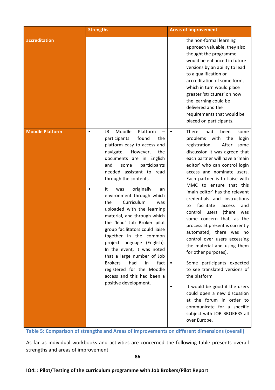|                        | <b>Strengths</b>                                                                                                                                                                                                                                                                                                                                                                                                                                                                                                                                                                                                                                                                                                              | <b>Areas of Improvement</b>                                                                                                                                                                                                                                                                                                                                                                                                                                                                                                                                                                                                                                                                                                                                                                                                                                                                           |
|------------------------|-------------------------------------------------------------------------------------------------------------------------------------------------------------------------------------------------------------------------------------------------------------------------------------------------------------------------------------------------------------------------------------------------------------------------------------------------------------------------------------------------------------------------------------------------------------------------------------------------------------------------------------------------------------------------------------------------------------------------------|-------------------------------------------------------------------------------------------------------------------------------------------------------------------------------------------------------------------------------------------------------------------------------------------------------------------------------------------------------------------------------------------------------------------------------------------------------------------------------------------------------------------------------------------------------------------------------------------------------------------------------------------------------------------------------------------------------------------------------------------------------------------------------------------------------------------------------------------------------------------------------------------------------|
| accreditation          |                                                                                                                                                                                                                                                                                                                                                                                                                                                                                                                                                                                                                                                                                                                               | the non-formal learning<br>approach valuable, they also<br>thought the programme<br>would be enhanced in future<br>versions by an ability to lead<br>to a qualification or<br>accreditation of some form,<br>which in turn would place<br>greater 'strictures' on how<br>the learning could be<br>delivered and the<br>requirements that would be<br>placed on participants.                                                                                                                                                                                                                                                                                                                                                                                                                                                                                                                          |
| <b>Moodle Platform</b> | Moodle<br>Platform<br>JB<br>$\bullet$<br>participants<br>found<br>the<br>platform easy to access and<br>navigate.<br>However,<br>the<br>documents are in English<br>and<br>participants<br>some<br>needed assistant to read<br>through the contents.<br>It<br>originally<br>was<br>an<br>environment through which<br>Curriculum<br>the<br>was<br>uploaded with the learning<br>material, and through which<br>the 'lead' Job Broker pilot<br>group facilitators could liaise<br>together in the common<br>project language (English).<br>In the event, it was noted<br>that a large number of Job<br><b>Brokers</b><br>had<br>fact<br>in<br>registered for the Moodle<br>access and this had been a<br>positive development. | There<br>had<br>been<br>some<br>$\bullet$<br>problems<br>with<br>the<br>login<br>After<br>registration.<br>some<br>discussion it was agreed that<br>each partner will have a 'main<br>editor' who can control login<br>access and nominate users.<br>Each partner is to liaise with<br>MMC to ensure that this<br>'main editor' has the relevant<br>credentials and instructions<br>facilitate<br>to<br>access<br>and<br>control<br>(there<br>users<br>was<br>some concern that, as the<br>process at present is currently<br>automated, there was no<br>control over users accessing<br>the material and using them<br>for other purposes).<br>Some participants expected<br>to see translated versions of<br>the platform<br>It would be good if the users<br>could open a new discussion<br>at the forum in order to<br>communicate for a specific<br>subject with JOB BROKERS all<br>over Europe. |

**Table 5: Comparison of strengths and Areas of Improvements on different dimensions (overall)** 

As far as individual workbooks and activities are concerned the following table presents overall strengths and areas of improvement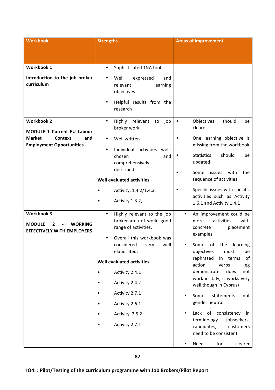| <b>Workbook</b>                                                                                | <b>Strengths</b>                                                                                                          | <b>Areas of improvement</b>                                                                              |
|------------------------------------------------------------------------------------------------|---------------------------------------------------------------------------------------------------------------------------|----------------------------------------------------------------------------------------------------------|
|                                                                                                |                                                                                                                           |                                                                                                          |
|                                                                                                |                                                                                                                           |                                                                                                          |
| <b>Workbook 1</b>                                                                              | Sophisticated TNA tool<br>$\bullet$                                                                                       |                                                                                                          |
| Introduction to the job broker<br>curriculum                                                   | Well<br>expressed<br>and<br>learning<br>relevant<br>objectives<br>Helpful results from the<br>$\bullet$<br>research       |                                                                                                          |
|                                                                                                |                                                                                                                           |                                                                                                          |
| <b>Workbook 2</b><br><b>MODULE 1 Current EU Labour</b>                                         | Highly relevant<br>job<br>$\bullet$<br>to<br>broker work.                                                                 | should<br>Objectives<br>be<br>$\bullet$<br>clearer                                                       |
| <b>Market</b><br><b>Context</b><br>and<br><b>Employment Opportunities</b>                      | Well written                                                                                                              | One learning objective is<br>missing from the workbook                                                   |
|                                                                                                | Individual activities well-<br>٠<br>chosen<br>and<br>comprehensively                                                      | <b>Statistics</b><br>should<br>be<br>updated                                                             |
|                                                                                                | described.<br>Well evaluated activities                                                                                   | with<br>Some<br>issues<br>the<br>sequence of activities                                                  |
|                                                                                                | Activity, 1.4.2/1.4.3                                                                                                     | Specific issues with specific                                                                            |
|                                                                                                | Activity 1.3.2,<br>$\bullet$                                                                                              | activities such as Activity<br>1.6.1 and Activity 1.4.1                                                  |
| <b>Workbook 3</b><br><b>MODULE</b><br><b>WORKING</b><br>2<br><b>EFFECTIVELY WITH EMPLOYERS</b> | Highly relevant to the job<br>$\bullet$<br>broker area of work, good<br>range of activities.<br>Overall this workbook was | An improvement could be<br>$\bullet$<br>activities<br>with<br>more<br>placement<br>concrete<br>examples. |
|                                                                                                | well<br>considered<br>very<br>elaborated.                                                                                 | Some of the learning<br>be<br>objectives<br>must                                                         |
|                                                                                                | <b>Well evaluated activities</b>                                                                                          | rephrased<br>of<br>in<br>terms<br>action<br>verbs<br>(eg                                                 |
|                                                                                                | Activity 2.4.1<br>$\bullet$                                                                                               | demonstrate<br>does<br>not                                                                               |
|                                                                                                | Activity 2.4.2.<br>$\bullet$                                                                                              | work in Italy, it works very<br>well though in Cyprus)                                                   |
|                                                                                                | Activity 2.7.1<br>$\bullet$                                                                                               | Some<br>statements<br>not                                                                                |
|                                                                                                | Activity 2.6.1<br>$\bullet$                                                                                               | gender neutral                                                                                           |
|                                                                                                | Activity 2.5.2<br>$\bullet$                                                                                               | Lack of consistency<br>in                                                                                |
|                                                                                                | Activity 2.7.1<br>$\bullet$                                                                                               | terminology<br>jobseekers,<br>candidates,<br>customers<br>need to be consistent                          |
|                                                                                                |                                                                                                                           | Need<br>for<br>clearer<br>٠                                                                              |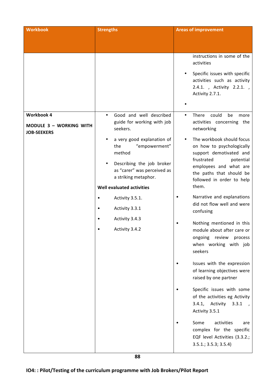| <b>Workbook</b>                                                           | <b>Strengths</b>                                                                                                                                                                                                                                                                        | <b>Areas of improvement</b>                                                                                                                                                                                                                                                                                                                                                                                   |
|---------------------------------------------------------------------------|-----------------------------------------------------------------------------------------------------------------------------------------------------------------------------------------------------------------------------------------------------------------------------------------|---------------------------------------------------------------------------------------------------------------------------------------------------------------------------------------------------------------------------------------------------------------------------------------------------------------------------------------------------------------------------------------------------------------|
|                                                                           |                                                                                                                                                                                                                                                                                         |                                                                                                                                                                                                                                                                                                                                                                                                               |
|                                                                           |                                                                                                                                                                                                                                                                                         | instructions in some of the<br>activities<br>Specific issues with specific<br>activities such as activity<br>2.4.1., Activity 2.2.1.,<br>Activity 2.7.1.                                                                                                                                                                                                                                                      |
| <b>Workbook 4</b><br><b>MODULE 3 - WORKING WITH</b><br><b>JOB-SEEKERS</b> | Good and well described<br>$\bullet$<br>guide for working with job<br>seekers.                                                                                                                                                                                                          | could<br>There<br>be<br>$\bullet$<br>more<br>activities concerning the<br>networking                                                                                                                                                                                                                                                                                                                          |
|                                                                           | a very good explanation of<br>"empowerment"<br>the<br>method<br>Describing the job broker<br>as "carer" was perceived as<br>a striking metaphor.<br><b>Well evaluated activities</b><br>Activity 3.5.1.<br>$\bullet$<br>Activity 3.3.1<br>$\bullet$<br>Activity 3.4.3<br>Activity 3.4.2 | The workbook should focus<br>on how to psychologically<br>support demotivated and<br>frustrated<br>potential<br>employees and what are<br>the paths that should be<br>followed in order to help<br>them.<br>Narrative and explanations<br>did not flow well and were<br>confusing<br>Nothing mentioned in this<br>module about after care or<br>ongoing review<br>process<br>when working with job<br>seekers |
|                                                                           |                                                                                                                                                                                                                                                                                         | Issues with the expression<br>of learning objectives were<br>raised by one partner                                                                                                                                                                                                                                                                                                                            |
|                                                                           |                                                                                                                                                                                                                                                                                         | Specific issues with some<br>of the activities eg Activity<br>3.4.1, Activity<br>3.3.1<br>Activity 3.5.1                                                                                                                                                                                                                                                                                                      |
|                                                                           |                                                                                                                                                                                                                                                                                         | Some<br>activities<br>are<br>complex for the specific<br>EQF level Activities (3.3.2.;<br>$3.5.1$ .; $3.5.3$ ; $3.5.4$ )                                                                                                                                                                                                                                                                                      |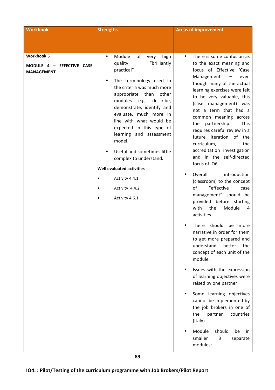| <b>Workbook</b>                                                     | <b>Strengths</b>                                                                                                                                                                                                                                                                                                                                                                                                                                                                                                                                | <b>Areas of improvement</b>                                                                                                                                                                                                                                                                                                                                                                                                                                                                                                                                                                                                                                                                                                                                                                                                                                                                                                                                                                                                                                                                                                                                                   |
|---------------------------------------------------------------------|-------------------------------------------------------------------------------------------------------------------------------------------------------------------------------------------------------------------------------------------------------------------------------------------------------------------------------------------------------------------------------------------------------------------------------------------------------------------------------------------------------------------------------------------------|-------------------------------------------------------------------------------------------------------------------------------------------------------------------------------------------------------------------------------------------------------------------------------------------------------------------------------------------------------------------------------------------------------------------------------------------------------------------------------------------------------------------------------------------------------------------------------------------------------------------------------------------------------------------------------------------------------------------------------------------------------------------------------------------------------------------------------------------------------------------------------------------------------------------------------------------------------------------------------------------------------------------------------------------------------------------------------------------------------------------------------------------------------------------------------|
|                                                                     |                                                                                                                                                                                                                                                                                                                                                                                                                                                                                                                                                 |                                                                                                                                                                                                                                                                                                                                                                                                                                                                                                                                                                                                                                                                                                                                                                                                                                                                                                                                                                                                                                                                                                                                                                               |
| <b>Workbook 5</b><br>MODULE 4 - EFFECTIVE CASE<br><b>MANAGEMENT</b> | Module<br>of<br>high<br>very<br>$\bullet$<br>"brilliantly<br>quality:<br>practical"<br>The terminology used in<br>the criteria was much more<br>appropriate than<br>other<br>modules<br>e.g.<br>describe,<br>demonstrate, identify and<br>evaluate, much more in<br>line with what would be<br>expected in this type of<br>learning and assessment<br>model.<br>Useful and sometimes little<br>complex to understand.<br>Well evaluated activities<br>Activity 4.4.1<br>$\bullet$<br>Activity 4.4.2<br>$\bullet$<br>Activity 4.6.1<br>$\bullet$ | There is some confusion as<br>to the exact meaning and<br>focus of Effective 'Case<br>Management'<br>$\overline{\phantom{a}}$<br>even<br>though many of the actual<br>learning exercises were felt<br>to be very valuable, this<br>(case management) was<br>not a term that had a<br>common meaning across<br>partnership.<br><b>This</b><br>the<br>requires careful review in a<br>future iteration of the<br>curriculum,<br>the<br>accreditation investigation<br>and in the self-directed<br>focus of IO6.<br>introduction<br>Overall<br>(classroom) to the concept<br>"effective<br>of<br>case<br>management" should be<br>provided before starting<br>with<br>the<br>Module<br>4<br>activities<br>should<br><b>There</b><br>be<br>more<br>narrative in order for them<br>to get more prepared and<br>understand<br>better<br>the<br>concept of each unit of the<br>module.<br>Issues with the expression<br>of learning objectives were<br>raised by one partner<br>Some learning objectives<br>cannot be implemented by<br>the job brokers in one of<br>the<br>countries<br>partner<br>(Italy)<br>Module<br>should<br>be<br>in.<br>smaller<br>3<br>separate<br>modules: |